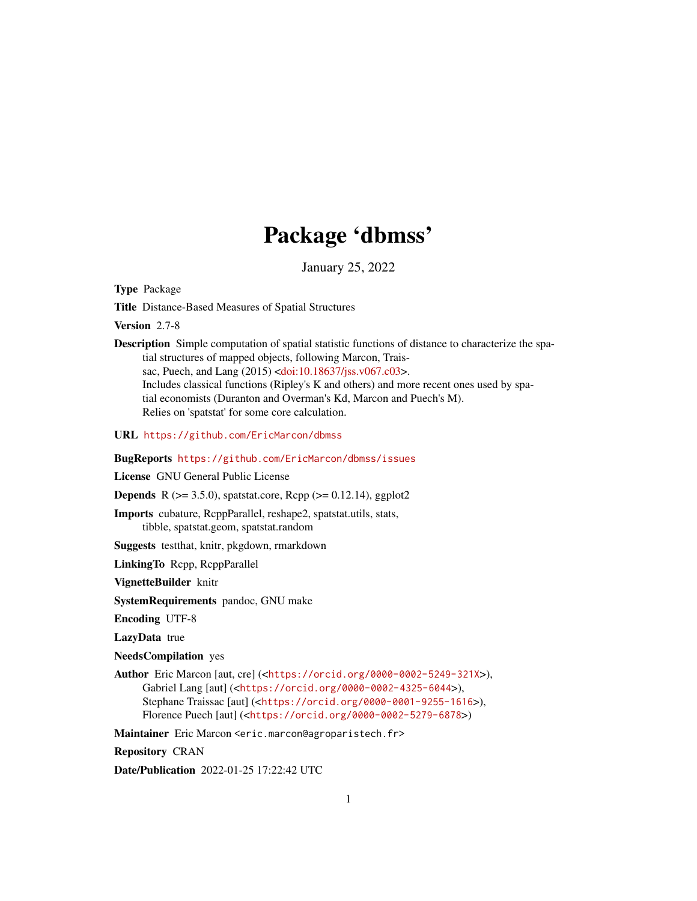# Package 'dbmss'

January 25, 2022

<span id="page-0-0"></span>Type Package

Title Distance-Based Measures of Spatial Structures

Version 2.7-8

Description Simple computation of spatial statistic functions of distance to characterize the spatial structures of mapped objects, following Marcon, Trais-sac, Puech, and Lang (2015) [<doi:10.18637/jss.v067.c03>](https://doi.org/10.18637/jss.v067.c03). Includes classical functions (Ripley's K and others) and more recent ones used by spatial economists (Duranton and Overman's Kd, Marcon and Puech's M). Relies on 'spatstat' for some core calculation.

URL <https://github.com/EricMarcon/dbmss>

#### BugReports <https://github.com/EricMarcon/dbmss/issues>

License GNU General Public License

**Depends** R ( $>= 3.5.0$ ), spatstat.core, Rcpp ( $>= 0.12.14$ ), ggplot2

Imports cubature, RcppParallel, reshape2, spatstat.utils, stats, tibble, spatstat.geom, spatstat.random

Suggests testthat, knitr, pkgdown, rmarkdown

LinkingTo Rcpp, RcppParallel

VignetteBuilder knitr

SystemRequirements pandoc, GNU make

Encoding UTF-8

LazyData true

NeedsCompilation yes

Author Eric Marcon [aut, cre] (<<https://orcid.org/0000-0002-5249-321X>>), Gabriel Lang [aut] (<<https://orcid.org/0000-0002-4325-6044>>), Stephane Traissac [aut] (<<https://orcid.org/0000-0001-9255-1616>>), Florence Puech [aut] (<<https://orcid.org/0000-0002-5279-6878>>)

Maintainer Eric Marcon <eric.marcon@agroparistech.fr>

Repository CRAN

Date/Publication 2022-01-25 17:22:42 UTC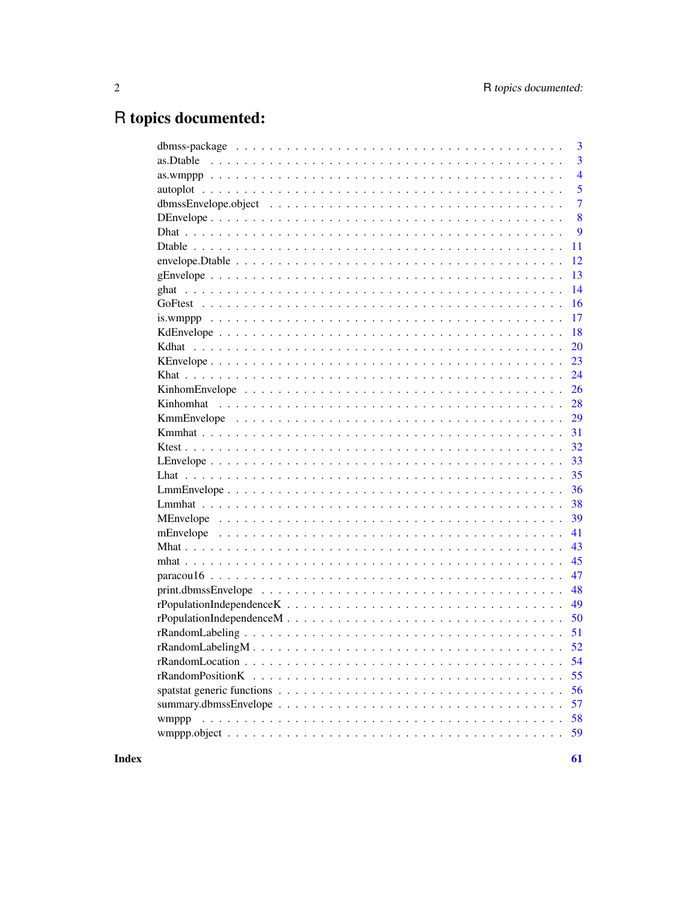# R topics documented:

|           | 3              |
|-----------|----------------|
| as.Dtable | 3              |
|           | $\overline{4}$ |
|           | 5              |
|           | $\overline{7}$ |
|           | 8              |
|           | 9              |
|           | 11             |
|           | 12             |
|           | 13             |
|           | 14             |
|           | 16             |
|           | 17             |
|           | 18             |
|           | 20             |
|           | 23             |
|           | 24             |
|           | 26             |
|           | 28             |
|           | 29             |
|           | 31             |
|           | 32             |
|           | 33             |
|           | 35             |
|           | 36             |
|           | 38             |
|           | 39             |
|           | 41             |
|           | 43             |
|           | 45             |
|           | 47             |
|           | 48             |
|           | 49             |
|           | 50             |
|           |                |
|           |                |
|           | 54             |
|           | 55             |
|           | 56             |
|           | 57             |
| wmppp     | 58             |
|           | 59             |
|           |                |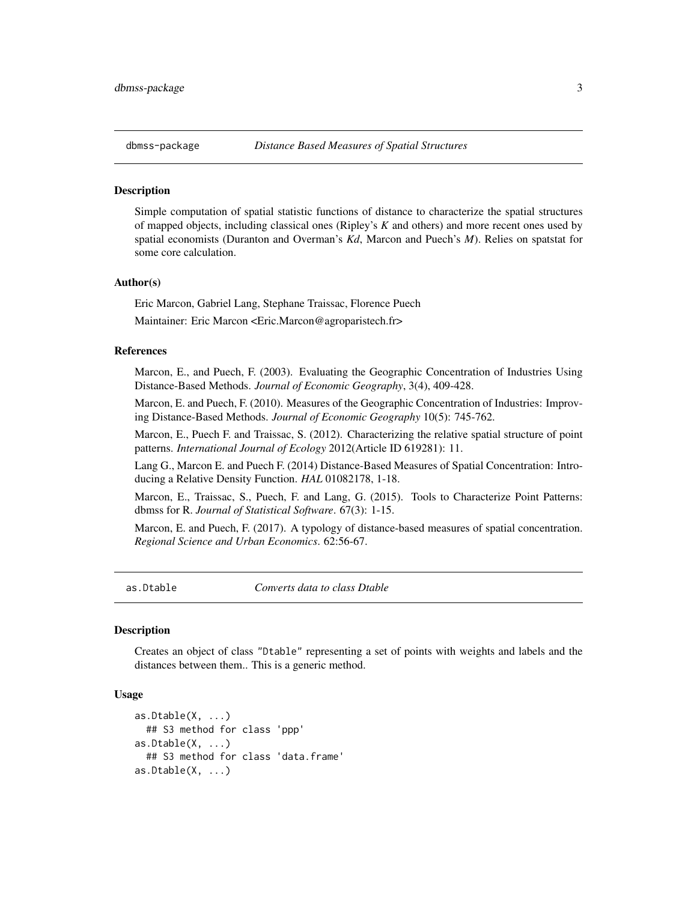<span id="page-2-0"></span>

#### Description

Simple computation of spatial statistic functions of distance to characterize the spatial structures of mapped objects, including classical ones (Ripley's *K* and others) and more recent ones used by spatial economists (Duranton and Overman's *Kd*, Marcon and Puech's *M*). Relies on spatstat for some core calculation.

#### Author(s)

Eric Marcon, Gabriel Lang, Stephane Traissac, Florence Puech

Maintainer: Eric Marcon <Eric.Marcon@agroparistech.fr>

#### References

Marcon, E., and Puech, F. (2003). Evaluating the Geographic Concentration of Industries Using Distance-Based Methods. *Journal of Economic Geography*, 3(4), 409-428.

Marcon, E. and Puech, F. (2010). Measures of the Geographic Concentration of Industries: Improving Distance-Based Methods. *Journal of Economic Geography* 10(5): 745-762.

Marcon, E., Puech F. and Traissac, S. (2012). Characterizing the relative spatial structure of point patterns. *International Journal of Ecology* 2012(Article ID 619281): 11.

Lang G., Marcon E. and Puech F. (2014) Distance-Based Measures of Spatial Concentration: Introducing a Relative Density Function. *HAL* 01082178, 1-18.

Marcon, E., Traissac, S., Puech, F. and Lang, G. (2015). Tools to Characterize Point Patterns: dbmss for R. *Journal of Statistical Software*. 67(3): 1-15.

Marcon, E. and Puech, F. (2017). A typology of distance-based measures of spatial concentration. *Regional Science and Urban Economics*. 62:56-67.

<span id="page-2-1"></span>as.Dtable *Converts data to class Dtable*

#### **Description**

Creates an object of class "Dtable" representing a set of points with weights and labels and the distances between them.. This is a generic method.

#### Usage

```
as.Dtable(X, ...)## S3 method for class 'ppp'
as. Dtable(X, ...)## S3 method for class 'data.frame'
as. Dtable(X, ...)
```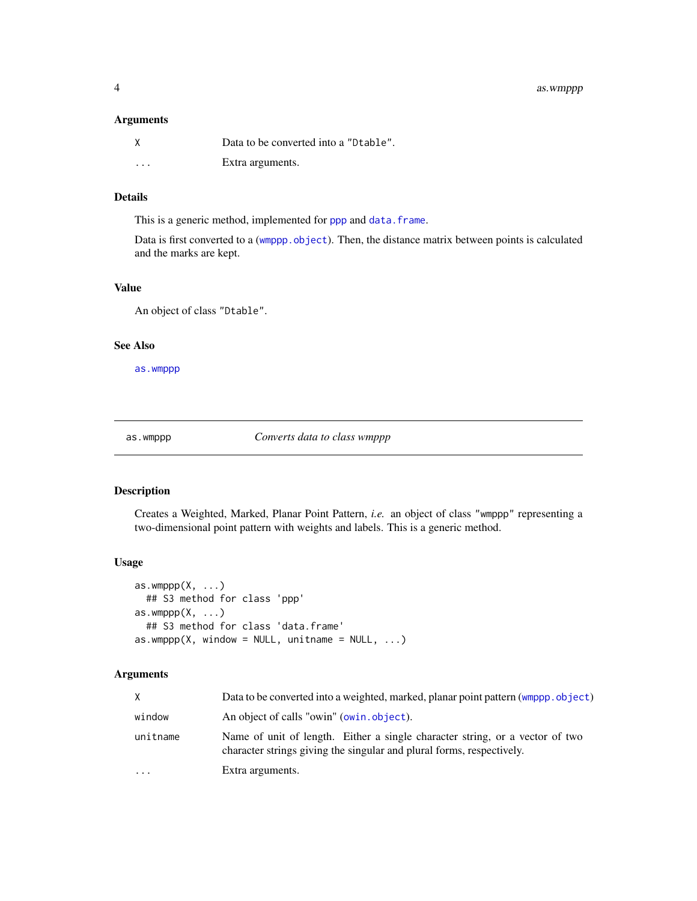## <span id="page-3-0"></span>Arguments

| X        | Data to be converted into a "Dtable". |
|----------|---------------------------------------|
| $\cdots$ | Extra arguments.                      |

## Details

This is a generic method, implemented for [ppp](#page-0-0) and [data.frame](#page-0-0).

Data is first converted to a ([wmppp.object](#page-58-1)). Then, the distance matrix between points is calculated and the marks are kept.

## Value

An object of class "Dtable".

## See Also

[as.wmppp](#page-3-1)

<span id="page-3-1"></span>as.wmppp *Converts data to class wmppp*

## Description

Creates a Weighted, Marked, Planar Point Pattern, *i.e.* an object of class "wmppp" representing a two-dimensional point pattern with weights and labels. This is a generic method.

## Usage

```
as.wmppp(X, \ldots)## S3 method for class 'ppp'
as.wmppp(X, \ldots)## S3 method for class 'data.frame'
as.wmppp(X, window = NULL, unitname = NULL, ...)
```
## Arguments

| X        | Data to be converted into a weighted, marked, planar point pattern (wmppp.object)                                                                     |
|----------|-------------------------------------------------------------------------------------------------------------------------------------------------------|
| window   | An object of calls "owin" (owin.object).                                                                                                              |
| unitname | Name of unit of length. Either a single character string, or a vector of two<br>character strings giving the singular and plural forms, respectively. |
| $\cdots$ | Extra arguments.                                                                                                                                      |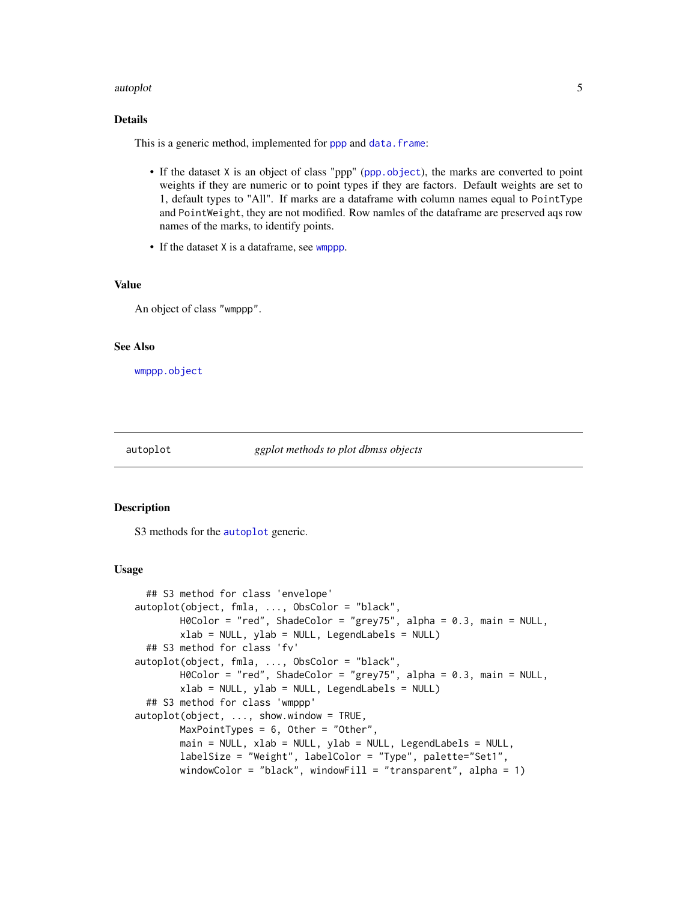#### <span id="page-4-0"></span>autoplot 5

## Details

This is a generic method, implemented for [ppp](#page-0-0) and [data.frame](#page-0-0):

- If the dataset X is an object of class "ppp" ([ppp.object](#page-0-0)), the marks are converted to point weights if they are numeric or to point types if they are factors. Default weights are set to 1, default types to "All". If marks are a dataframe with column names equal to PointType and PointWeight, they are not modified. Row namles of the dataframe are preserved aqs row names of the marks, to identify points.
- If the dataset X is a dataframe, see [wmppp](#page-57-1).

#### Value

An object of class "wmppp".

## See Also

[wmppp.object](#page-58-1)

<span id="page-4-1"></span>autoplot *ggplot methods to plot dbmss objects*

#### <span id="page-4-2"></span>Description

S3 methods for the [autoplot](#page-4-1) generic.

#### Usage

```
## S3 method for class 'envelope'
autoplot(object, fmla, ..., ObsColor = "black",
       H0Color = "red", ShadeColor = "grey75", alpha = 0.3, main = NULL,
       xlab = NULL, ylab = NULL, LegendLabels = NULL)
 ## S3 method for class 'fv'
autoplot(object, fmla, ..., ObsColor = "black",
       H0Color = "red", ShadeColor = "grey75", alpha = 0.3, main = NULL,
       xlab = NULL, ylab = NULL, LegendLabels = NULL)
 ## S3 method for class 'wmppp'
autoplot(object, ..., show.window = TRUE,MaxPointTypes = 6, Other = "Other",
       main = NULL, xlab = NULL, ylab = NULL, LegendLabels = NULL,
       labelSize = "Weight", labelColor = "Type", palette="Set1",
       windowColor = "black", windowFill = "transparent", alpha = 1)
```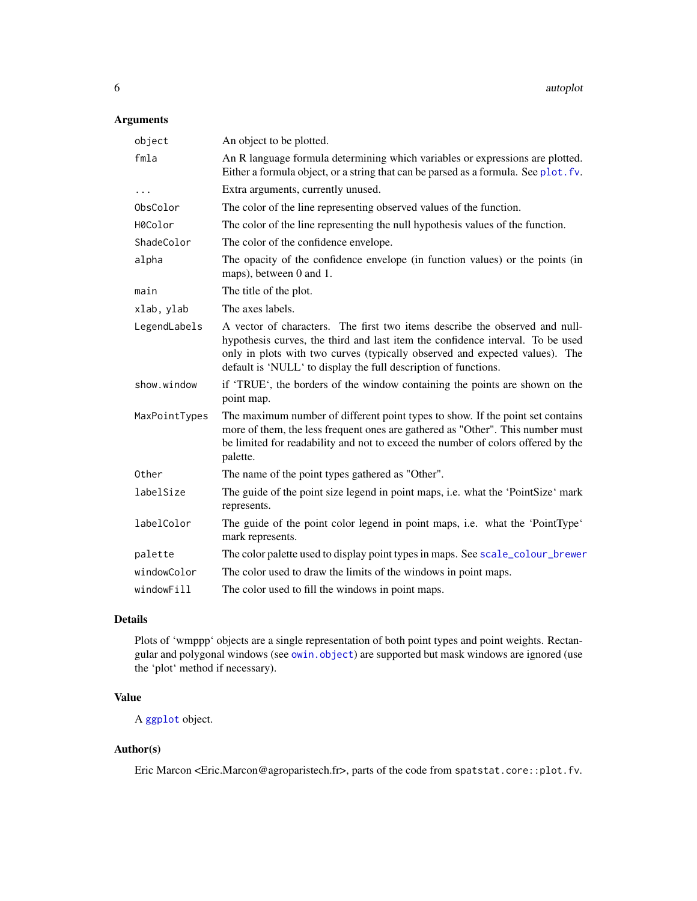## <span id="page-5-0"></span>Arguments

| An object to be plotted.                                                                                                                                                                                                                                                                                        |
|-----------------------------------------------------------------------------------------------------------------------------------------------------------------------------------------------------------------------------------------------------------------------------------------------------------------|
| An R language formula determining which variables or expressions are plotted.<br>Either a formula object, or a string that can be parsed as a formula. See plot. fv.                                                                                                                                            |
| Extra arguments, currently unused.                                                                                                                                                                                                                                                                              |
| The color of the line representing observed values of the function.                                                                                                                                                                                                                                             |
| The color of the line representing the null hypothesis values of the function.                                                                                                                                                                                                                                  |
| The color of the confidence envelope.                                                                                                                                                                                                                                                                           |
| The opacity of the confidence envelope (in function values) or the points (in<br>maps), between 0 and 1.                                                                                                                                                                                                        |
| The title of the plot.                                                                                                                                                                                                                                                                                          |
| The axes labels.                                                                                                                                                                                                                                                                                                |
| A vector of characters. The first two items describe the observed and null-<br>hypothesis curves, the third and last item the confidence interval. To be used<br>only in plots with two curves (typically observed and expected values). The<br>default is 'NULL' to display the full description of functions. |
| if 'TRUE', the borders of the window containing the points are shown on the<br>point map.                                                                                                                                                                                                                       |
| The maximum number of different point types to show. If the point set contains<br>more of them, the less frequent ones are gathered as "Other". This number must<br>be limited for readability and not to exceed the number of colors offered by the<br>palette.                                                |
| The name of the point types gathered as "Other".                                                                                                                                                                                                                                                                |
| The guide of the point size legend in point maps, i.e. what the 'PointSize' mark<br>represents.                                                                                                                                                                                                                 |
| The guide of the point color legend in point maps, i.e. what the 'PointType'<br>mark represents.                                                                                                                                                                                                                |
| The color palette used to display point types in maps. See scale_colour_brewer                                                                                                                                                                                                                                  |
| The color used to draw the limits of the windows in point maps.                                                                                                                                                                                                                                                 |
| The color used to fill the windows in point maps.                                                                                                                                                                                                                                                               |
|                                                                                                                                                                                                                                                                                                                 |

## Details

Plots of 'wmppp' objects are a single representation of both point types and point weights. Rectangular and polygonal windows (see [owin.object](#page-0-0)) are supported but mask windows are ignored (use the 'plot' method if necessary).

## Value

A [ggplot](#page-0-0) object.

## Author(s)

Eric Marcon <Eric.Marcon@agroparistech.fr>, parts of the code from spatstat.core::plot.fv.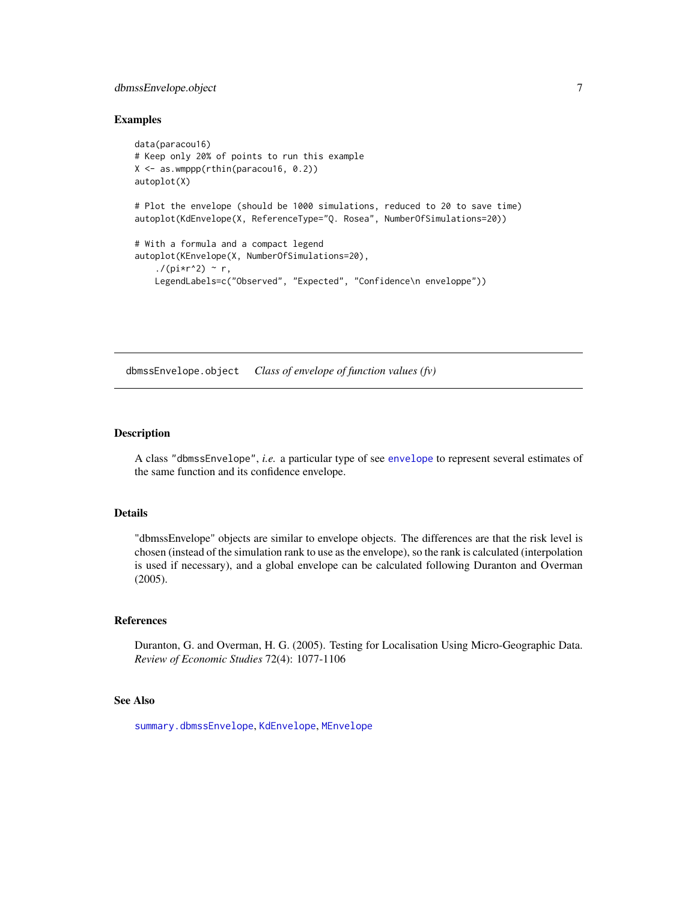## <span id="page-6-0"></span>dbmssEnvelope.object 7

#### Examples

```
data(paracou16)
# Keep only 20% of points to run this example
X <- as.wmppp(rthin(paracou16, 0.2))
autoplot(X)
# Plot the envelope (should be 1000 simulations, reduced to 20 to save time)
autoplot(KdEnvelope(X, ReferenceType="Q. Rosea", NumberOfSimulations=20))
# With a formula and a compact legend
autoplot(KEnvelope(X, NumberOfSimulations=20),
    ./(pi*r^2) ~ r,
   LegendLabels=c("Observed", "Expected", "Confidence\n enveloppe"))
```
dbmssEnvelope.object *Class of envelope of function values (fv)*

## Description

A class "dbmssEnvelope", *i.e.* a particular type of see [envelope](#page-0-0) to represent several estimates of the same function and its confidence envelope.

## Details

"dbmssEnvelope" objects are similar to envelope objects. The differences are that the risk level is chosen (instead of the simulation rank to use as the envelope), so the rank is calculated (interpolation is used if necessary), and a global envelope can be calculated following Duranton and Overman (2005).

#### References

Duranton, G. and Overman, H. G. (2005). Testing for Localisation Using Micro-Geographic Data. *Review of Economic Studies* 72(4): 1077-1106

## See Also

[summary.dbmssEnvelope](#page-56-1), [KdEnvelope](#page-17-1), [MEnvelope](#page-38-1)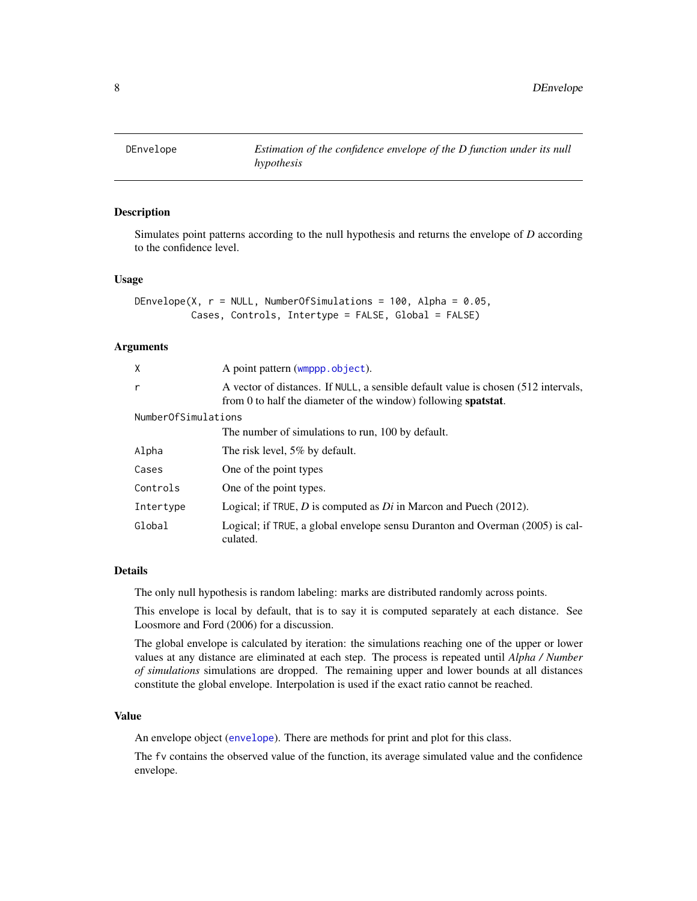<span id="page-7-1"></span><span id="page-7-0"></span>

## **Description**

Simulates point patterns according to the null hypothesis and returns the envelope of *D* according to the confidence level.

#### Usage

```
DEnvelope(X, r = NULL, NumberOfSimulations = 100, Alpha = 0.05,
         Cases, Controls, Intertype = FALSE, Global = FALSE)
```
#### Arguments

| X                   | A point pattern (wmppp.object).                                                                                                                              |  |
|---------------------|--------------------------------------------------------------------------------------------------------------------------------------------------------------|--|
| r                   | A vector of distances. If NULL, a sensible default value is chosen (512 intervals,<br>from 0 to half the diameter of the window) following <b>spatstat</b> . |  |
| NumberOfSimulations |                                                                                                                                                              |  |
|                     | The number of simulations to run, 100 by default.                                                                                                            |  |
| Alpha               | The risk level, 5% by default.                                                                                                                               |  |
| Cases               | One of the point types                                                                                                                                       |  |
| Controls            | One of the point types.                                                                                                                                      |  |
| Intertype           | Logical; if TRUE, D is computed as $Di$ in Marcon and Puech (2012).                                                                                          |  |
| Global              | Logical; if TRUE, a global envelope sensu Duranton and Overman (2005) is cal-<br>culated.                                                                    |  |

#### Details

The only null hypothesis is random labeling: marks are distributed randomly across points.

This envelope is local by default, that is to say it is computed separately at each distance. See Loosmore and Ford (2006) for a discussion.

The global envelope is calculated by iteration: the simulations reaching one of the upper or lower values at any distance are eliminated at each step. The process is repeated until *Alpha / Number of simulations* simulations are dropped. The remaining upper and lower bounds at all distances constitute the global envelope. Interpolation is used if the exact ratio cannot be reached.

## Value

An envelope object ([envelope](#page-0-0)). There are methods for print and plot for this class.

The fv contains the observed value of the function, its average simulated value and the confidence envelope.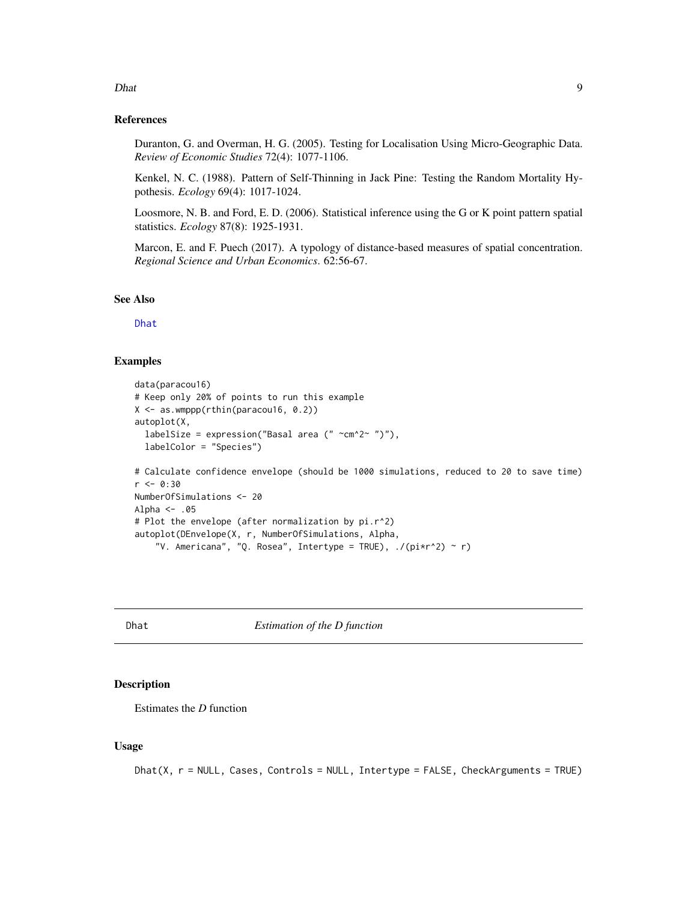# <span id="page-8-0"></span>References

Duranton, G. and Overman, H. G. (2005). Testing for Localisation Using Micro-Geographic Data. *Review of Economic Studies* 72(4): 1077-1106.

Kenkel, N. C. (1988). Pattern of Self-Thinning in Jack Pine: Testing the Random Mortality Hypothesis. *Ecology* 69(4): 1017-1024.

Loosmore, N. B. and Ford, E. D. (2006). Statistical inference using the G or K point pattern spatial statistics. *Ecology* 87(8): 1925-1931.

Marcon, E. and F. Puech (2017). A typology of distance-based measures of spatial concentration. *Regional Science and Urban Economics*. 62:56-67.

## See Also

[Dhat](#page-8-1)

## Examples

```
data(paracou16)
# Keep only 20% of points to run this example
X <- as.wmppp(rthin(paracou16, 0.2))
autoplot(X,
 labelSize = expression("Basal area (" \simcm^2~ ")"),
  labelColor = "Species")
# Calculate confidence envelope (should be 1000 simulations, reduced to 20 to save time)
r < -0.30NumberOfSimulations <- 20
Alpha <- .05
# Plot the envelope (after normalization by pi.r^2)
autoplot(DEnvelope(X, r, NumberOfSimulations, Alpha,
    "V. Americana", "Q. Rosea", Intertype = TRUE), ./(pi*r^2) ~ r)
```
<span id="page-8-1"></span>Dhat *Estimation of the D function*

## **Description**

Estimates the *D* function

#### Usage

```
Dhat(X, r = NULL, Cases, Controls = NULL, Intertype = FALSE, CheckArguments = TRUE)
```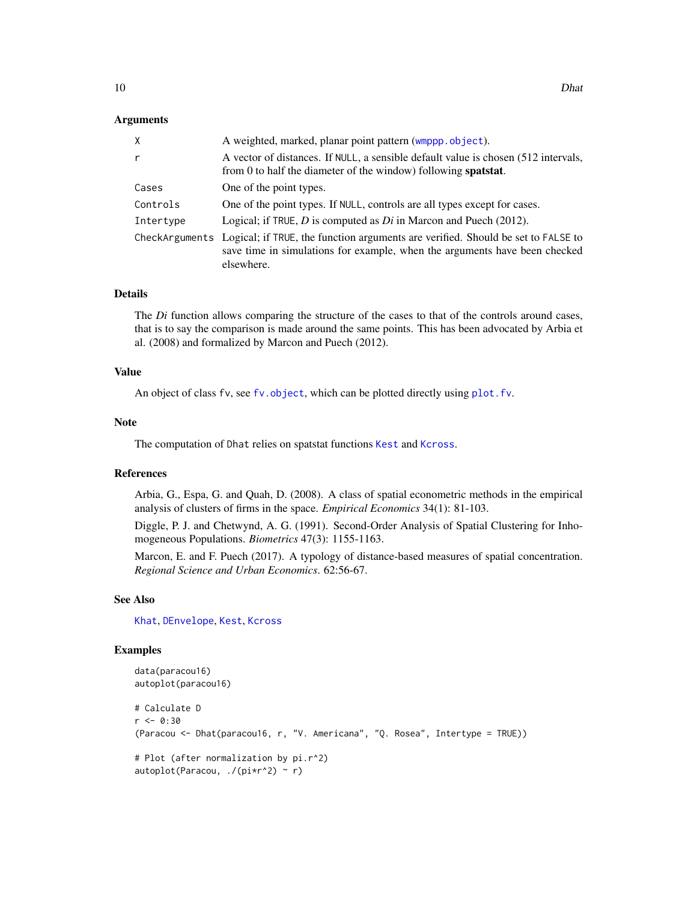#### <span id="page-9-0"></span>Arguments

| X         | A weighted, marked, planar point pattern (wmppp.object).                                                                                                                                    |
|-----------|---------------------------------------------------------------------------------------------------------------------------------------------------------------------------------------------|
| r         | A vector of distances. If NULL, a sensible default value is chosen (512 intervals,<br>from 0 to half the diameter of the window) following <b>spatstat</b> .                                |
| Cases     | One of the point types.                                                                                                                                                                     |
| Controls  | One of the point types. If NULL, controls are all types except for cases.                                                                                                                   |
| Intertype | Logical; if TRUE, $D$ is computed as $Di$ in Marcon and Puech (2012).                                                                                                                       |
|           | CheckArguments Logical; if TRUE, the function arguments are verified. Should be set to FALSE to<br>save time in simulations for example, when the arguments have been checked<br>elsewhere. |

#### Details

The *Di* function allows comparing the structure of the cases to that of the controls around cases, that is to say the comparison is made around the same points. This has been advocated by Arbia et al. (2008) and formalized by Marcon and Puech (2012).

#### Value

An object of class fv, see fv. object, which can be plotted directly using plot. fv.

#### Note

The computation of Dhat relies on spatstat functions [Kest](#page-0-0) and [Kcross](#page-0-0).

## References

Arbia, G., Espa, G. and Quah, D. (2008). A class of spatial econometric methods in the empirical analysis of clusters of firms in the space. *Empirical Economics* 34(1): 81-103.

Diggle, P. J. and Chetwynd, A. G. (1991). Second-Order Analysis of Spatial Clustering for Inhomogeneous Populations. *Biometrics* 47(3): 1155-1163.

Marcon, E. and F. Puech (2017). A typology of distance-based measures of spatial concentration. *Regional Science and Urban Economics*. 62:56-67.

## See Also

[Khat](#page-23-1), [DEnvelope](#page-7-1), [Kest](#page-0-0), [Kcross](#page-0-0)

#### Examples

```
data(paracou16)
autoplot(paracou16)
# Calculate D
r <- 0:30
(Paracou <- Dhat(paracou16, r, "V. Americana", "Q. Rosea", Intertype = TRUE))
# Plot (after normalization by pi.r^2)
autoplot(Paracou, ./(pi*r^2) ~ r)
```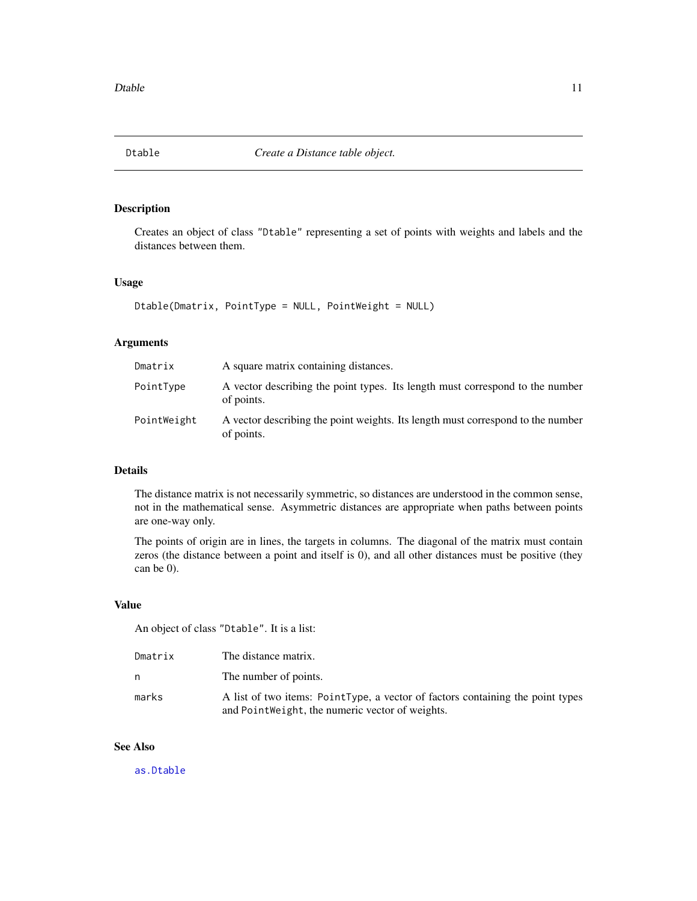<span id="page-10-1"></span><span id="page-10-0"></span>

## Description

Creates an object of class "Dtable" representing a set of points with weights and labels and the distances between them.

## Usage

```
Dtable(Dmatrix, PointType = NULL, PointWeight = NULL)
```
## Arguments

| Dmatrix     | A square matrix containing distances.                                                         |
|-------------|-----------------------------------------------------------------------------------------------|
| PointType   | A vector describing the point types. Its length must correspond to the number<br>of points.   |
| PointWeight | A vector describing the point weights. Its length must correspond to the number<br>of points. |

#### Details

The distance matrix is not necessarily symmetric, so distances are understood in the common sense, not in the mathematical sense. Asymmetric distances are appropriate when paths between points are one-way only.

The points of origin are in lines, the targets in columns. The diagonal of the matrix must contain zeros (the distance between a point and itself is 0), and all other distances must be positive (they can be 0).

## Value

An object of class "Dtable". It is a list:

| Dmatrix | The distance matrix.                                                                                                              |
|---------|-----------------------------------------------------------------------------------------------------------------------------------|
| n       | The number of points.                                                                                                             |
| marks   | A list of two items: PointType, a vector of factors containing the point types<br>and PointWeight, the numeric vector of weights. |

## See Also

[as.Dtable](#page-2-1)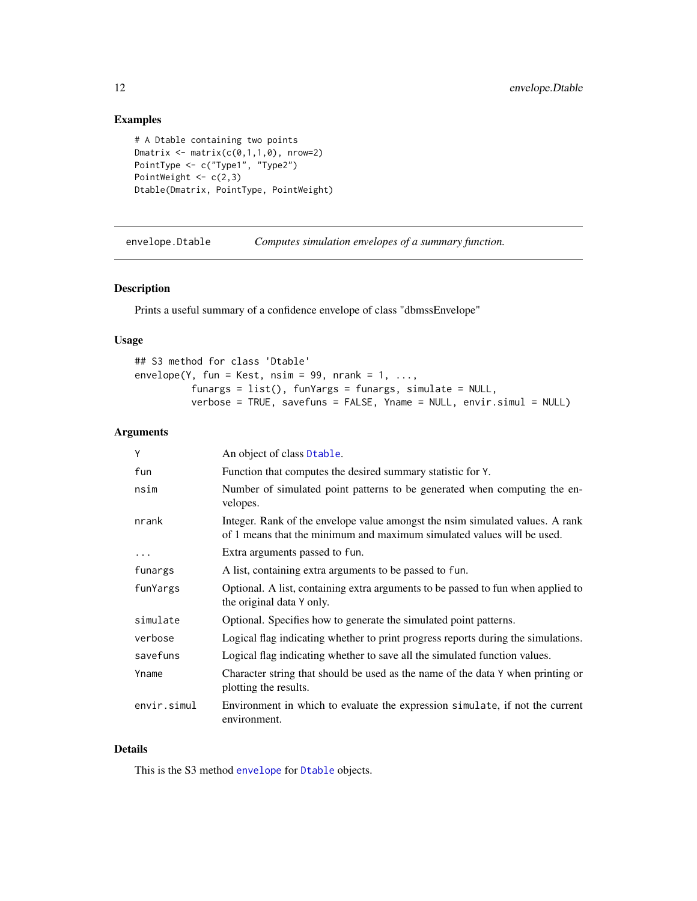## <span id="page-11-0"></span>Examples

```
# A Dtable containing two points
Dmatrix \leftarrow matrix(c(0,1,1,0), nrow=2)
PointType <- c("Type1", "Type2")
PointWeight <-c(2,3)Dtable(Dmatrix, PointType, PointWeight)
```
envelope.Dtable *Computes simulation envelopes of a summary function.*

## Description

Prints a useful summary of a confidence envelope of class "dbmssEnvelope"

## Usage

## S3 method for class 'Dtable'  $envelope(Y, fun = Kest, nsim = 99, nrank = 1, ...$ funargs = list(), funYargs = funargs, simulate = NULL, verbose = TRUE, savefuns = FALSE, Yname = NULL, envir.simul = NULL)

## Arguments

| Y           | An object of class Dtable.                                                                                                                              |
|-------------|---------------------------------------------------------------------------------------------------------------------------------------------------------|
| fun         | Function that computes the desired summary statistic for Y.                                                                                             |
| nsim        | Number of simulated point patterns to be generated when computing the en-<br>velopes.                                                                   |
| nrank       | Integer. Rank of the envelope value amongst the nsim simulated values. A rank<br>of 1 means that the minimum and maximum simulated values will be used. |
| $\cdots$    | Extra arguments passed to fun.                                                                                                                          |
| funargs     | A list, containing extra arguments to be passed to fun.                                                                                                 |
| funYargs    | Optional. A list, containing extra arguments to be passed to fun when applied to<br>the original data Y only.                                           |
| simulate    | Optional. Specifies how to generate the simulated point patterns.                                                                                       |
| verbose     | Logical flag indicating whether to print progress reports during the simulations.                                                                       |
| savefuns    | Logical flag indicating whether to save all the simulated function values.                                                                              |
| Yname       | Character string that should be used as the name of the data Y when printing or<br>plotting the results.                                                |
| envir.simul | Environment in which to evaluate the expression simulate, if not the current<br>environment.                                                            |

## Details

This is the S3 method [envelope](#page-0-0) for [Dtable](#page-10-1) objects.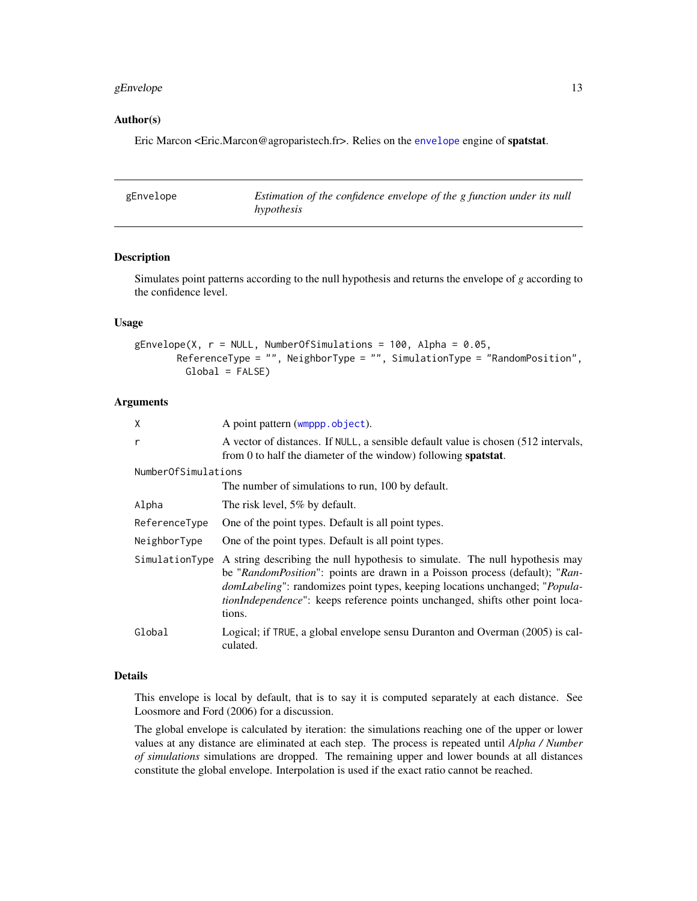## <span id="page-12-0"></span>gEnvelope 13

### Author(s)

Eric Marcon <Eric.Marcon@agroparistech.fr>. Relies on the [envelope](#page-0-0) engine of spatstat.

<span id="page-12-1"></span>

| gEnvelope | Estimation of the confidence envelope of the g function under its null |
|-----------|------------------------------------------------------------------------|
|           | hypothesis                                                             |

## Description

Simulates point patterns according to the null hypothesis and returns the envelope of *g* according to the confidence level.

## Usage

 $gEnvelope(X, r = NULL, NumberOfSimulations = 100, Alpha = 0.05,$ ReferenceType = "", NeighborType = "", SimulationType = "RandomPosition", Global = FALSE)

#### Arguments

| Χ                   | A point pattern (wmppp.object).                                                                                                                                                                                                                                                                                                                       |
|---------------------|-------------------------------------------------------------------------------------------------------------------------------------------------------------------------------------------------------------------------------------------------------------------------------------------------------------------------------------------------------|
| r                   | A vector of distances. If NULL, a sensible default value is chosen (512 intervals,<br>from 0 to half the diameter of the window) following <b>spatstat</b> .                                                                                                                                                                                          |
| NumberOfSimulations |                                                                                                                                                                                                                                                                                                                                                       |
|                     | The number of simulations to run, 100 by default.                                                                                                                                                                                                                                                                                                     |
| Alpha               | The risk level, 5% by default.                                                                                                                                                                                                                                                                                                                        |
| ReferenceType       | One of the point types. Default is all point types.                                                                                                                                                                                                                                                                                                   |
| NeighborType        | One of the point types. Default is all point types.                                                                                                                                                                                                                                                                                                   |
| SimulationType      | A string describing the null hypothesis to simulate. The null hypothesis may<br>be "RandomPosition": points are drawn in a Poisson process (default); "Ran-<br><i>domLabeling</i> ": randomizes point types, keeping locations unchanged; " <i>Popula-</i><br>tionIndependence": keeps reference points unchanged, shifts other point loca-<br>tions. |
| Global              | Logical; if TRUE, a global envelope sensu Duranton and Overman (2005) is cal-<br>culated.                                                                                                                                                                                                                                                             |

## Details

This envelope is local by default, that is to say it is computed separately at each distance. See Loosmore and Ford (2006) for a discussion.

The global envelope is calculated by iteration: the simulations reaching one of the upper or lower values at any distance are eliminated at each step. The process is repeated until *Alpha / Number of simulations* simulations are dropped. The remaining upper and lower bounds at all distances constitute the global envelope. Interpolation is used if the exact ratio cannot be reached.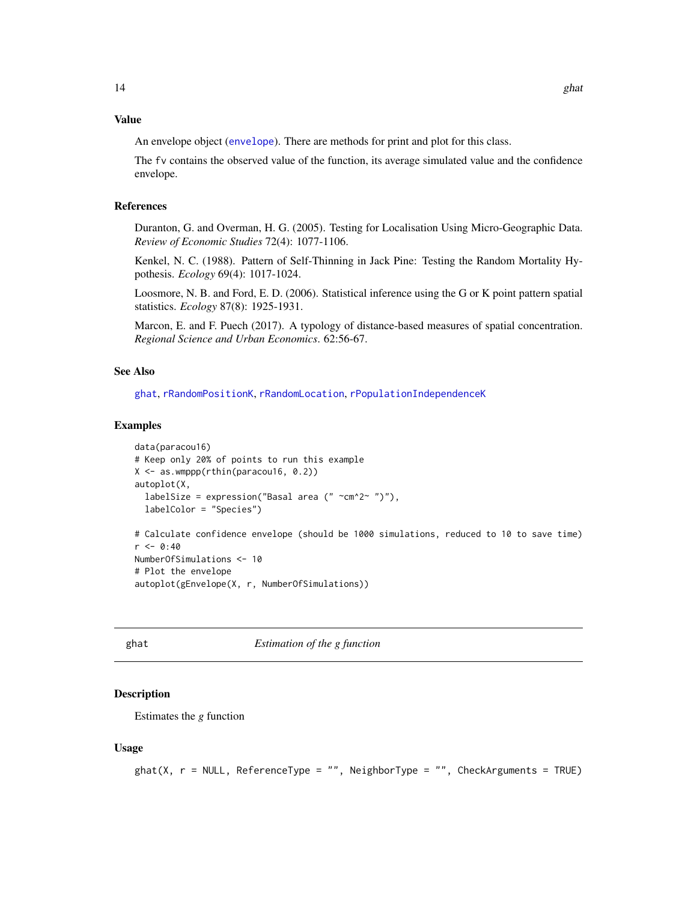#### <span id="page-13-0"></span>Value

An envelope object ([envelope](#page-0-0)). There are methods for print and plot for this class.

The fv contains the observed value of the function, its average simulated value and the confidence envelope.

## References

Duranton, G. and Overman, H. G. (2005). Testing for Localisation Using Micro-Geographic Data. *Review of Economic Studies* 72(4): 1077-1106.

Kenkel, N. C. (1988). Pattern of Self-Thinning in Jack Pine: Testing the Random Mortality Hypothesis. *Ecology* 69(4): 1017-1024.

Loosmore, N. B. and Ford, E. D. (2006). Statistical inference using the G or K point pattern spatial statistics. *Ecology* 87(8): 1925-1931.

Marcon, E. and F. Puech (2017). A typology of distance-based measures of spatial concentration. *Regional Science and Urban Economics*. 62:56-67.

## See Also

[ghat](#page-13-1), [rRandomPositionK](#page-54-1), [rRandomLocation](#page-53-1), [rPopulationIndependenceK](#page-48-1)

#### Examples

```
data(paracou16)
# Keep only 20% of points to run this example
X \leftarrow \text{as}.\text{wmppp}(\text{rthin}(\text{paracoul6}, 0.2))autoplot(X,
  labelSize = expression("Basal area ("\simcm^2~ ")"),
  labelColor = "Species")
# Calculate confidence envelope (should be 1000 simulations, reduced to 10 to save time)
r <- 0:40
NumberOfSimulations <- 10
# Plot the envelope
autoplot(gEnvelope(X, r, NumberOfSimulations))
```
## <span id="page-13-1"></span>ghat *Estimation of the g function*

#### Description

Estimates the *g* function

#### Usage

```
ghat(X, r = NULL, ReferenceType = "", NeighborType = "", CheckArguments = TRUE)
```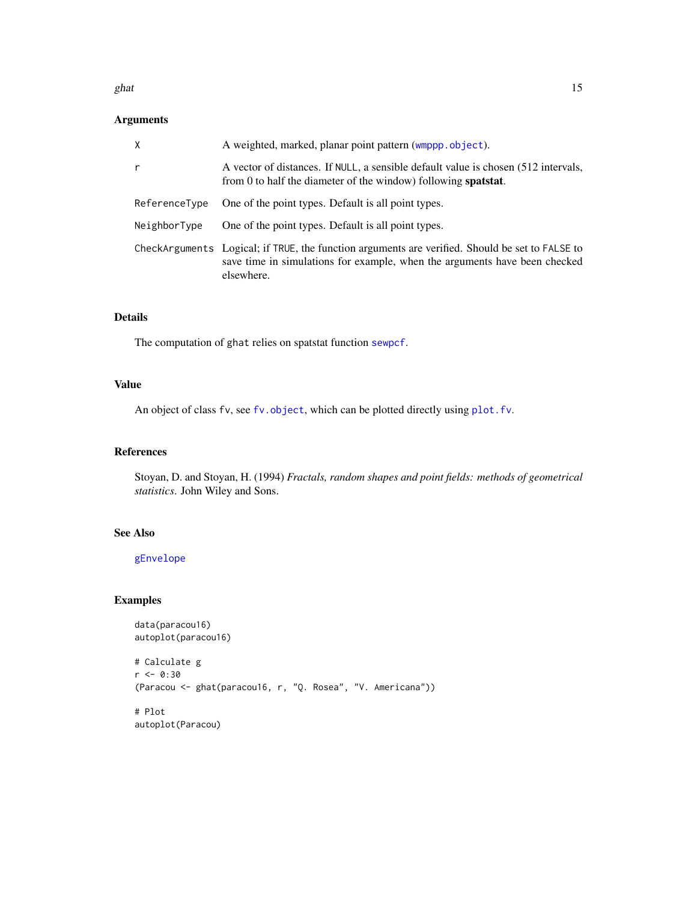#### <span id="page-14-0"></span>ghat  $15$

## Arguments

| $\times$      | A weighted, marked, planar point pattern (wmppp.object).                                                                                                                                    |
|---------------|---------------------------------------------------------------------------------------------------------------------------------------------------------------------------------------------|
| r             | A vector of distances. If NULL, a sensible default value is chosen (512 intervals,<br>from 0 to half the diameter of the window) following <b>spatstat</b> .                                |
| ReferenceType | One of the point types. Default is all point types.                                                                                                                                         |
| NeighborType  | One of the point types. Default is all point types.                                                                                                                                         |
|               | CheckArguments Logical; if TRUE, the function arguments are verified. Should be set to FALSE to<br>save time in simulations for example, when the arguments have been checked<br>elsewhere. |

## Details

The computation of ghat relies on spatstat function [sewpcf](#page-0-0).

## Value

An object of class fv, see [fv.object](#page-0-0), which can be plotted directly using [plot.fv](#page-0-0).

## References

Stoyan, D. and Stoyan, H. (1994) *Fractals, random shapes and point fields: methods of geometrical statistics*. John Wiley and Sons.

## See Also

[gEnvelope](#page-12-1)

## Examples

```
data(paracou16)
autoplot(paracou16)
```

```
# Calculate g
r <- 0:30
(Paracou <- ghat(paracou16, r, "Q. Rosea", "V. Americana"))
# Plot
autoplot(Paracou)
```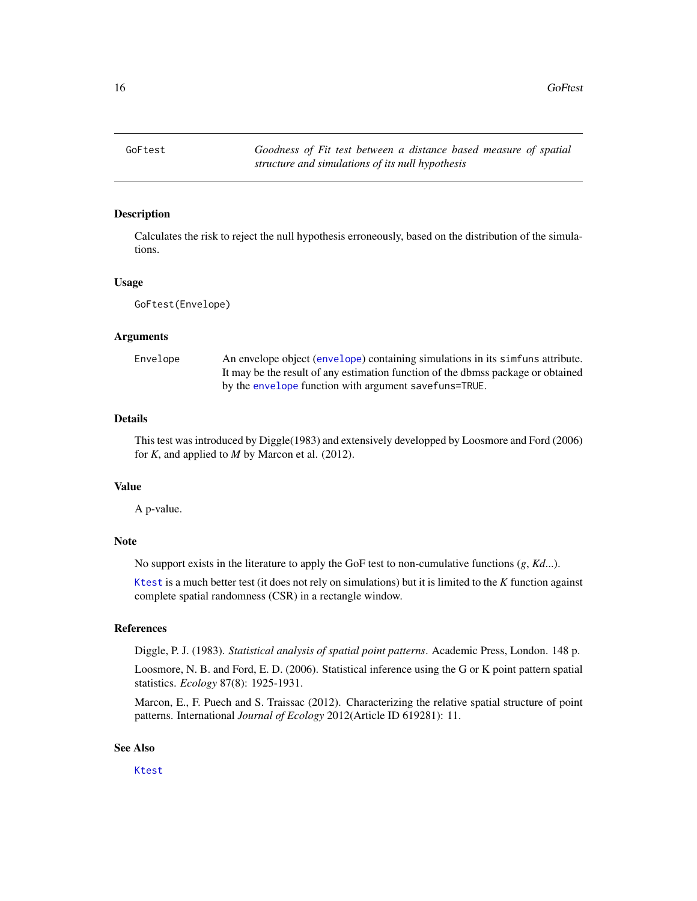<span id="page-15-0"></span>16 GoFtest and the contract of the contract of the contract of the contract of the contract of the contract of the contract of the contract of the contract of the contract of the contract of the contract of the contract of

<span id="page-15-1"></span>GoFtest *Goodness of Fit test between a distance based measure of spatial structure and simulations of its null hypothesis*

## **Description**

Calculates the risk to reject the null hypothesis erroneously, based on the distribution of the simulations.

#### Usage

GoFtest(Envelope)

## Arguments

Envelope An envelope object ([envelope](#page-0-0)) containing simulations in its simfuns attribute. It may be the result of any estimation function of the dbmss package or obtained by the [envelope](#page-0-0) function with argument savefuns=TRUE.

## Details

This test was introduced by Diggle(1983) and extensively developped by Loosmore and Ford (2006) for *K*, and applied to *M* by Marcon et al. (2012).

## Value

A p-value.

### Note

No support exists in the literature to apply the GoF test to non-cumulative functions (*g*, *Kd*...).

[Ktest](#page-31-1) is a much better test (it does not rely on simulations) but it is limited to the *K* function against complete spatial randomness (CSR) in a rectangle window.

## References

Diggle, P. J. (1983). *Statistical analysis of spatial point patterns*. Academic Press, London. 148 p.

Loosmore, N. B. and Ford, E. D. (2006). Statistical inference using the G or K point pattern spatial statistics. *Ecology* 87(8): 1925-1931.

Marcon, E., F. Puech and S. Traissac (2012). Characterizing the relative spatial structure of point patterns. International *Journal of Ecology* 2012(Article ID 619281): 11.

## See Also

[Ktest](#page-31-1)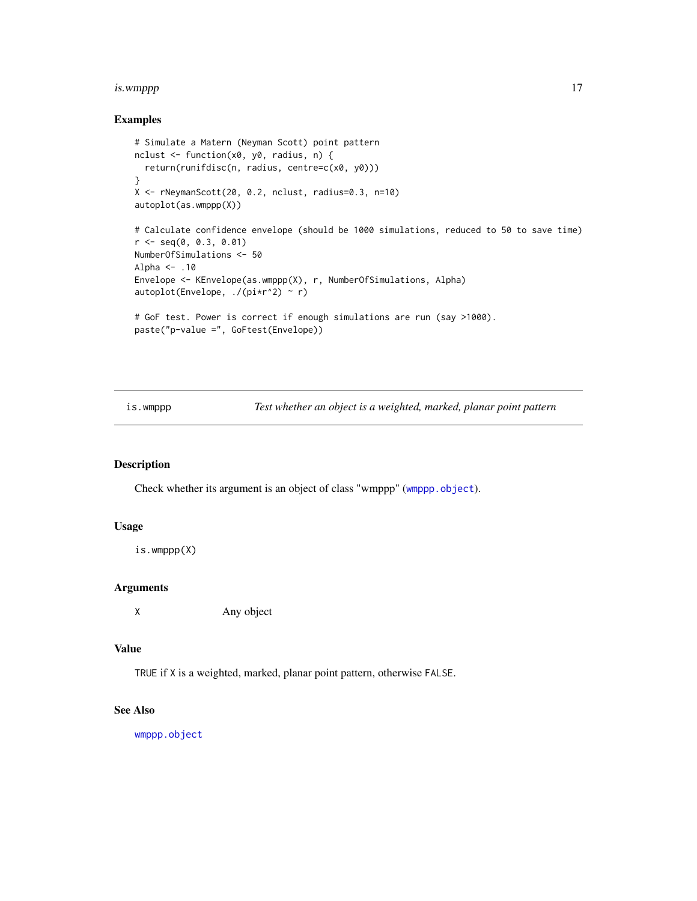#### <span id="page-16-0"></span>is.wmppp 17

## Examples

```
# Simulate a Matern (Neyman Scott) point pattern
nclust <- function(x0, y0, radius, n) {
  return(runifdisc(n, radius, centre=c(x0, y0)))
}
X <- rNeymanScott(20, 0.2, nclust, radius=0.3, n=10)
autoplot(as.wmppp(X))
# Calculate confidence envelope (should be 1000 simulations, reduced to 50 to save time)
r <- seq(0, 0.3, 0.01)
NumberOfSimulations <- 50
Alpha <- .10
Envelope <- KEnvelope(as.wmppp(X), r, NumberOfSimulations, Alpha)
autoplot(Envelope, ./(pi*r^2) ~ r)
# GoF test. Power is correct if enough simulations are run (say >1000).
paste("p-value =", GoFtest(Envelope))
```
is.wmppp *Test whether an object is a weighted, marked, planar point pattern*

## Description

Check whether its argument is an object of class "wmppp" ([wmppp.object](#page-58-1)).

## Usage

```
is.wmppp(X)
```
## Arguments

X Any object

#### Value

TRUE if X is a weighted, marked, planar point pattern, otherwise FALSE.

## See Also

[wmppp.object](#page-58-1)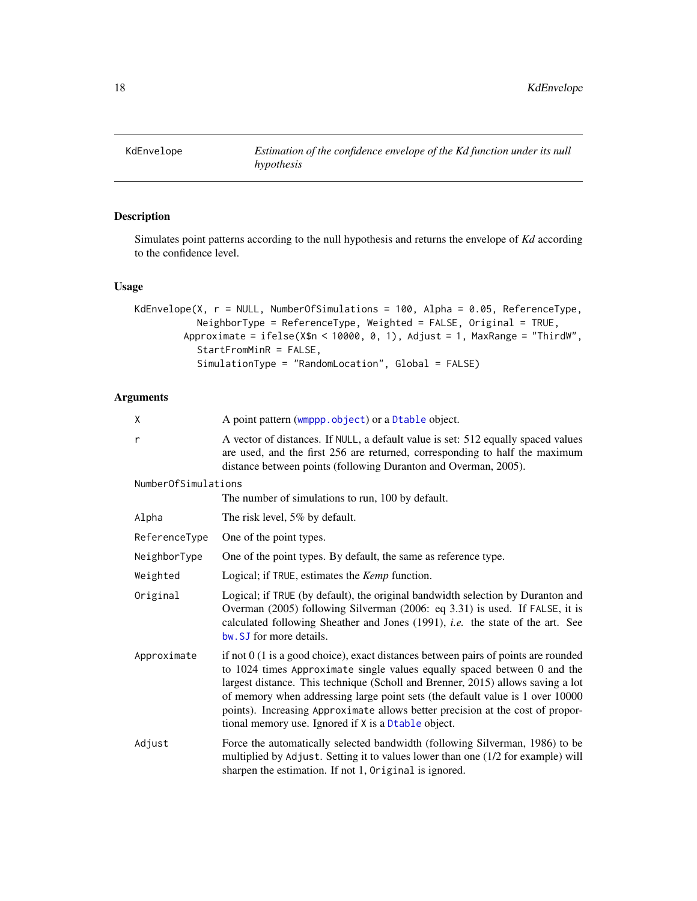<span id="page-17-1"></span><span id="page-17-0"></span>

## Description

Simulates point patterns according to the null hypothesis and returns the envelope of *Kd* according to the confidence level.

## Usage

```
KdEnvelope(X, r = NULL, NumberOfSimulations = 100, Alpha = 0.05, ReferenceType,
           NeighborType = ReferenceType, Weighted = FALSE, Original = TRUE,
        Approximate = ifelse(X$n < 10000, 0, 1), Adjust = 1, MaxRange = "ThirdW",
           StartFromMinR = FALSE,
           SimulationType = "RandomLocation", Global = FALSE)
```
## Arguments

| X                   | A point pattern (wmppp.object) or a Dtable object.                                                                                                                                                                                                                                                                                                                                                                                                                              |  |
|---------------------|---------------------------------------------------------------------------------------------------------------------------------------------------------------------------------------------------------------------------------------------------------------------------------------------------------------------------------------------------------------------------------------------------------------------------------------------------------------------------------|--|
| r                   | A vector of distances. If NULL, a default value is set: 512 equally spaced values<br>are used, and the first 256 are returned, corresponding to half the maximum<br>distance between points (following Duranton and Overman, 2005).                                                                                                                                                                                                                                             |  |
| NumberOfSimulations |                                                                                                                                                                                                                                                                                                                                                                                                                                                                                 |  |
|                     | The number of simulations to run, 100 by default.                                                                                                                                                                                                                                                                                                                                                                                                                               |  |
| Alpha               | The risk level, 5% by default.                                                                                                                                                                                                                                                                                                                                                                                                                                                  |  |
| ReferenceType       | One of the point types.                                                                                                                                                                                                                                                                                                                                                                                                                                                         |  |
| NeighborType        | One of the point types. By default, the same as reference type.                                                                                                                                                                                                                                                                                                                                                                                                                 |  |
| Weighted            | Logical; if TRUE, estimates the <i>Kemp</i> function.                                                                                                                                                                                                                                                                                                                                                                                                                           |  |
| Original            | Logical; if TRUE (by default), the original bandwidth selection by Duranton and<br>Overman (2005) following Silverman (2006: eq 3.31) is used. If FALSE, it is<br>calculated following Sheather and Jones (1991), i.e. the state of the art. See<br>bw. SJ for more details.                                                                                                                                                                                                    |  |
| Approximate         | if not $0$ (1 is a good choice), exact distances between pairs of points are rounded<br>to $1024$ times Approximate single values equally spaced between 0 and the<br>largest distance. This technique (Scholl and Brenner, 2015) allows saving a lot<br>of memory when addressing large point sets (the default value is 1 over 10000<br>points). Increasing Approximate allows better precision at the cost of propor-<br>tional memory use. Ignored if X is a Dtable object. |  |
| Adjust              | Force the automatically selected bandwidth (following Silverman, 1986) to be<br>multiplied by Adjust. Setting it to values lower than one (1/2 for example) will<br>sharpen the estimation. If not 1, Original is ignored.                                                                                                                                                                                                                                                      |  |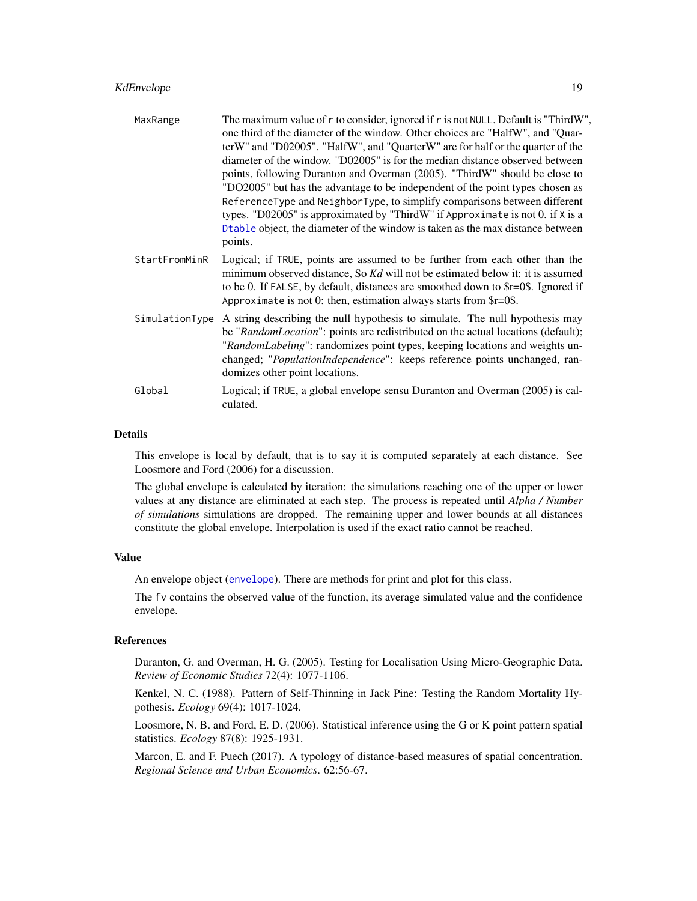## <span id="page-18-0"></span>KdEnvelope 19

| MaxRange       | The maximum value of r to consider, ignored if r is not NULL. Default is "ThirdW",<br>one third of the diameter of the window. Other choices are "HalfW", and "Quar-<br>terW" and "D02005". "HalfW", and "QuarterW" are for half or the quarter of the<br>diameter of the window. "D02005" is for the median distance observed between<br>points, following Duranton and Overman (2005). "ThirdW" should be close to<br>"DO2005" but has the advantage to be independent of the point types chosen as<br>ReferenceType and NeighborType, to simplify comparisons between different<br>types. "D02005" is approximated by "ThirdW" if Approximate is not 0. if $X$ is a<br>Dtable object, the diameter of the window is taken as the max distance between<br>points. |
|----------------|---------------------------------------------------------------------------------------------------------------------------------------------------------------------------------------------------------------------------------------------------------------------------------------------------------------------------------------------------------------------------------------------------------------------------------------------------------------------------------------------------------------------------------------------------------------------------------------------------------------------------------------------------------------------------------------------------------------------------------------------------------------------|
| StartFromMinR  | Logical; if TRUE, points are assumed to be further from each other than the<br>minimum observed distance, So Kd will not be estimated below it: it is assumed<br>to be 0. If FALSE, by default, distances are smoothed down to \$r=0\$. Ignored if<br>Approximate is not 0: then, estimation always starts from $r=0$ .                                                                                                                                                                                                                                                                                                                                                                                                                                             |
| SimulationType | A string describing the null hypothesis to simulate. The null hypothesis may<br>be "RandomLocation": points are redistributed on the actual locations (default);<br>"RandomLabeling": randomizes point types, keeping locations and weights un-<br>changed; "PopulationIndependence": keeps reference points unchanged, ran-<br>domizes other point locations.                                                                                                                                                                                                                                                                                                                                                                                                      |
| Global         | Logical; if TRUE, a global envelope sensu Duranton and Overman (2005) is cal-<br>culated.                                                                                                                                                                                                                                                                                                                                                                                                                                                                                                                                                                                                                                                                           |

## Details

This envelope is local by default, that is to say it is computed separately at each distance. See Loosmore and Ford (2006) for a discussion.

The global envelope is calculated by iteration: the simulations reaching one of the upper or lower values at any distance are eliminated at each step. The process is repeated until *Alpha / Number of simulations* simulations are dropped. The remaining upper and lower bounds at all distances constitute the global envelope. Interpolation is used if the exact ratio cannot be reached.

## Value

An envelope object ([envelope](#page-0-0)). There are methods for print and plot for this class.

The fv contains the observed value of the function, its average simulated value and the confidence envelope.

#### References

Duranton, G. and Overman, H. G. (2005). Testing for Localisation Using Micro-Geographic Data. *Review of Economic Studies* 72(4): 1077-1106.

Kenkel, N. C. (1988). Pattern of Self-Thinning in Jack Pine: Testing the Random Mortality Hypothesis. *Ecology* 69(4): 1017-1024.

Loosmore, N. B. and Ford, E. D. (2006). Statistical inference using the G or K point pattern spatial statistics. *Ecology* 87(8): 1925-1931.

Marcon, E. and F. Puech (2017). A typology of distance-based measures of spatial concentration. *Regional Science and Urban Economics*. 62:56-67.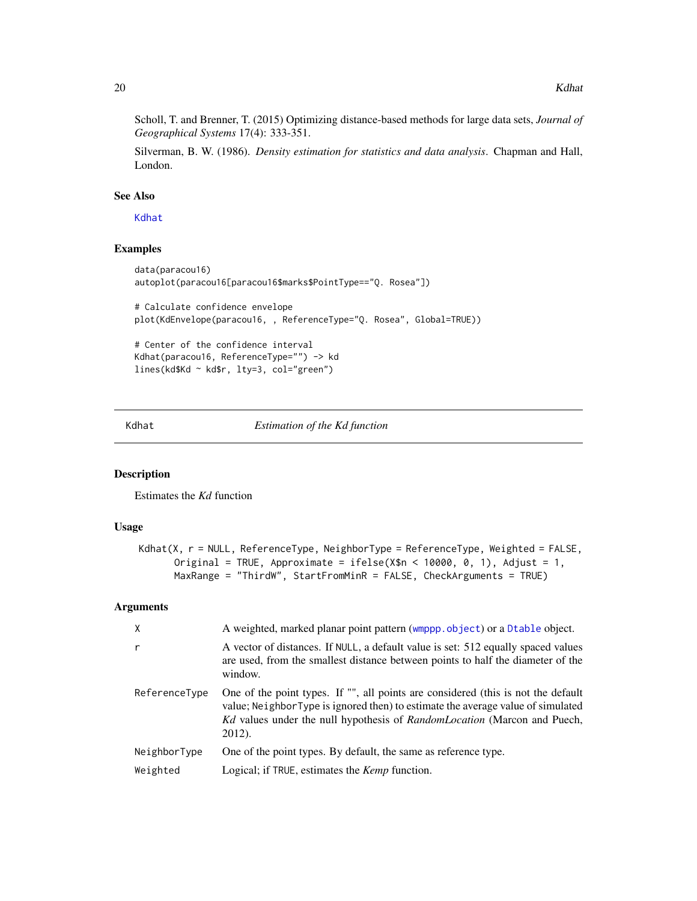<span id="page-19-0"></span>Scholl, T. and Brenner, T. (2015) Optimizing distance-based methods for large data sets, *Journal of Geographical Systems* 17(4): 333-351.

Silverman, B. W. (1986). *Density estimation for statistics and data analysis*. Chapman and Hall, London.

## See Also

[Kdhat](#page-19-1)

## Examples

```
data(paracou16)
autoplot(paracou16[paracou16$marks$PointType=="Q. Rosea"])
# Calculate confidence envelope
plot(KdEnvelope(paracou16, , ReferenceType="Q. Rosea", Global=TRUE))
# Center of the confidence interval
Kdhat(paracou16, ReferenceType="") -> kd
lines(kd$Kd ~ kd$r, lty=3, col="green")
```
<span id="page-19-1"></span>Kdhat *Estimation of the Kd function*

#### Description

Estimates the *Kd* function

## Usage

```
Kdhat(X, r = NULL, ReferenceType, NeighborType = ReferenceType, Weighted = FALSE,
      Original = TRUE, Approximate = ifelse(X$n < 10000, 0, 1), Adjust = 1,
      MaxRange = "ThirdW", StartFromMinR = FALSE, CheckArguments = TRUE)
```
## Arguments

| $\mathsf{X}$  | A weighted, marked planar point pattern (wmppp.object) or a Dtable object.                                                                                                                                                                                                |
|---------------|---------------------------------------------------------------------------------------------------------------------------------------------------------------------------------------------------------------------------------------------------------------------------|
| r             | A vector of distances. If NULL, a default value is set: 512 equally spaced values<br>are used, from the smallest distance between points to half the diameter of the<br>window.                                                                                           |
| ReferenceType | One of the point types. If "", all points are considered (this is not the default<br>value; Neighbor Type is ignored then) to estimate the average value of simulated<br><i>Kd</i> values under the null hypothesis of <i>RandomLocation</i> (Marcon and Puech,<br>2012). |
| NeighborType  | One of the point types. By default, the same as reference type.                                                                                                                                                                                                           |
| Weighted      | Logical; if TRUE, estimates the <i>Kemp</i> function.                                                                                                                                                                                                                     |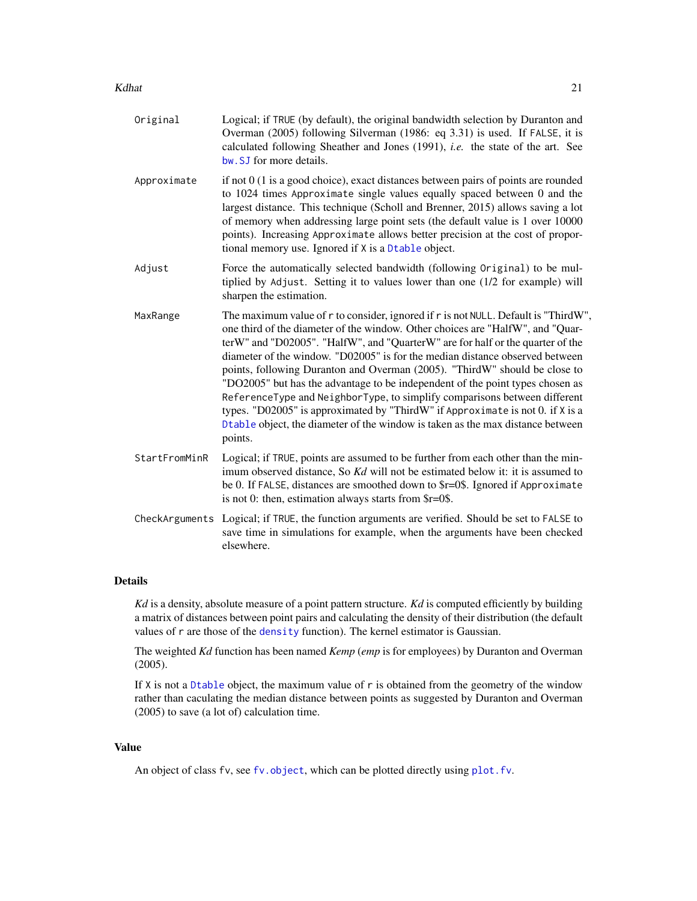- <span id="page-20-0"></span>Kdhat 21 and 22 and 22 and 22 and 22 and 23 and 23 and 23 and 23 and 23 and 24 and 24 and 25 and 26 and 27 and 27 and 27 and 27 and 27 and 27 and 27 and 27 and 27 and 27 and 27 and 27 and 27 and 27 and 27 and 27 and 27 and
	- Original Logical; if TRUE (by default), the original bandwidth selection by Duranton and Overman (2005) following Silverman (1986: eq 3.31) is used. If FALSE, it is calculated following Sheather and Jones (1991), *i.e.* the state of the art. See [bw.SJ](#page-0-0) for more details.
	- Approximate if not  $0$  (1 is a good choice), exact distances between pairs of points are rounded to 1024 times Approximate single values equally spaced between 0 and the largest distance. This technique (Scholl and Brenner, 2015) allows saving a lot of memory when addressing large point sets (the default value is 1 over 10000 points). Increasing Approximate allows better precision at the cost of proportional memory use. Ignored if X is a [Dtable](#page-10-1) object.
	- Adjust Force the automatically selected bandwidth (following Original) to be multiplied by Adjust. Setting it to values lower than one (1/2 for example) will sharpen the estimation.
	- MaxRange The maximum value of r to consider, ignored if r is not NULL. Default is "ThirdW", one third of the diameter of the window. Other choices are "HalfW", and "QuarterW" and "D02005". "HalfW", and "QuarterW" are for half or the quarter of the diameter of the window. "D02005" is for the median distance observed between points, following Duranton and Overman (2005). "ThirdW" should be close to "DO2005" but has the advantage to be independent of the point types chosen as ReferenceType and NeighborType, to simplify comparisons between different types. "D02005" is approximated by "ThirdW" if Approximate is not 0. if X is a [Dtable](#page-10-1) object, the diameter of the window is taken as the max distance between points.
	- StartFromMinR Logical; if TRUE, points are assumed to be further from each other than the minimum observed distance, So *Kd* will not be estimated below it: it is assumed to be 0. If FALSE, distances are smoothed down to \$r=0\$. Ignored if Approximate is not 0: then, estimation always starts from \$r=0\$.
	- CheckArguments Logical; if TRUE, the function arguments are verified. Should be set to FALSE to save time in simulations for example, when the arguments have been checked elsewhere.

## Details

*Kd* is a density, absolute measure of a point pattern structure. *Kd* is computed efficiently by building a matrix of distances between point pairs and calculating the density of their distribution (the default values of r are those of the [density](#page-0-0) function). The kernel estimator is Gaussian.

The weighted *Kd* function has been named *Kemp* (*emp* is for employees) by Duranton and Overman (2005).

If X is not a [Dtable](#page-10-1) object, the maximum value of r is obtained from the geometry of the window rather than caculating the median distance between points as suggested by Duranton and Overman (2005) to save (a lot of) calculation time.

#### Value

An object of class fv, see fv. object, which can be plotted directly using plot. fv.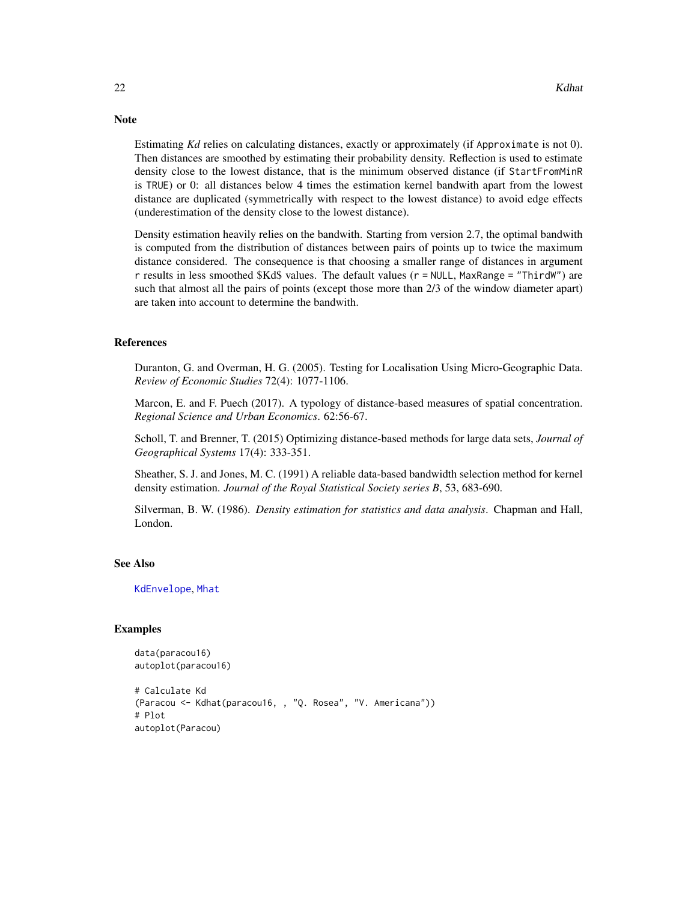Estimating *Kd* relies on calculating distances, exactly or approximately (if Approximate is not 0). Then distances are smoothed by estimating their probability density. Reflection is used to estimate density close to the lowest distance, that is the minimum observed distance (if StartFromMinR is TRUE) or 0: all distances below 4 times the estimation kernel bandwith apart from the lowest distance are duplicated (symmetrically with respect to the lowest distance) to avoid edge effects (underestimation of the density close to the lowest distance).

Density estimation heavily relies on the bandwith. Starting from version 2.7, the optimal bandwith is computed from the distribution of distances between pairs of points up to twice the maximum distance considered. The consequence is that choosing a smaller range of distances in argument r results in less smoothed \$Kd\$ values. The default values (r = NULL, MaxRange = "ThirdW") are such that almost all the pairs of points (except those more than 2/3 of the window diameter apart) are taken into account to determine the bandwith.

#### References

Duranton, G. and Overman, H. G. (2005). Testing for Localisation Using Micro-Geographic Data. *Review of Economic Studies* 72(4): 1077-1106.

Marcon, E. and F. Puech (2017). A typology of distance-based measures of spatial concentration. *Regional Science and Urban Economics*. 62:56-67.

Scholl, T. and Brenner, T. (2015) Optimizing distance-based methods for large data sets, *Journal of Geographical Systems* 17(4): 333-351.

Sheather, S. J. and Jones, M. C. (1991) A reliable data-based bandwidth selection method for kernel density estimation. *Journal of the Royal Statistical Society series B*, 53, 683-690.

Silverman, B. W. (1986). *Density estimation for statistics and data analysis*. Chapman and Hall, London.

#### See Also

[KdEnvelope](#page-17-1), [Mhat](#page-42-1)

#### Examples

```
data(paracou16)
autoplot(paracou16)
```

```
# Calculate Kd
(Paracou <- Kdhat(paracou16, , "Q. Rosea", "V. Americana"))
# Plot
autoplot(Paracou)
```
<span id="page-21-0"></span>

## **Note**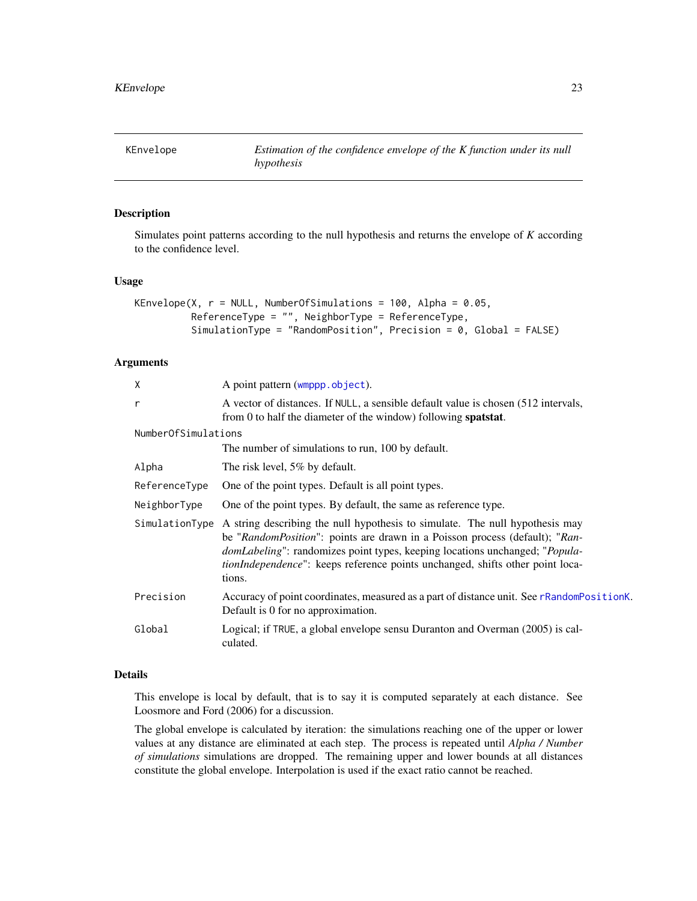## <span id="page-22-1"></span><span id="page-22-0"></span>Description

Simulates point patterns according to the null hypothesis and returns the envelope of *K* according to the confidence level.

#### Usage

```
KEnvelope(X, r = NULL, NumberOfSimulations = 100, Alpha = 0.05,
         ReferenceType = "", NeighborType = ReferenceType,
          SimulationType = "RandomPosition", Precision = 0, Global = FALSE)
```
## Arguments

| X                   | A point pattern (wmppp.object).                                                                                                                                                                                                                                                                                                                                |
|---------------------|----------------------------------------------------------------------------------------------------------------------------------------------------------------------------------------------------------------------------------------------------------------------------------------------------------------------------------------------------------------|
| r                   | A vector of distances. If NULL, a sensible default value is chosen (512 intervals,<br>from 0 to half the diameter of the window) following <b>spatstat</b> .                                                                                                                                                                                                   |
| NumberOfSimulations |                                                                                                                                                                                                                                                                                                                                                                |
|                     | The number of simulations to run, 100 by default.                                                                                                                                                                                                                                                                                                              |
| Alpha               | The risk level, 5% by default.                                                                                                                                                                                                                                                                                                                                 |
| ReferenceType       | One of the point types. Default is all point types.                                                                                                                                                                                                                                                                                                            |
| NeighborType        | One of the point types. By default, the same as reference type.                                                                                                                                                                                                                                                                                                |
| SimulationType      | A string describing the null hypothesis to simulate. The null hypothesis may<br>be "RandomPosition": points are drawn in a Poisson process (default); "Ran-<br><i>domLabeling</i> ": randomizes point types, keeping locations unchanged; " <i>Popula</i> -<br><i>tionIndependence</i> ": keeps reference points unchanged, shifts other point loca-<br>tions. |
| Precision           | Accuracy of point coordinates, measured as a part of distance unit. See rRandomPositionK.<br>Default is 0 for no approximation.                                                                                                                                                                                                                                |
| Global              | Logical; if TRUE, a global envelope sensu Duranton and Overman (2005) is cal-<br>culated.                                                                                                                                                                                                                                                                      |

## Details

This envelope is local by default, that is to say it is computed separately at each distance. See Loosmore and Ford (2006) for a discussion.

The global envelope is calculated by iteration: the simulations reaching one of the upper or lower values at any distance are eliminated at each step. The process is repeated until *Alpha / Number of simulations* simulations are dropped. The remaining upper and lower bounds at all distances constitute the global envelope. Interpolation is used if the exact ratio cannot be reached.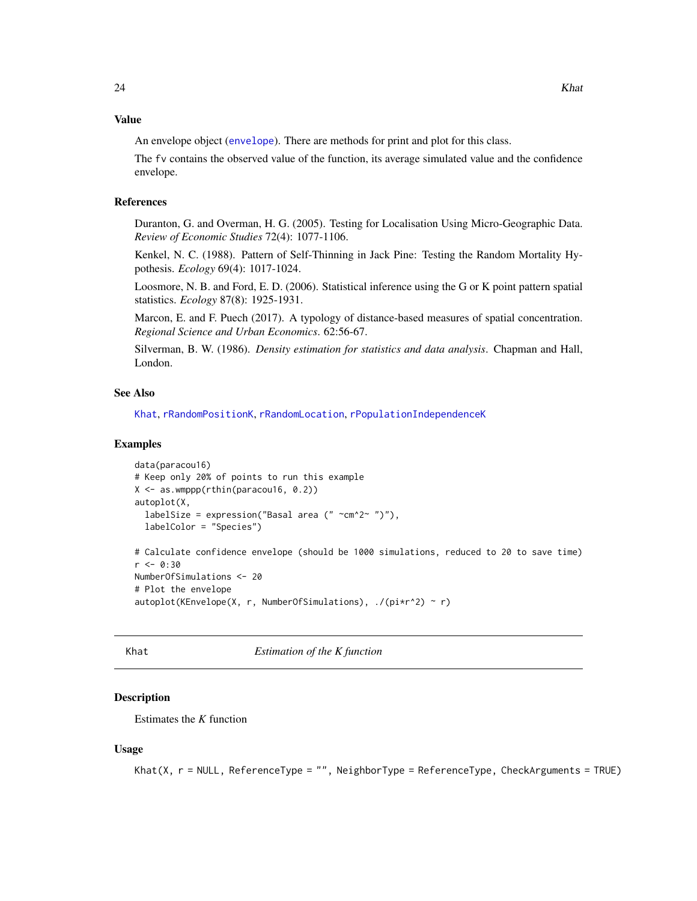#### <span id="page-23-0"></span>Value

An envelope object ([envelope](#page-0-0)). There are methods for print and plot for this class.

The fv contains the observed value of the function, its average simulated value and the confidence envelope.

## References

Duranton, G. and Overman, H. G. (2005). Testing for Localisation Using Micro-Geographic Data. *Review of Economic Studies* 72(4): 1077-1106.

Kenkel, N. C. (1988). Pattern of Self-Thinning in Jack Pine: Testing the Random Mortality Hypothesis. *Ecology* 69(4): 1017-1024.

Loosmore, N. B. and Ford, E. D. (2006). Statistical inference using the G or K point pattern spatial statistics. *Ecology* 87(8): 1925-1931.

Marcon, E. and F. Puech (2017). A typology of distance-based measures of spatial concentration. *Regional Science and Urban Economics*. 62:56-67.

Silverman, B. W. (1986). *Density estimation for statistics and data analysis*. Chapman and Hall, London.

## See Also

[Khat](#page-23-1), [rRandomPositionK](#page-54-1), [rRandomLocation](#page-53-1), [rPopulationIndependenceK](#page-48-1)

#### Examples

```
data(paracou16)
# Keep only 20% of points to run this example
X <- as.wmppp(rthin(paracou16, 0.2))
autoplot(X,
 labelSize = expression("Basal area ("\simcm^2~ ")"),
 labelColor = "Species")
# Calculate confidence envelope (should be 1000 simulations, reduced to 20 to save time)
r <- 0:30
NumberOfSimulations <- 20
# Plot the envelope
autoplot(KEnvelope(X, r, NumberOfSimulations), ./(pi*r^2) ~ r)
```
<span id="page-23-1"></span>Khat *Estimation of the K function*

## Description

Estimates the *K* function

#### Usage

```
Khat(X, r = NULL, ReferenceType = "", NeighborType = ReferenceType, CheckArguments = TRUE)
```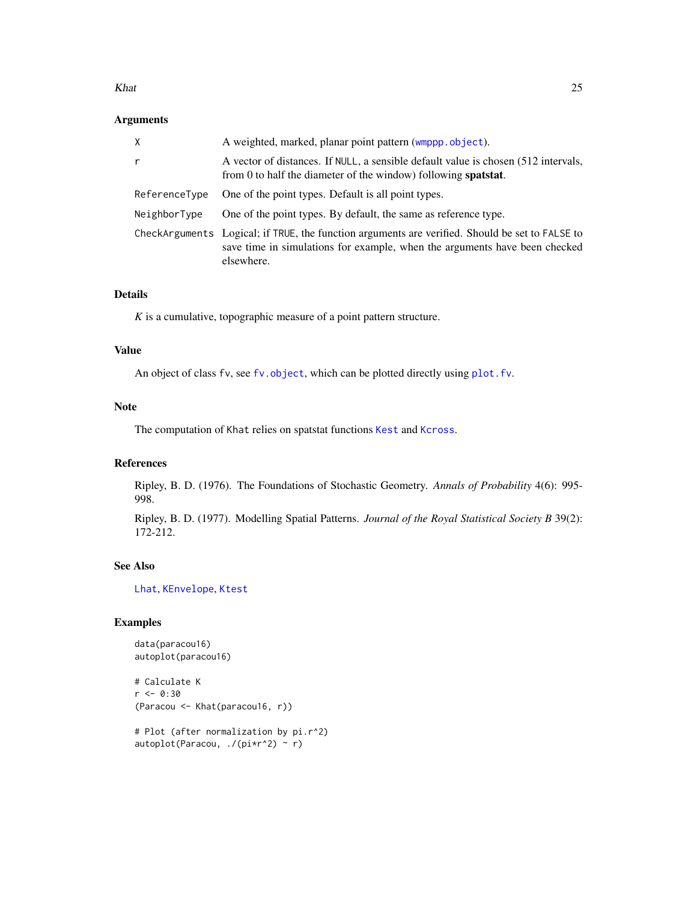#### <span id="page-24-0"></span>Khat 25

## Arguments

| X             | A weighted, marked, planar point pattern (wmppp.object).                                                                                                                                    |
|---------------|---------------------------------------------------------------------------------------------------------------------------------------------------------------------------------------------|
| r             | A vector of distances. If NULL, a sensible default value is chosen (512 intervals,<br>from 0 to half the diameter of the window) following <b>spatstat</b> .                                |
| ReferenceType | One of the point types. Default is all point types.                                                                                                                                         |
| NeighborType  | One of the point types. By default, the same as reference type.                                                                                                                             |
|               | CheckArguments Logical; if TRUE, the function arguments are verified. Should be set to FALSE to<br>save time in simulations for example, when the arguments have been checked<br>elsewhere. |

## Details

*K* is a cumulative, topographic measure of a point pattern structure.

## Value

An object of class fv, see [fv.object](#page-0-0), which can be plotted directly using [plot.fv](#page-0-0).

## Note

The computation of Khat relies on spatstat functions [Kest](#page-0-0) and [Kcross](#page-0-0).

## References

Ripley, B. D. (1976). The Foundations of Stochastic Geometry. *Annals of Probability* 4(6): 995- 998.

Ripley, B. D. (1977). Modelling Spatial Patterns. *Journal of the Royal Statistical Society B* 39(2): 172-212.

## See Also

[Lhat](#page-34-1), [KEnvelope](#page-22-1), [Ktest](#page-31-1)

## Examples

```
data(paracou16)
autoplot(paracou16)
```

```
# Calculate K
r <- 0:30
(Paracou <- Khat(paracou16, r))
```

```
# Plot (after normalization by pi.r^2)
autoplot(Paracou, ./(pi*r^2) ~ r)
```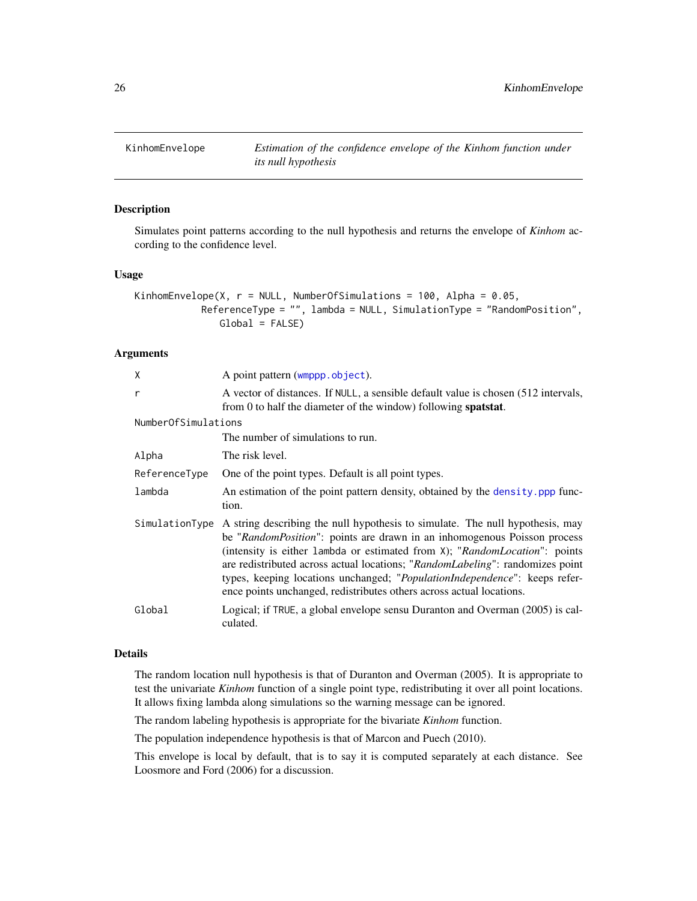<span id="page-25-1"></span><span id="page-25-0"></span>

## Description

Simulates point patterns according to the null hypothesis and returns the envelope of *Kinhom* according to the confidence level.

## Usage

```
KinhomEnvelope(X, r = NULL, NumberOfSimulations = 100, Alpha = 0.05,
           ReferenceType = "", lambda = NULL, SimulationType = "RandomPosition",
               Global = FALSE)
```
#### Arguments

| Χ                   | A point pattern (wmppp.object).                                                                                                                                                                                                                                                                                                                                                                                                                                                    |
|---------------------|------------------------------------------------------------------------------------------------------------------------------------------------------------------------------------------------------------------------------------------------------------------------------------------------------------------------------------------------------------------------------------------------------------------------------------------------------------------------------------|
| r                   | A vector of distances. If NULL, a sensible default value is chosen (512 intervals,<br>from 0 to half the diameter of the window) following <b>spatstat</b> .                                                                                                                                                                                                                                                                                                                       |
| NumberOfSimulations |                                                                                                                                                                                                                                                                                                                                                                                                                                                                                    |
|                     | The number of simulations to run.                                                                                                                                                                                                                                                                                                                                                                                                                                                  |
| Alpha               | The risk level.                                                                                                                                                                                                                                                                                                                                                                                                                                                                    |
| ReferenceType       | One of the point types. Default is all point types.                                                                                                                                                                                                                                                                                                                                                                                                                                |
| lambda              | An estimation of the point pattern density, obtained by the density, ppp func-<br>tion.                                                                                                                                                                                                                                                                                                                                                                                            |
| SimulationType      | A string describing the null hypothesis to simulate. The null hypothesis, may<br>be "RandomPosition": points are drawn in an inhomogenous Poisson process<br>(intensity is either 1 ambda or estimated from $X$ ); "RandomLocation": points<br>are redistributed across actual locations; "RandomLabeling": randomizes point<br>types, keeping locations unchanged; "PopulationIndependence": keeps refer-<br>ence points unchanged, redistributes others across actual locations. |
| Global              | Logical; if TRUE, a global envelope sensu Duranton and Overman (2005) is cal-<br>culated.                                                                                                                                                                                                                                                                                                                                                                                          |

#### Details

The random location null hypothesis is that of Duranton and Overman (2005). It is appropriate to test the univariate *Kinhom* function of a single point type, redistributing it over all point locations. It allows fixing lambda along simulations so the warning message can be ignored.

The random labeling hypothesis is appropriate for the bivariate *Kinhom* function.

The population independence hypothesis is that of Marcon and Puech (2010).

This envelope is local by default, that is to say it is computed separately at each distance. See Loosmore and Ford (2006) for a discussion.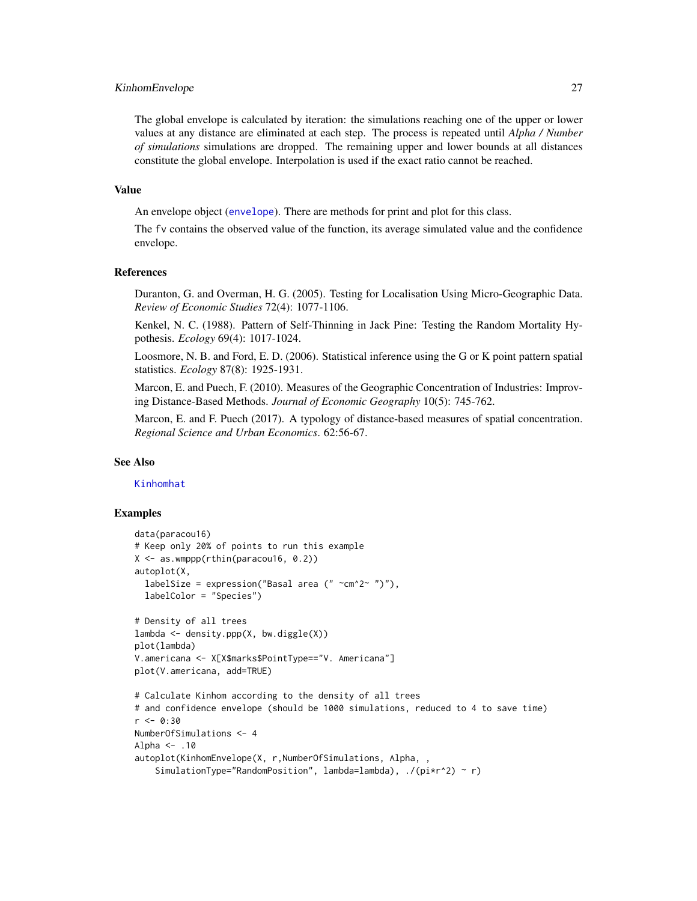#### <span id="page-26-0"></span>KinhomEnvelope 27

The global envelope is calculated by iteration: the simulations reaching one of the upper or lower values at any distance are eliminated at each step. The process is repeated until *Alpha / Number of simulations* simulations are dropped. The remaining upper and lower bounds at all distances constitute the global envelope. Interpolation is used if the exact ratio cannot be reached.

#### Value

An envelope object ([envelope](#page-0-0)). There are methods for print and plot for this class.

The fv contains the observed value of the function, its average simulated value and the confidence envelope.

#### References

Duranton, G. and Overman, H. G. (2005). Testing for Localisation Using Micro-Geographic Data. *Review of Economic Studies* 72(4): 1077-1106.

Kenkel, N. C. (1988). Pattern of Self-Thinning in Jack Pine: Testing the Random Mortality Hypothesis. *Ecology* 69(4): 1017-1024.

Loosmore, N. B. and Ford, E. D. (2006). Statistical inference using the G or K point pattern spatial statistics. *Ecology* 87(8): 1925-1931.

Marcon, E. and Puech, F. (2010). Measures of the Geographic Concentration of Industries: Improving Distance-Based Methods. *Journal of Economic Geography* 10(5): 745-762.

Marcon, E. and F. Puech (2017). A typology of distance-based measures of spatial concentration. *Regional Science and Urban Economics*. 62:56-67.

#### See Also

#### [Kinhomhat](#page-27-1)

### Examples

```
data(paracou16)
# Keep only 20% of points to run this example
X \le - as.wmppp(rthin(paracou16, 0.2))
autoplot(X,
 labelSize = expression("Basal area (" ~cm^2~ ")"),
 labelColor = "Species")
# Density of all trees
lambda <- density.ppp(X, bw.diggle(X))
plot(lambda)
V.americana <- X[X$marks$PointType=="V. Americana"]
plot(V.americana, add=TRUE)
# Calculate Kinhom according to the density of all trees
# and confidence envelope (should be 1000 simulations, reduced to 4 to save time)
r <- 0:30
NumberOfSimulations <- 4
Alpha <- .10
autoplot(KinhomEnvelope(X, r,NumberOfSimulations, Alpha, ,
    SimulationType="RandomPosition", lambda=lambda), ./(pi*r^2) ~ r)
```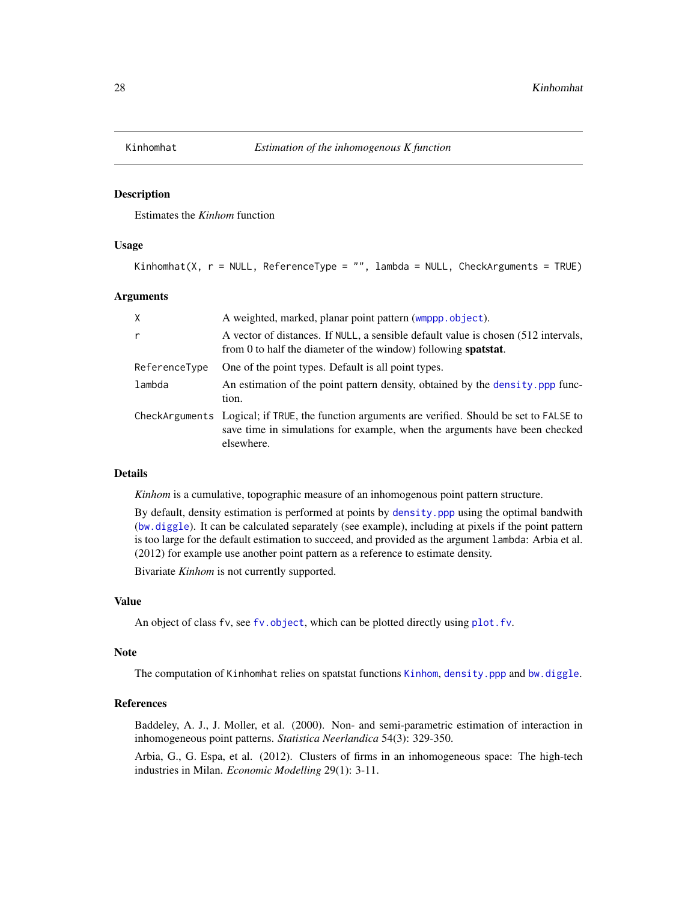<span id="page-27-1"></span><span id="page-27-0"></span>

## Description

Estimates the *Kinhom* function

### Usage

```
Kinhomhat(X, r = NULL, ReferenceType = "", lambda = NULL, CheckArguments = TRUE)
```
#### Arguments

| X             | A weighted, marked, planar point pattern (wmppp.object).                                                                                                                                    |
|---------------|---------------------------------------------------------------------------------------------------------------------------------------------------------------------------------------------|
| r             | A vector of distances. If NULL, a sensible default value is chosen (512 intervals,<br>from 0 to half the diameter of the window) following <b>spatstat</b> .                                |
| ReferenceType | One of the point types. Default is all point types.                                                                                                                                         |
| lambda        | An estimation of the point pattern density, obtained by the density. ppp func-<br>tion.                                                                                                     |
|               | CheckArguments Logical; if TRUE, the function arguments are verified. Should be set to FALSE to<br>save time in simulations for example, when the arguments have been checked<br>elsewhere. |

#### Details

*Kinhom* is a cumulative, topographic measure of an inhomogenous point pattern structure.

By default, density estimation is performed at points by [density.ppp](#page-0-0) using the optimal bandwith ([bw.diggle](#page-0-0)). It can be calculated separately (see example), including at pixels if the point pattern is too large for the default estimation to succeed, and provided as the argument lambda: Arbia et al. (2012) for example use another point pattern as a reference to estimate density.

Bivariate *Kinhom* is not currently supported.

## Value

An object of class fv, see fv. object, which can be plotted directly using plot. fv.

## Note

The computation of Kinhomhat relies on spatstat functions [Kinhom](#page-0-0), [density.ppp](#page-0-0) and [bw.diggle](#page-0-0).

## References

Baddeley, A. J., J. Moller, et al. (2000). Non- and semi-parametric estimation of interaction in inhomogeneous point patterns. *Statistica Neerlandica* 54(3): 329-350.

Arbia, G., G. Espa, et al. (2012). Clusters of firms in an inhomogeneous space: The high-tech industries in Milan. *Economic Modelling* 29(1): 3-11.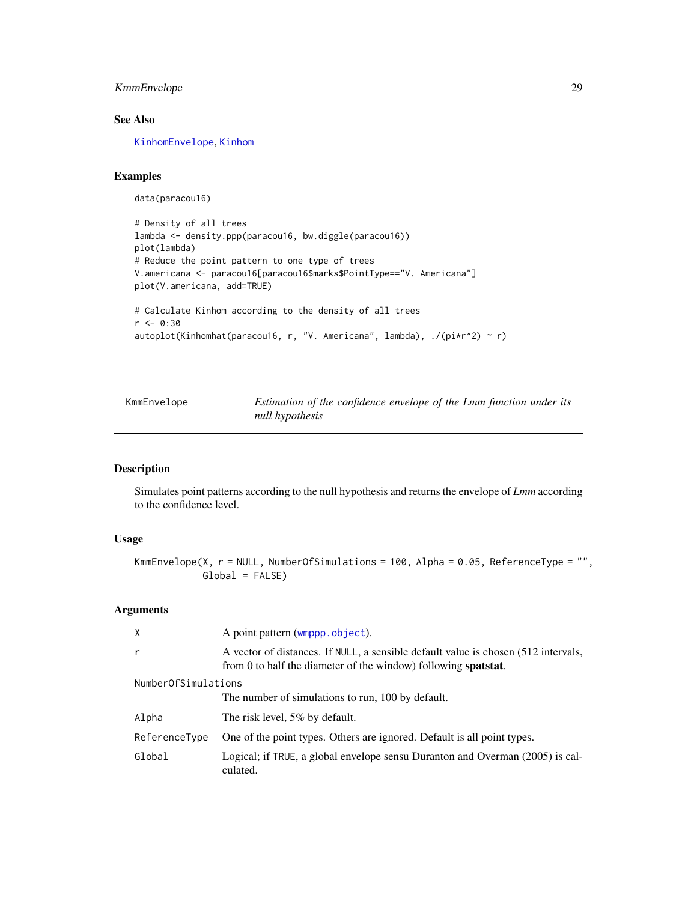## <span id="page-28-0"></span>KmmEnvelope 29

## See Also

[KinhomEnvelope](#page-25-1), [Kinhom](#page-0-0)

## Examples

data(paracou16)

```
# Density of all trees
lambda <- density.ppp(paracou16, bw.diggle(paracou16))
plot(lambda)
# Reduce the point pattern to one type of trees
V.americana <- paracou16[paracou16$marks$PointType=="V. Americana"]
plot(V.americana, add=TRUE)
# Calculate Kinhom according to the density of all trees
r <- 0:30
autoplot(Kinhomhat(paracou16, r, "V. Americana", lambda), ./(pi*r^2) ~ r)
```

| KmmEnvelope | Estimation of the confidence envelope of the Lmm function under its |
|-------------|---------------------------------------------------------------------|
|             | null hypothesis                                                     |

## Description

Simulates point patterns according to the null hypothesis and returns the envelope of *Lmm* according to the confidence level.

## Usage

```
KmmEnvelope(X, r = NULL, NumberOfSimulations = 100, Alpha = 0.05, ReferenceType = "",
            Global = FALSE)
```
#### Arguments

| $\mathsf{X}$        | A point pattern (wmppp.object).                                                                                                                              |  |
|---------------------|--------------------------------------------------------------------------------------------------------------------------------------------------------------|--|
| $\mathsf{r}$        | A vector of distances. If NULL, a sensible default value is chosen (512 intervals,<br>from 0 to half the diameter of the window) following <b>spatstat</b> . |  |
| NumberOfSimulations |                                                                                                                                                              |  |
|                     | The number of simulations to run, 100 by default.                                                                                                            |  |
| Alpha               | The risk level, 5% by default.                                                                                                                               |  |
| ReferenceType       | One of the point types. Others are ignored. Default is all point types.                                                                                      |  |
| Global              | Logical; if TRUE, a global envelope sensu Duranton and Overman (2005) is cal-<br>culated.                                                                    |  |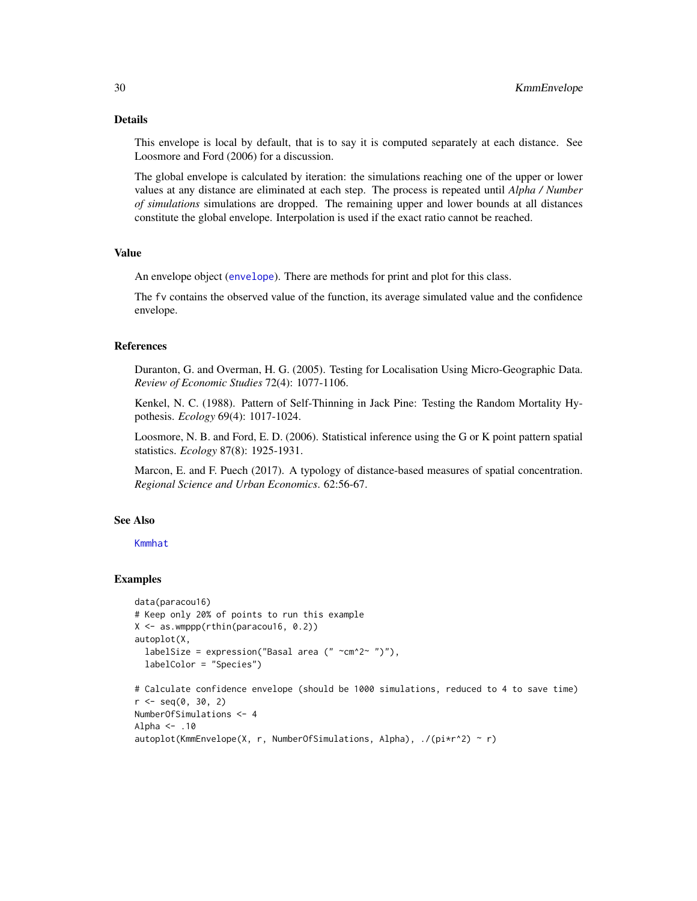## Details

This envelope is local by default, that is to say it is computed separately at each distance. See Loosmore and Ford (2006) for a discussion.

The global envelope is calculated by iteration: the simulations reaching one of the upper or lower values at any distance are eliminated at each step. The process is repeated until *Alpha / Number of simulations* simulations are dropped. The remaining upper and lower bounds at all distances constitute the global envelope. Interpolation is used if the exact ratio cannot be reached.

## Value

An envelope object ([envelope](#page-0-0)). There are methods for print and plot for this class.

The fv contains the observed value of the function, its average simulated value and the confidence envelope.

## References

Duranton, G. and Overman, H. G. (2005). Testing for Localisation Using Micro-Geographic Data. *Review of Economic Studies* 72(4): 1077-1106.

Kenkel, N. C. (1988). Pattern of Self-Thinning in Jack Pine: Testing the Random Mortality Hypothesis. *Ecology* 69(4): 1017-1024.

Loosmore, N. B. and Ford, E. D. (2006). Statistical inference using the G or K point pattern spatial statistics. *Ecology* 87(8): 1925-1931.

Marcon, E. and F. Puech (2017). A typology of distance-based measures of spatial concentration. *Regional Science and Urban Economics*. 62:56-67.

## See Also

## [Kmmhat](#page-30-1)

#### Examples

```
data(paracou16)
# Keep only 20% of points to run this example
X <- as.wmppp(rthin(paracou16, 0.2))
autoplot(X,
  labelSize = expression("Basal area (" ~cm^2~ ")"),
  labelColor = "Species")
# Calculate confidence envelope (should be 1000 simulations, reduced to 4 to save time)
r <- seq(0, 30, 2)
```
NumberOfSimulations <- 4

```
Alpha <- .10
autoplot(KmmEnvelope(X, r, NumberOfSimulations, Alpha), ./(pi*r^2) ~ r)
```
<span id="page-29-0"></span>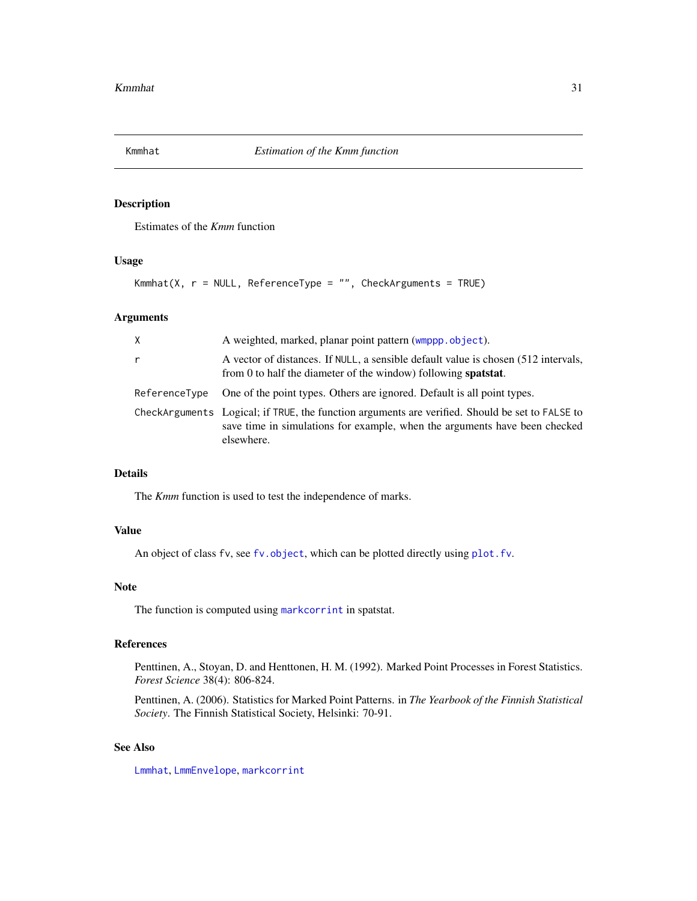<span id="page-30-1"></span><span id="page-30-0"></span>

### Description

Estimates of the *Kmm* function

## Usage

```
Kmmhat(X, r = NULL, ReferenceType = "", CheckArguments = TRUE)
```
## Arguments

| X             | A weighted, marked, planar point pattern (wmppp.object).                                                                                                                                    |
|---------------|---------------------------------------------------------------------------------------------------------------------------------------------------------------------------------------------|
| $\mathsf{r}$  | A vector of distances. If NULL, a sensible default value is chosen (512 intervals,<br>from 0 to half the diameter of the window) following <b>spatstat</b> .                                |
| ReferenceType | One of the point types. Others are ignored. Default is all point types.                                                                                                                     |
|               | CheckArguments Logical; if TRUE, the function arguments are verified. Should be set to FALSE to<br>save time in simulations for example, when the arguments have been checked<br>elsewhere. |

## Details

The *Kmm* function is used to test the independence of marks.

## Value

An object of class fv, see [fv.object](#page-0-0), which can be plotted directly using [plot.fv](#page-0-0).

## Note

The function is computed using [markcorrint](#page-0-0) in spatstat.

## References

Penttinen, A., Stoyan, D. and Henttonen, H. M. (1992). Marked Point Processes in Forest Statistics. *Forest Science* 38(4): 806-824.

Penttinen, A. (2006). Statistics for Marked Point Patterns. in *The Yearbook of the Finnish Statistical Society*. The Finnish Statistical Society, Helsinki: 70-91.

## See Also

[Lmmhat](#page-37-1), [LmmEnvelope](#page-35-1), [markcorrint](#page-0-0)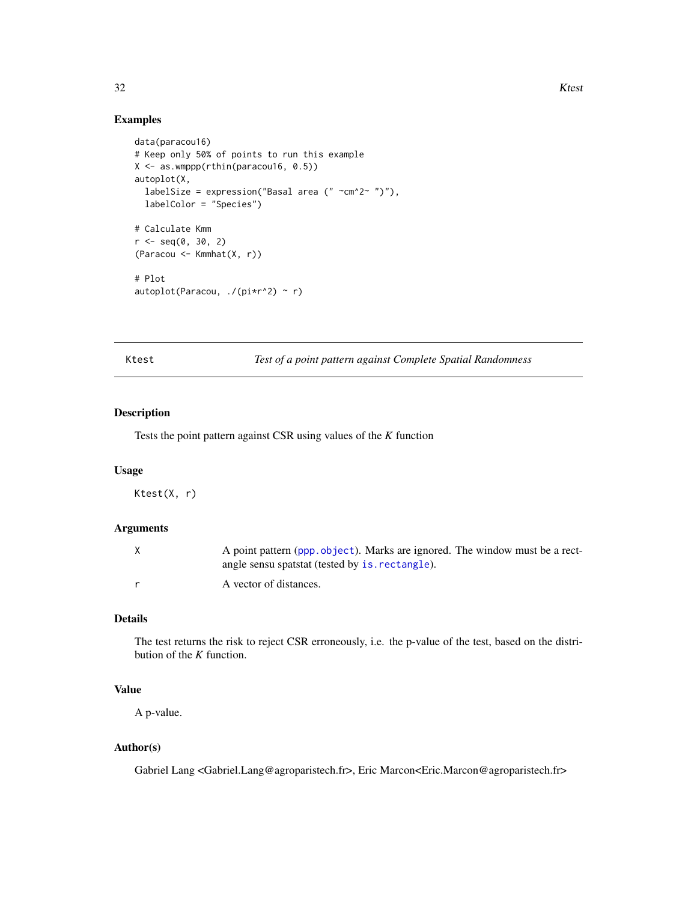## Examples

```
data(paracou16)
# Keep only 50% of points to run this example
X <- as.wmppp(rthin(paracou16, 0.5))
autoplot(X,
  labelSize = expression("Basal area (" \simcm^2~ ")"),
  labelColor = "Species")
# Calculate Kmm
r <- seq(0, 30, 2)(Paracou <- Kmmhat(X, r))
# Plot
autoplot(Paracou, ./(pi*r^2) ~ r)
```
<span id="page-31-1"></span>Ktest *Test of a point pattern against Complete Spatial Randomness*

## Description

Tests the point pattern against CSR using values of the *K* function

#### Usage

Ktest(X, r)

### Arguments

| A point pattern (ppp. object). Marks are ignored. The window must be a rect-<br>angle sensu spatstat (tested by is rectangle). |
|--------------------------------------------------------------------------------------------------------------------------------|
| A vector of distances.                                                                                                         |

## Details

The test returns the risk to reject CSR erroneously, i.e. the p-value of the test, based on the distribution of the *K* function.

## Value

A p-value.

#### Author(s)

Gabriel Lang <Gabriel.Lang@agroparistech.fr>, Eric Marcon<Eric.Marcon@agroparistech.fr>

<span id="page-31-0"></span>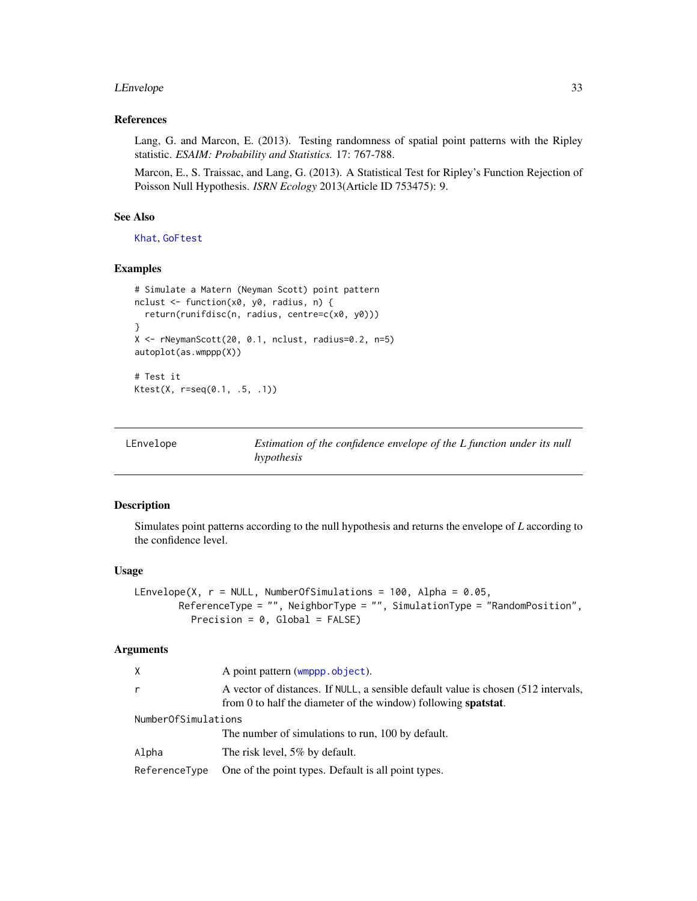#### <span id="page-32-0"></span>LEnvelope 33

## References

Lang, G. and Marcon, E. (2013). Testing randomness of spatial point patterns with the Ripley statistic. *ESAIM: Probability and Statistics.* 17: 767-788.

Marcon, E., S. Traissac, and Lang, G. (2013). A Statistical Test for Ripley's Function Rejection of Poisson Null Hypothesis. *ISRN Ecology* 2013(Article ID 753475): 9.

## See Also

[Khat](#page-23-1), [GoFtest](#page-15-1)

## Examples

```
# Simulate a Matern (Neyman Scott) point pattern
nclust <- function(x0, y0, radius, n) {
  return(runifdisc(n, radius, centre=c(x0, y0)))
}
X <- rNeymanScott(20, 0.1, nclust, radius=0.2, n=5)
autoplot(as.wmppp(X))
# Test it
Ktest(X, r=seq(0.1, .5, .1))
```
<span id="page-32-1"></span>

| LEnvelope | Estimation of the confidence envelope of the L function under its null |
|-----------|------------------------------------------------------------------------|
|           | hypothesis                                                             |

## Description

Simulates point patterns according to the null hypothesis and returns the envelope of *L* according to the confidence level.

#### Usage

```
LEnvelope(X, r = NULL, NumberOfSimulations = 100, Alpha = 0.05,
       ReferenceType = "", NeighborType = "", SimulationType = "RandomPosition",
          Precision = 0, Global = FALSE)
```
## Arguments

| X                   | A point pattern (wmppp.object).                                                                                                                              |  |
|---------------------|--------------------------------------------------------------------------------------------------------------------------------------------------------------|--|
| r                   | A vector of distances. If NULL, a sensible default value is chosen (512 intervals,<br>from 0 to half the diameter of the window) following <b>spatstat</b> . |  |
| NumberOfSimulations |                                                                                                                                                              |  |
|                     | The number of simulations to run, 100 by default.                                                                                                            |  |
| Alpha               | The risk level, 5% by default.                                                                                                                               |  |
| ReferenceType       | One of the point types. Default is all point types.                                                                                                          |  |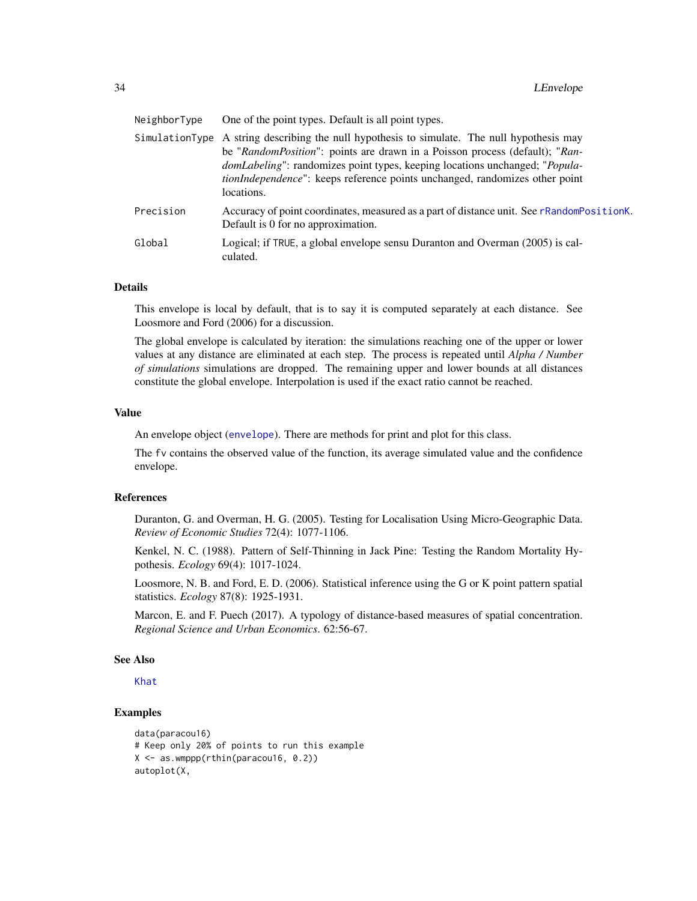<span id="page-33-0"></span>

| NeighborType | One of the point types. Default is all point types.                                                                                                                                                                                                                                                                                                                     |
|--------------|-------------------------------------------------------------------------------------------------------------------------------------------------------------------------------------------------------------------------------------------------------------------------------------------------------------------------------------------------------------------------|
|              | SimulationType A string describing the null hypothesis to simulate. The null hypothesis may<br>be "RandomPosition": points are drawn in a Poisson process (default); "Ran-<br><i>domLabeling</i> ": randomizes point types, keeping locations unchanged; " <i>Popula</i> -<br>tionIndependence": keeps reference points unchanged, randomizes other point<br>locations. |
| Precision    | Accuracy of point coordinates, measured as a part of distance unit. See rRandomPositionK.<br>Default is 0 for no approximation.                                                                                                                                                                                                                                         |
| Global       | Logical; if TRUE, a global envelope sensu Duranton and Overman (2005) is cal-<br>culated.                                                                                                                                                                                                                                                                               |

## Details

This envelope is local by default, that is to say it is computed separately at each distance. See Loosmore and Ford (2006) for a discussion.

The global envelope is calculated by iteration: the simulations reaching one of the upper or lower values at any distance are eliminated at each step. The process is repeated until *Alpha / Number of simulations* simulations are dropped. The remaining upper and lower bounds at all distances constitute the global envelope. Interpolation is used if the exact ratio cannot be reached.

## Value

An envelope object ([envelope](#page-0-0)). There are methods for print and plot for this class.

The fv contains the observed value of the function, its average simulated value and the confidence envelope.

#### References

Duranton, G. and Overman, H. G. (2005). Testing for Localisation Using Micro-Geographic Data. *Review of Economic Studies* 72(4): 1077-1106.

Kenkel, N. C. (1988). Pattern of Self-Thinning in Jack Pine: Testing the Random Mortality Hypothesis. *Ecology* 69(4): 1017-1024.

Loosmore, N. B. and Ford, E. D. (2006). Statistical inference using the G or K point pattern spatial statistics. *Ecology* 87(8): 1925-1931.

Marcon, E. and F. Puech (2017). A typology of distance-based measures of spatial concentration. *Regional Science and Urban Economics*. 62:56-67.

#### See Also

[Khat](#page-23-1)

## Examples

```
data(paracou16)
# Keep only 20% of points to run this example
X \leq - as.wmppp(rthin(paracou16, 0.2))
autoplot(X,
```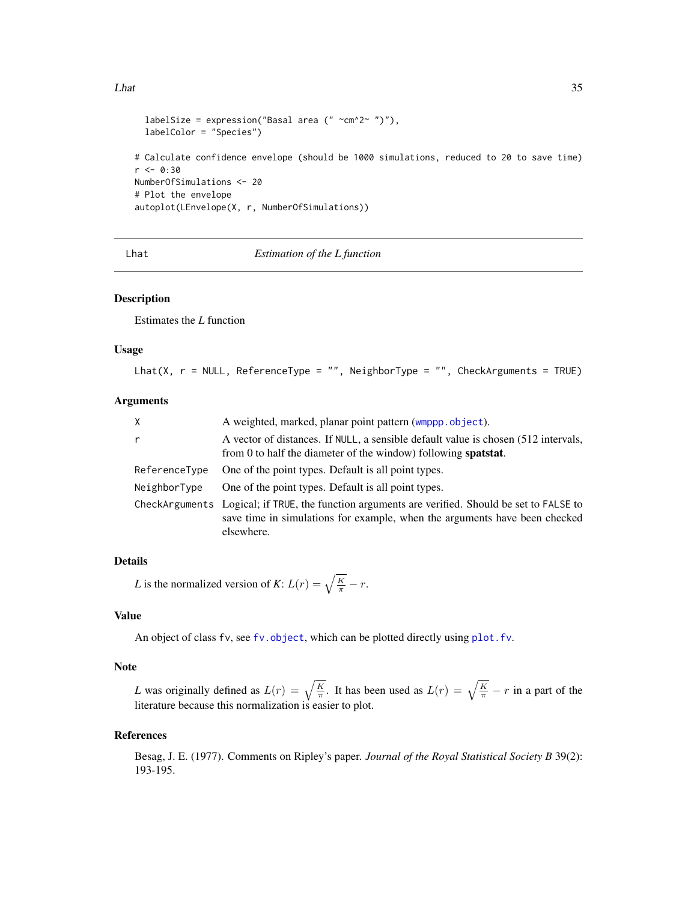#### <span id="page-34-0"></span>Lhat 35

```
labelSize = expression("Basal area (" \simcm^2~ ")"),
  labelColor = "Species")
# Calculate confidence envelope (should be 1000 simulations, reduced to 20 to save time)
r <- 0:30
NumberOfSimulations <- 20
# Plot the envelope
autoplot(LEnvelope(X, r, NumberOfSimulations))
```
<span id="page-34-1"></span>Lhat *Estimation of the L function*

## Description

Estimates the *L* function

## Usage

```
Lhat(X, r = NULL, ReferenceType = "", NeighborType = "", CheckArguments = TRUE)
```
## Arguments

| X             | A weighted, marked, planar point pattern (wmppp.object).                                                                                                                                    |
|---------------|---------------------------------------------------------------------------------------------------------------------------------------------------------------------------------------------|
| r             | A vector of distances. If NULL, a sensible default value is chosen (512 intervals,<br>from 0 to half the diameter of the window) following <b>spatstat</b> .                                |
| ReferenceType | One of the point types. Default is all point types.                                                                                                                                         |
| NeighborType  | One of the point types. Default is all point types.                                                                                                                                         |
|               | CheckArguments Logical; if TRUE, the function arguments are verified. Should be set to FALSE to<br>save time in simulations for example, when the arguments have been checked<br>elsewhere. |

## Details

*L* is the normalized version of *K*:  $L(r) = \sqrt{\frac{K}{\pi}} - r$ .

#### Value

An object of class fv, see [fv.object](#page-0-0), which can be plotted directly using plot. fv.

#### Note

*L* was originally defined as  $L(r) = \sqrt{\frac{K}{\pi}}$ . It has been used as  $L(r) = \sqrt{\frac{K}{\pi}} - r$  in a part of the literature because this normalization is easier to plot.

#### References

Besag, J. E. (1977). Comments on Ripley's paper. *Journal of the Royal Statistical Society B* 39(2): 193-195.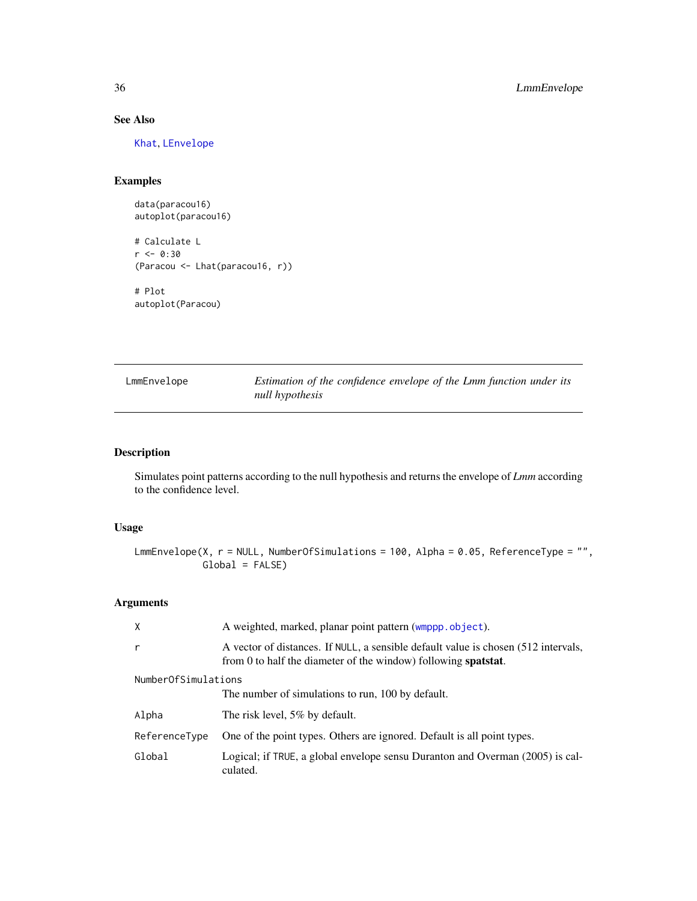## See Also

[Khat](#page-23-1), [LEnvelope](#page-32-1)

## Examples

data(paracou16) autoplot(paracou16)

# Calculate L  $r$  <- 0:30 (Paracou <- Lhat(paracou16, r)) # Plot autoplot(Paracou)

<span id="page-35-1"></span>

| LmmEnvelope | Estimation of the confidence envelope of the Lmm function under its |
|-------------|---------------------------------------------------------------------|
|             | null hypothesis                                                     |

## Description

Simulates point patterns according to the null hypothesis and returns the envelope of *Lmm* according to the confidence level.

## Usage

```
LmmEnvelope(X, r = NULL, NumberOfSimulations = 100, Alpha = 0.05, ReferenceType = "",
            Global = FALSE)
```
## Arguments

| X                   | A weighted, marked, planar point pattern (wmppp.object).                                                                                                     |
|---------------------|--------------------------------------------------------------------------------------------------------------------------------------------------------------|
| r                   | A vector of distances. If NULL, a sensible default value is chosen (512 intervals,<br>from 0 to half the diameter of the window) following <b>spatstat</b> . |
| NumberOfSimulations |                                                                                                                                                              |
|                     | The number of simulations to run, 100 by default.                                                                                                            |
| Alpha               | The risk level, 5% by default.                                                                                                                               |
| ReferenceType       | One of the point types. Others are ignored. Default is all point types.                                                                                      |
| Global              | Logical; if TRUE, a global envelope sensu Duranton and Overman (2005) is cal-<br>culated.                                                                    |

<span id="page-35-0"></span>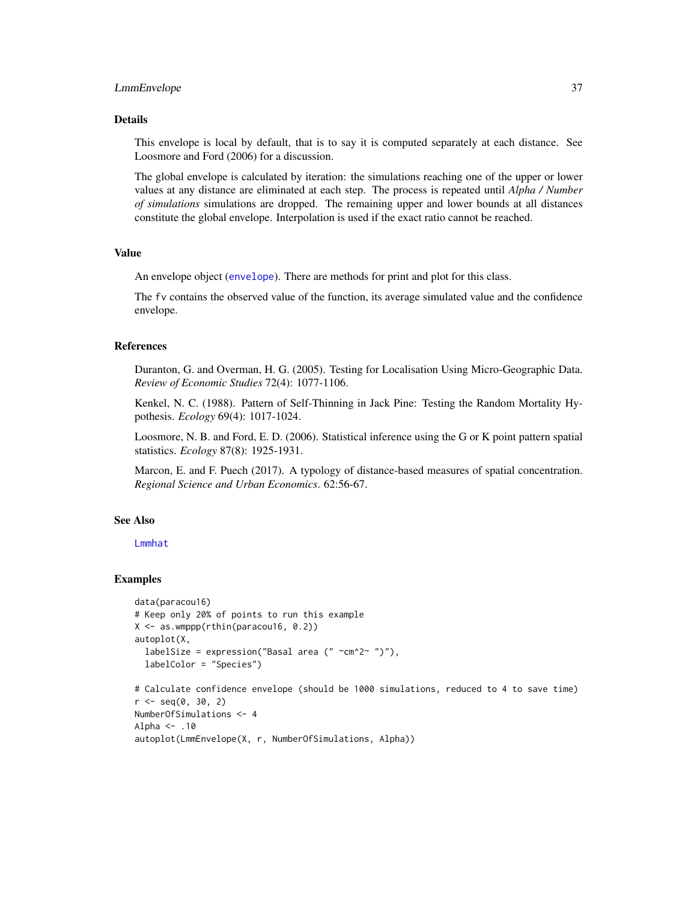#### <span id="page-36-0"></span>LmmEnvelope 37

#### Details

This envelope is local by default, that is to say it is computed separately at each distance. See Loosmore and Ford (2006) for a discussion.

The global envelope is calculated by iteration: the simulations reaching one of the upper or lower values at any distance are eliminated at each step. The process is repeated until *Alpha / Number of simulations* simulations are dropped. The remaining upper and lower bounds at all distances constitute the global envelope. Interpolation is used if the exact ratio cannot be reached.

## Value

An envelope object ([envelope](#page-0-0)). There are methods for print and plot for this class.

The fv contains the observed value of the function, its average simulated value and the confidence envelope.

## References

Duranton, G. and Overman, H. G. (2005). Testing for Localisation Using Micro-Geographic Data. *Review of Economic Studies* 72(4): 1077-1106.

Kenkel, N. C. (1988). Pattern of Self-Thinning in Jack Pine: Testing the Random Mortality Hypothesis. *Ecology* 69(4): 1017-1024.

Loosmore, N. B. and Ford, E. D. (2006). Statistical inference using the G or K point pattern spatial statistics. *Ecology* 87(8): 1925-1931.

Marcon, E. and F. Puech (2017). A typology of distance-based measures of spatial concentration. *Regional Science and Urban Economics*. 62:56-67.

## See Also

## [Lmmhat](#page-37-1)

#### Examples

```
data(paracou16)
# Keep only 20% of points to run this example
X <- as.wmppp(rthin(paracou16, 0.2))
autoplot(X,
  labelSize = expression("Basal area (" ~cm^2~ ")"),
  labelColor = "Species")
```

```
# Calculate confidence envelope (should be 1000 simulations, reduced to 4 to save time)
r <- seq(0, 30, 2)
NumberOfSimulations <- 4
Alpha <- .10
autoplot(LmmEnvelope(X, r, NumberOfSimulations, Alpha))
```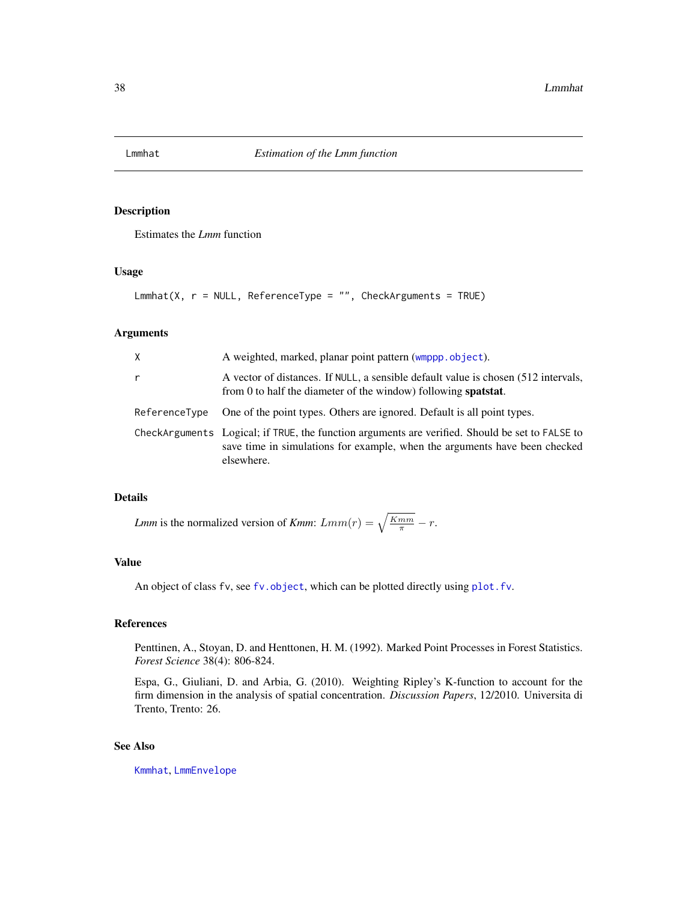<span id="page-37-1"></span><span id="page-37-0"></span>

## Description

Estimates the *Lmm* function

## Usage

 $Lmmhat(X, r = NULL, ReferenceType = "", CheckArguments = TRUE)$ 

## Arguments

| Χ             | A weighted, marked, planar point pattern (wmppp.object).                                                                                                                                    |
|---------------|---------------------------------------------------------------------------------------------------------------------------------------------------------------------------------------------|
| r             | A vector of distances. If NULL, a sensible default value is chosen (512 intervals,<br>from $0$ to half the diameter of the window) following <b>spatstat</b> .                              |
| ReferenceType | One of the point types. Others are ignored. Default is all point types.                                                                                                                     |
|               | CheckArguments Logical; if TRUE, the function arguments are verified. Should be set to FALSE to<br>save time in simulations for example, when the arguments have been checked<br>elsewhere. |

## Details

*Lmm* is the normalized version of *Kmm*:  $Lmm(r) = \sqrt{\frac{Kmm}{\pi}} - r$ .

## Value

An object of class fv, see fv. object, which can be plotted directly using plot. fv.

#### References

Penttinen, A., Stoyan, D. and Henttonen, H. M. (1992). Marked Point Processes in Forest Statistics. *Forest Science* 38(4): 806-824.

Espa, G., Giuliani, D. and Arbia, G. (2010). Weighting Ripley's K-function to account for the firm dimension in the analysis of spatial concentration. *Discussion Papers*, 12/2010. Universita di Trento, Trento: 26.

## See Also

[Kmmhat](#page-30-1), [LmmEnvelope](#page-35-1)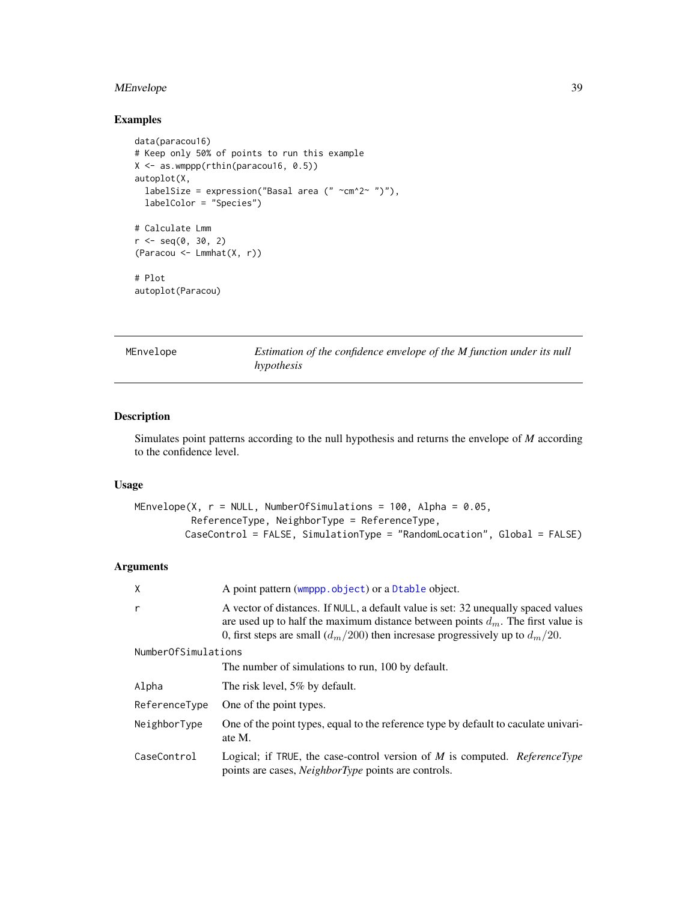## <span id="page-38-0"></span>MEnvelope 39

## Examples

```
data(paracou16)
# Keep only 50% of points to run this example
X <- as.wmppp(rthin(paracou16, 0.5))
autoplot(X,
  labelSize = expression("Basal area (" ~cm^2~ ")"),
  labelColor = "Species")
# Calculate Lmm
r < - seq(0, 30, 2)
(Paracou <- Lmmhat(X, r))
# Plot
autoplot(Paracou)
```
<span id="page-38-1"></span>

Estimation of the confidence envelope of the M function under its null *hypothesis*

## Description

Simulates point patterns according to the null hypothesis and returns the envelope of *M* according to the confidence level.

## Usage

```
MEnvelope(X, r = NULL, NumberOfSimulations = 100, Alpha = 0.05,
          ReferenceType, NeighborType = ReferenceType,
        CaseControl = FALSE, SimulationType = "RandomLocation", Global = FALSE)
```
#### Arguments

| X                   | A point pattern (wmppp.object) or a Dtable object.                                                                                                                                                                                                             |
|---------------------|----------------------------------------------------------------------------------------------------------------------------------------------------------------------------------------------------------------------------------------------------------------|
| r                   | A vector of distances. If NULL, a default value is set: 32 unequally spaced values<br>are used up to half the maximum distance between points $d_m$ . The first value is<br>0, first steps are small $(d_m/200)$ then incresase progressively up to $d_m/20$ . |
| NumberOfSimulations |                                                                                                                                                                                                                                                                |
|                     | The number of simulations to run, 100 by default.                                                                                                                                                                                                              |
| Alpha               | The risk level, 5% by default.                                                                                                                                                                                                                                 |
| ReferenceType       | One of the point types.                                                                                                                                                                                                                                        |
| NeighborType        | One of the point types, equal to the reference type by default to caculate univari-<br>ate M.                                                                                                                                                                  |
| CaseControl         | Logical; if TRUE, the case-control version of $M$ is computed. ReferenceType<br>points are cases, <i>NeighborType</i> points are controls.                                                                                                                     |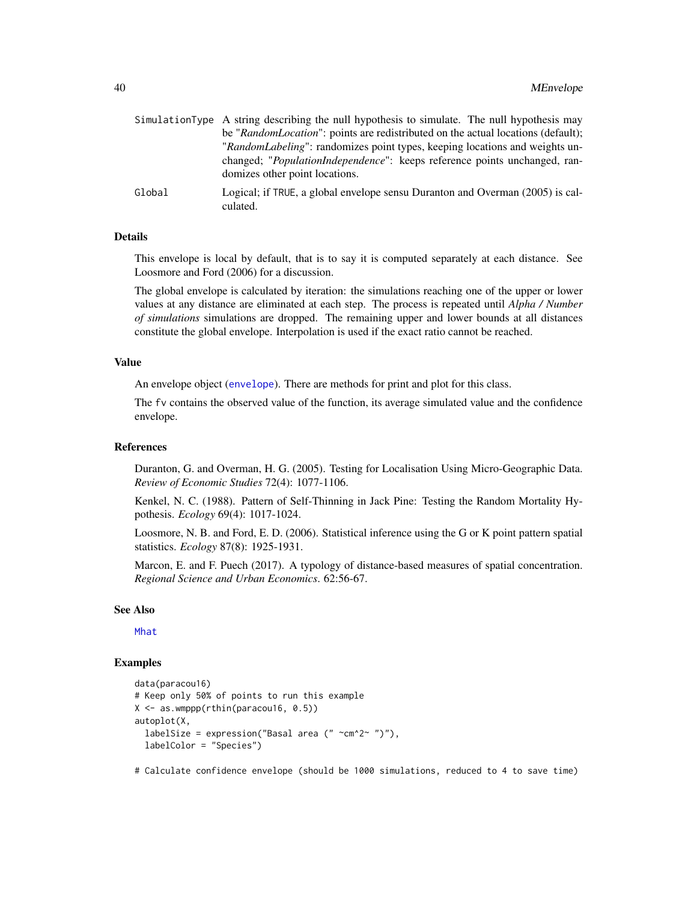<span id="page-39-0"></span>

|        | SimulationType A string describing the null hypothesis to simulate. The null hypothesis may |
|--------|---------------------------------------------------------------------------------------------|
|        | be "RandomLocation": points are redistributed on the actual locations (default);            |
|        | "RandomLabeling": randomizes point types, keeping locations and weights un-                 |
|        | changed; " <i>PopulationIndependence</i> ": keeps reference points unchanged, ran-          |
|        | domizes other point locations.                                                              |
| Global | Logical; if TRUE, a global envelope sensu Duranton and Overman (2005) is cal-               |

## Details

culated.

This envelope is local by default, that is to say it is computed separately at each distance. See Loosmore and Ford (2006) for a discussion.

The global envelope is calculated by iteration: the simulations reaching one of the upper or lower values at any distance are eliminated at each step. The process is repeated until *Alpha / Number of simulations* simulations are dropped. The remaining upper and lower bounds at all distances constitute the global envelope. Interpolation is used if the exact ratio cannot be reached.

#### Value

An envelope object ([envelope](#page-0-0)). There are methods for print and plot for this class.

The fv contains the observed value of the function, its average simulated value and the confidence envelope.

#### References

Duranton, G. and Overman, H. G. (2005). Testing for Localisation Using Micro-Geographic Data. *Review of Economic Studies* 72(4): 1077-1106.

Kenkel, N. C. (1988). Pattern of Self-Thinning in Jack Pine: Testing the Random Mortality Hypothesis. *Ecology* 69(4): 1017-1024.

Loosmore, N. B. and Ford, E. D. (2006). Statistical inference using the G or K point pattern spatial statistics. *Ecology* 87(8): 1925-1931.

Marcon, E. and F. Puech (2017). A typology of distance-based measures of spatial concentration. *Regional Science and Urban Economics*. 62:56-67.

#### See Also

[Mhat](#page-42-1)

#### Examples

```
data(paracou16)
# Keep only 50% of points to run this example
X <- as.wmppp(rthin(paracou16, 0.5))
autoplot(X,
 labelSize = expression("Basal area (" \simcm^2~ ")"),
 labelColor = "Species")
```
# Calculate confidence envelope (should be 1000 simulations, reduced to 4 to save time)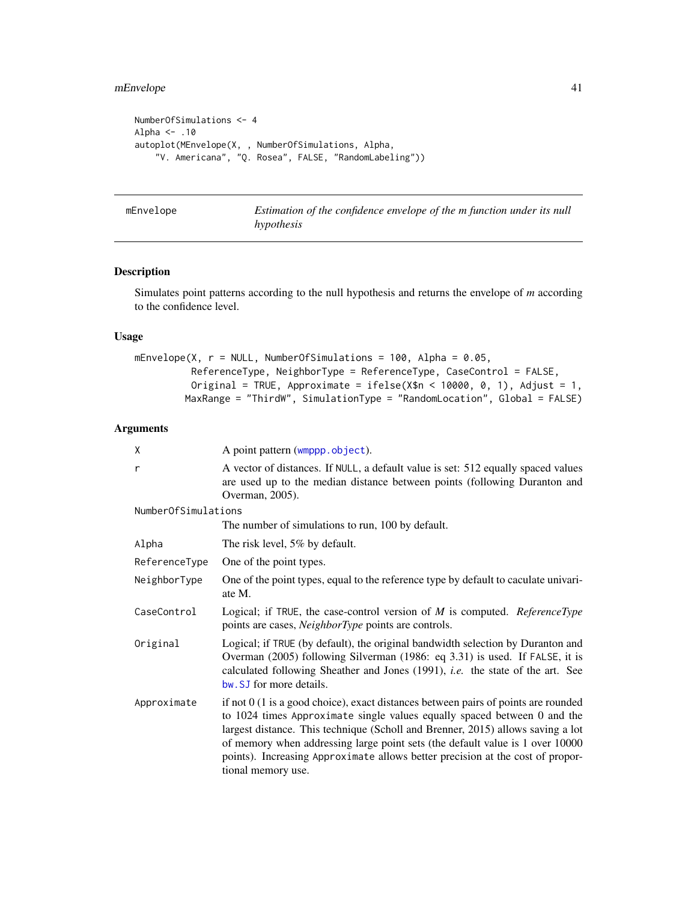## <span id="page-40-0"></span>mEnvelope 41

```
NumberOfSimulations <- 4
Alpha <- .10
autoplot(MEnvelope(X, , NumberOfSimulations, Alpha,
    "V. Americana", "Q. Rosea", FALSE, "RandomLabeling"))
```
<span id="page-40-1"></span>mEnvelope *Estimation of the confidence envelope of the m function under its null hypothesis*

## Description

Simulates point patterns according to the null hypothesis and returns the envelope of *m* according to the confidence level.

## Usage

```
mEnvelope(X, r = NULL, NumberOfSimulations = 100, Alpha = 0.05,
          ReferenceType, NeighborType = ReferenceType, CaseControl = FALSE,
          Original = TRUE, Approximate = ifelse(X$n < 10000, 0, 1), Adjust = 1,
        MaxRange = "ThirdW", SimulationType = "RandomLocation", Global = FALSE)
```
#### Arguments

| χ                   | A point pattern (wmppp.object).                                                                                                                                                                                                                                                                                                                                                                                                                |
|---------------------|------------------------------------------------------------------------------------------------------------------------------------------------------------------------------------------------------------------------------------------------------------------------------------------------------------------------------------------------------------------------------------------------------------------------------------------------|
| r                   | A vector of distances. If NULL, a default value is set: 512 equally spaced values<br>are used up to the median distance between points (following Duranton and<br>Overman, 2005).                                                                                                                                                                                                                                                              |
| NumberOfSimulations |                                                                                                                                                                                                                                                                                                                                                                                                                                                |
|                     | The number of simulations to run, 100 by default.                                                                                                                                                                                                                                                                                                                                                                                              |
| Alpha               | The risk level, 5% by default.                                                                                                                                                                                                                                                                                                                                                                                                                 |
| ReferenceType       | One of the point types.                                                                                                                                                                                                                                                                                                                                                                                                                        |
| NeighborType        | One of the point types, equal to the reference type by default to caculate univari-<br>ate M.                                                                                                                                                                                                                                                                                                                                                  |
| CaseControl         | Logical; if TRUE, the case-control version of $M$ is computed. ReferenceType<br>points are cases, <i>NeighborType</i> points are controls.                                                                                                                                                                                                                                                                                                     |
| Original            | Logical; if TRUE (by default), the original bandwidth selection by Duranton and<br>Overman (2005) following Silverman (1986: eq 3.31) is used. If FALSE, it is<br>calculated following Sheather and Jones (1991), <i>i.e.</i> the state of the art. See<br>bw. SJ for more details.                                                                                                                                                            |
| Approximate         | if not $0$ (1 is a good choice), exact distances between pairs of points are rounded<br>to $1024$ times Approximate single values equally spaced between 0 and the<br>largest distance. This technique (Scholl and Brenner, 2015) allows saving a lot<br>of memory when addressing large point sets (the default value is 1 over 10000<br>points). Increasing Approximate allows better precision at the cost of propor-<br>tional memory use. |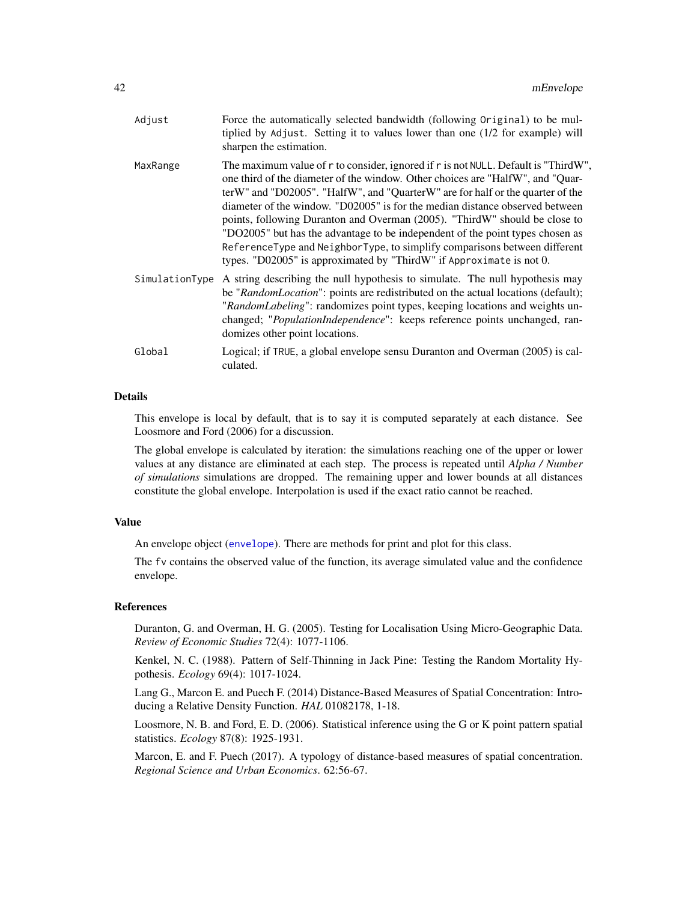<span id="page-41-0"></span>

| Adjust         | Force the automatically selected bandwidth (following Original) to be mul-<br>tiplied by Adjust. Setting it to values lower than one (1/2 for example) will<br>sharpen the estimation.                                                                                                                                                                                                                                                                                                                                                                                                                                                                     |
|----------------|------------------------------------------------------------------------------------------------------------------------------------------------------------------------------------------------------------------------------------------------------------------------------------------------------------------------------------------------------------------------------------------------------------------------------------------------------------------------------------------------------------------------------------------------------------------------------------------------------------------------------------------------------------|
| MaxRange       | The maximum value of r to consider, ignored if r is not NULL. Default is "ThirdW",<br>one third of the diameter of the window. Other choices are "HalfW", and "Quar-<br>terW" and "D02005". "HalfW", and "QuarterW" are for half or the quarter of the<br>diameter of the window. "D02005" is for the median distance observed between<br>points, following Duranton and Overman (2005). "ThirdW" should be close to<br>"DO2005" but has the advantage to be independent of the point types chosen as<br>ReferenceType and NeighborType, to simplify comparisons between different<br>types. "D02005" is approximated by "ThirdW" if Approximate is not 0. |
| SimulationType | A string describing the null hypothesis to simulate. The null hypothesis may<br>be "RandomLocation": points are redistributed on the actual locations (default);<br>"RandomLabeling": randomizes point types, keeping locations and weights un-<br>changed; "PopulationIndependence": keeps reference points unchanged, ran-<br>domizes other point locations.                                                                                                                                                                                                                                                                                             |
| Global         | Logical; if TRUE, a global envelope sensu Duranton and Overman (2005) is cal-<br>culated.                                                                                                                                                                                                                                                                                                                                                                                                                                                                                                                                                                  |

## Details

This envelope is local by default, that is to say it is computed separately at each distance. See Loosmore and Ford (2006) for a discussion.

The global envelope is calculated by iteration: the simulations reaching one of the upper or lower values at any distance are eliminated at each step. The process is repeated until *Alpha / Number of simulations* simulations are dropped. The remaining upper and lower bounds at all distances constitute the global envelope. Interpolation is used if the exact ratio cannot be reached.

#### Value

An envelope object ([envelope](#page-0-0)). There are methods for print and plot for this class.

The fv contains the observed value of the function, its average simulated value and the confidence envelope.

## References

Duranton, G. and Overman, H. G. (2005). Testing for Localisation Using Micro-Geographic Data. *Review of Economic Studies* 72(4): 1077-1106.

Kenkel, N. C. (1988). Pattern of Self-Thinning in Jack Pine: Testing the Random Mortality Hypothesis. *Ecology* 69(4): 1017-1024.

Lang G., Marcon E. and Puech F. (2014) Distance-Based Measures of Spatial Concentration: Introducing a Relative Density Function. *HAL* 01082178, 1-18.

Loosmore, N. B. and Ford, E. D. (2006). Statistical inference using the G or K point pattern spatial statistics. *Ecology* 87(8): 1925-1931.

Marcon, E. and F. Puech (2017). A typology of distance-based measures of spatial concentration. *Regional Science and Urban Economics*. 62:56-67.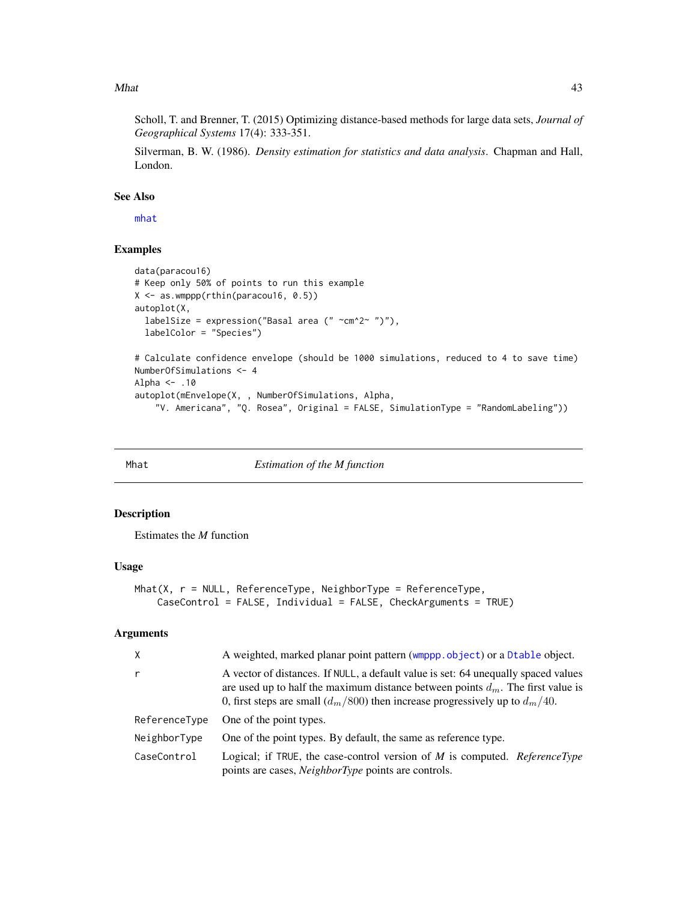#### <span id="page-42-0"></span>Mhat 23

Scholl, T. and Brenner, T. (2015) Optimizing distance-based methods for large data sets, *Journal of Geographical Systems* 17(4): 333-351.

Silverman, B. W. (1986). *Density estimation for statistics and data analysis*. Chapman and Hall, London.

## See Also

[mhat](#page-44-1)

## Examples

```
data(paracou16)
# Keep only 50% of points to run this example
X \leftarrow \text{as}.\text{wmppp}(\text{rthin}(\text{paracoul6}, 0.5))autoplot(X,
  labelSize = expression("Basal area (" \simcm^2~ ")"),
  labelColor = "Species")
# Calculate confidence envelope (should be 1000 simulations, reduced to 4 to save time)
NumberOfSimulations <- 4
Alpha <- .10
autoplot(mEnvelope(X, , NumberOfSimulations, Alpha,
    "V. Americana", "Q. Rosea", Original = FALSE, SimulationType = "RandomLabeling"))
```
<span id="page-42-1"></span>

#### Mhat *Estimation of the M function*

## Description

Estimates the *M* function

#### Usage

```
Mhat(X, r = NULL, ReferenceType, NeighbourType = ReferenceType,CaseControl = FALSE, Individual = FALSE, CheckArguments = TRUE)
```
#### Arguments

| $\times$      | A weighted, marked planar point pattern (wmppp.object) or a Dtable object.                                                                                                                                                                                    |
|---------------|---------------------------------------------------------------------------------------------------------------------------------------------------------------------------------------------------------------------------------------------------------------|
| $\mathsf{r}$  | A vector of distances. If NULL, a default value is set: 64 unequally spaced values<br>are used up to half the maximum distance between points $d_m$ . The first value is<br>0, first steps are small $(d_m/800)$ then increase progressively up to $d_m/40$ . |
| ReferenceType | One of the point types.                                                                                                                                                                                                                                       |
| NeighborType  | One of the point types. By default, the same as reference type.                                                                                                                                                                                               |
| CaseControl   | Logical; if TRUE, the case-control version of $M$ is computed. ReferenceType<br>points are cases, <i>NeighborType</i> points are controls.                                                                                                                    |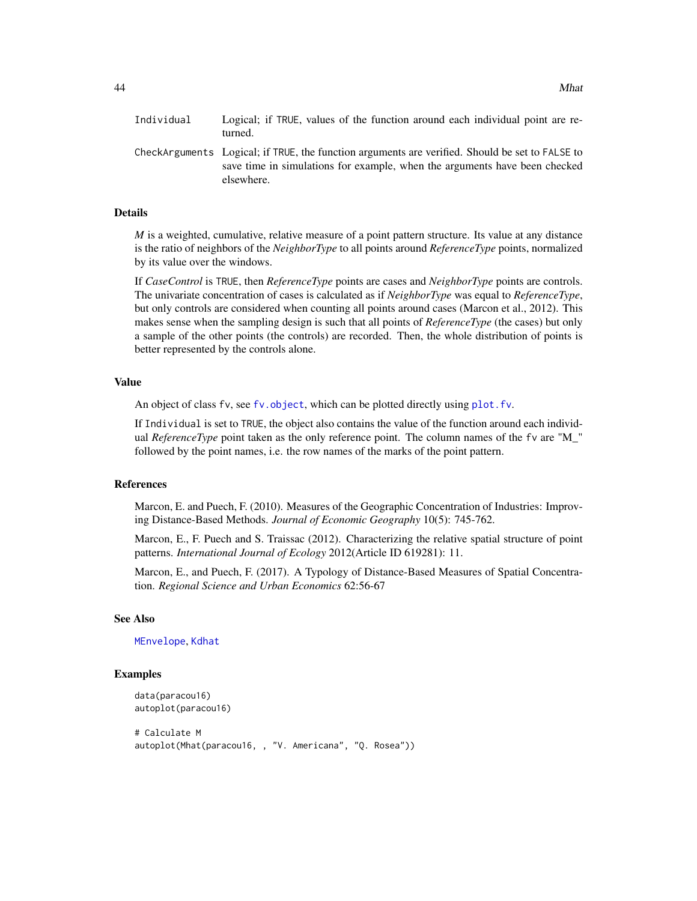<span id="page-43-0"></span>

| Individual | Logical; if TRUE, values of the function around each individual point are re-<br>turned.                                                                                                    |
|------------|---------------------------------------------------------------------------------------------------------------------------------------------------------------------------------------------|
|            | CheckArguments Logical; if TRUE, the function arguments are verified. Should be set to FALSE to<br>save time in simulations for example, when the arguments have been checked<br>elsewhere. |

## Details

*M* is a weighted, cumulative, relative measure of a point pattern structure. Its value at any distance is the ratio of neighbors of the *NeighborType* to all points around *ReferenceType* points, normalized by its value over the windows.

If *CaseControl* is TRUE, then *ReferenceType* points are cases and *NeighborType* points are controls. The univariate concentration of cases is calculated as if *NeighborType* was equal to *ReferenceType*, but only controls are considered when counting all points around cases (Marcon et al., 2012). This makes sense when the sampling design is such that all points of *ReferenceType* (the cases) but only a sample of the other points (the controls) are recorded. Then, the whole distribution of points is better represented by the controls alone.

## Value

An object of class fv, see [fv.object](#page-0-0), which can be plotted directly using [plot.fv](#page-0-0).

If Individual is set to TRUE, the object also contains the value of the function around each individual *ReferenceType* point taken as the only reference point. The column names of the fv are "M\_" followed by the point names, i.e. the row names of the marks of the point pattern.

#### References

Marcon, E. and Puech, F. (2010). Measures of the Geographic Concentration of Industries: Improving Distance-Based Methods. *Journal of Economic Geography* 10(5): 745-762.

Marcon, E., F. Puech and S. Traissac (2012). Characterizing the relative spatial structure of point patterns. *International Journal of Ecology* 2012(Article ID 619281): 11.

Marcon, E., and Puech, F. (2017). A Typology of Distance-Based Measures of Spatial Concentration. *Regional Science and Urban Economics* 62:56-67

#### See Also

#### [MEnvelope](#page-38-1), [Kdhat](#page-19-1)

## Examples

```
data(paracou16)
autoplot(paracou16)
```

```
# Calculate M
autoplot(Mhat(paracou16, , "V. Americana", "Q. Rosea"))
```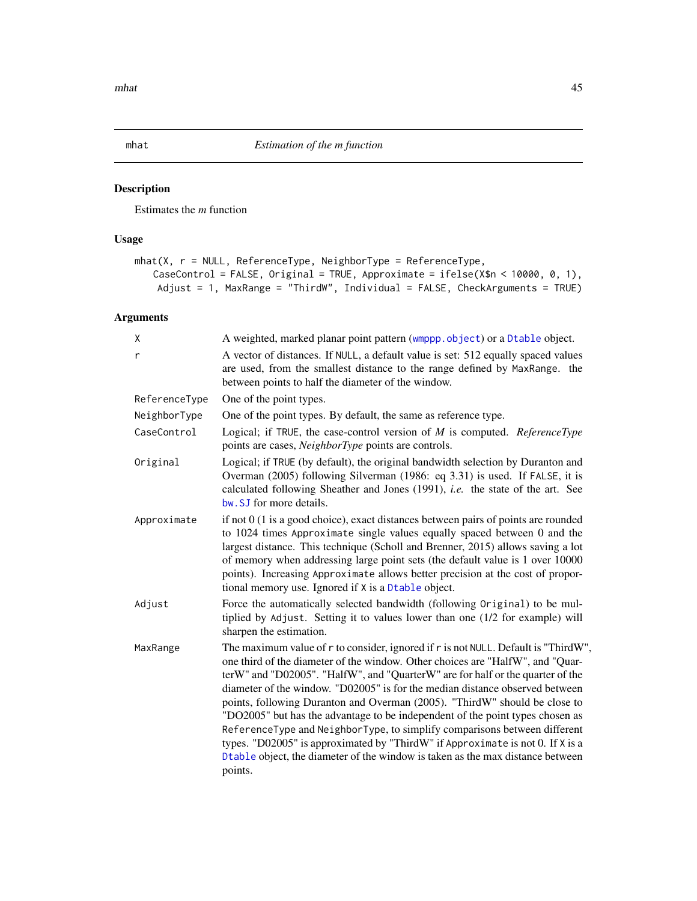## <span id="page-44-1"></span><span id="page-44-0"></span>Description

Estimates the *m* function

## Usage

```
mhat(X, r = NULL, ReferenceType, NeighborType = ReferenceType,
   CaseControl = FALSE, Original = TRUE, Approximate = ifelse(X$n < 10000, 0, 1),
   Adjust = 1, MaxRange = "ThirdW", Individual = FALSE, CheckArguments = TRUE)
```
## Arguments

| X             | A weighted, marked planar point pattern (wmppp.object) or a Dtable object.                                                                                                                                                                                                                                                                                                                                                                                                                                                                                                                                                                                                                                                                                        |
|---------------|-------------------------------------------------------------------------------------------------------------------------------------------------------------------------------------------------------------------------------------------------------------------------------------------------------------------------------------------------------------------------------------------------------------------------------------------------------------------------------------------------------------------------------------------------------------------------------------------------------------------------------------------------------------------------------------------------------------------------------------------------------------------|
| r             | A vector of distances. If NULL, a default value is set: 512 equally spaced values<br>are used, from the smallest distance to the range defined by MaxRange. the<br>between points to half the diameter of the window.                                                                                                                                                                                                                                                                                                                                                                                                                                                                                                                                             |
| ReferenceType | One of the point types.                                                                                                                                                                                                                                                                                                                                                                                                                                                                                                                                                                                                                                                                                                                                           |
| NeighborType  | One of the point types. By default, the same as reference type.                                                                                                                                                                                                                                                                                                                                                                                                                                                                                                                                                                                                                                                                                                   |
| CaseControl   | Logical; if TRUE, the case-control version of $M$ is computed. ReferenceType<br>points are cases, <i>NeighborType</i> points are controls.                                                                                                                                                                                                                                                                                                                                                                                                                                                                                                                                                                                                                        |
| Original      | Logical; if TRUE (by default), the original bandwidth selection by Duranton and<br>Overman (2005) following Silverman (1986: eq 3.31) is used. If FALSE, it is<br>calculated following Sheather and Jones (1991), <i>i.e.</i> the state of the art. See<br>bw. SJ for more details.                                                                                                                                                                                                                                                                                                                                                                                                                                                                               |
| Approximate   | if not $0(1)$ is a good choice), exact distances between pairs of points are rounded<br>to 1024 times Approximate single values equally spaced between 0 and the<br>largest distance. This technique (Scholl and Brenner, 2015) allows saving a lot<br>of memory when addressing large point sets (the default value is 1 over 10000<br>points). Increasing Approximate allows better precision at the cost of propor-<br>tional memory use. Ignored if X is a Dtable object.                                                                                                                                                                                                                                                                                     |
| Adjust        | Force the automatically selected bandwidth (following Original) to be mul-<br>tiplied by Adjust. Setting it to values lower than one (1/2 for example) will<br>sharpen the estimation.                                                                                                                                                                                                                                                                                                                                                                                                                                                                                                                                                                            |
| MaxRange      | The maximum value of r to consider, ignored if r is not NULL. Default is "ThirdW",<br>one third of the diameter of the window. Other choices are "HalfW", and "Quar-<br>terW" and "D02005". "HalfW", and "QuarterW" are for half or the quarter of the<br>diameter of the window. "D02005" is for the median distance observed between<br>points, following Duranton and Overman (2005). "ThirdW" should be close to<br>"DO2005" but has the advantage to be independent of the point types chosen as<br>ReferenceType and NeighborType, to simplify comparisons between different<br>types. "D02005" is approximated by "ThirdW" if Approximate is not 0. If X is a<br>Dtable object, the diameter of the window is taken as the max distance between<br>points. |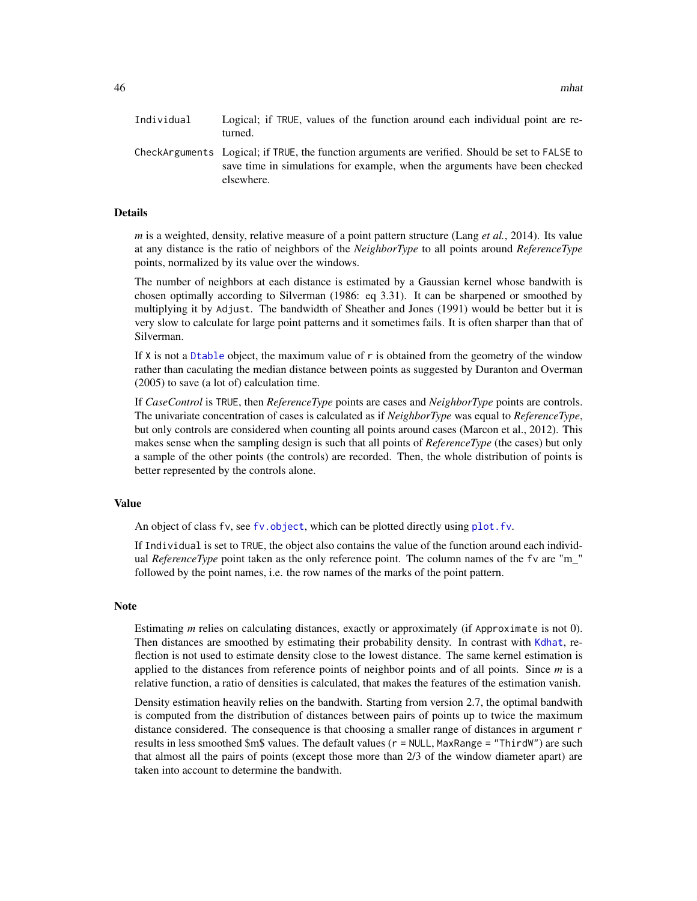<span id="page-45-0"></span>46 mhat was a strong with the contract of the contract of the contract of the contract of the contract of the contract of the contract of the contract of the contract of the contract of the contract of the contract of the

| Individual | Logical; if TRUE, values of the function around each individual point are re-<br>turned.                                                                                                    |
|------------|---------------------------------------------------------------------------------------------------------------------------------------------------------------------------------------------|
|            | CheckArguments—Logical; if TRUE, the function arguments are verified. Should be set to FALSE to<br>save time in simulations for example, when the arguments have been checked<br>elsewhere. |

#### Details

*m* is a weighted, density, relative measure of a point pattern structure (Lang *et al.*, 2014). Its value at any distance is the ratio of neighbors of the *NeighborType* to all points around *ReferenceType* points, normalized by its value over the windows.

The number of neighbors at each distance is estimated by a Gaussian kernel whose bandwith is chosen optimally according to Silverman (1986: eq 3.31). It can be sharpened or smoothed by multiplying it by Adjust. The bandwidth of Sheather and Jones (1991) would be better but it is very slow to calculate for large point patterns and it sometimes fails. It is often sharper than that of Silverman.

If  $X$  is not a [Dtable](#page-10-1) object, the maximum value of  $r$  is obtained from the geometry of the window rather than caculating the median distance between points as suggested by Duranton and Overman (2005) to save (a lot of) calculation time.

If *CaseControl* is TRUE, then *ReferenceType* points are cases and *NeighborType* points are controls. The univariate concentration of cases is calculated as if *NeighborType* was equal to *ReferenceType*, but only controls are considered when counting all points around cases (Marcon et al., 2012). This makes sense when the sampling design is such that all points of *ReferenceType* (the cases) but only a sample of the other points (the controls) are recorded. Then, the whole distribution of points is better represented by the controls alone.

#### Value

An object of class fv, see [fv.object](#page-0-0), which can be plotted directly using plot. fv.

If Individual is set to TRUE, the object also contains the value of the function around each individual *ReferenceType* point taken as the only reference point. The column names of the fv are "m\_" followed by the point names, i.e. the row names of the marks of the point pattern.

#### Note

Estimating *m* relies on calculating distances, exactly or approximately (if Approximate is not 0). Then distances are smoothed by estimating their probability density. In contrast with [Kdhat](#page-19-1), reflection is not used to estimate density close to the lowest distance. The same kernel estimation is applied to the distances from reference points of neighbor points and of all points. Since *m* is a relative function, a ratio of densities is calculated, that makes the features of the estimation vanish.

Density estimation heavily relies on the bandwith. Starting from version 2.7, the optimal bandwith is computed from the distribution of distances between pairs of points up to twice the maximum distance considered. The consequence is that choosing a smaller range of distances in argument r results in less smoothed \$m\$ values. The default values (r = NULL, MaxRange = "ThirdW") are such that almost all the pairs of points (except those more than 2/3 of the window diameter apart) are taken into account to determine the bandwith.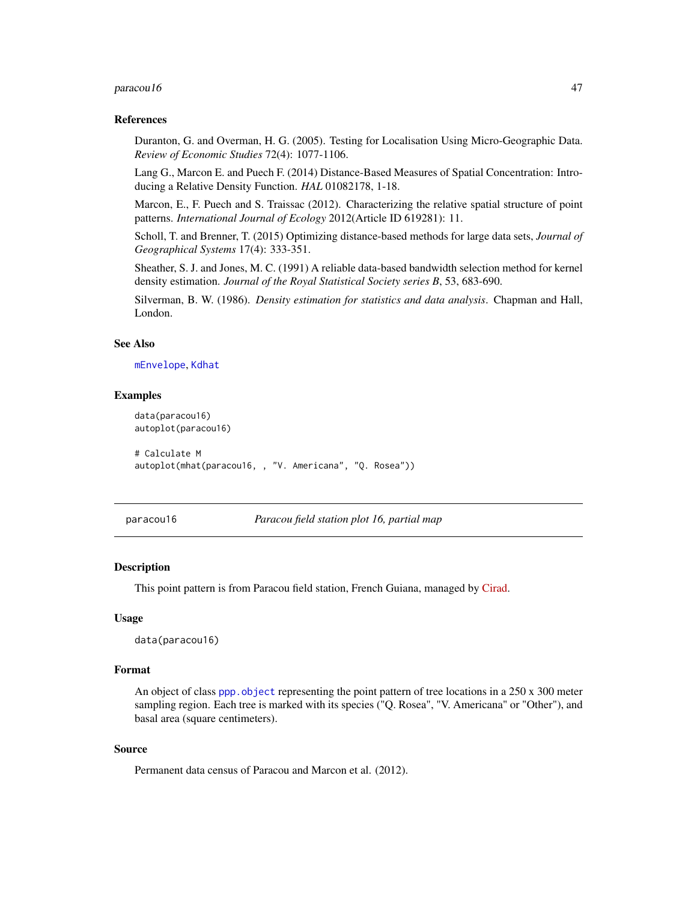#### <span id="page-46-0"></span> $para could 6$  and  $47$

#### References

Duranton, G. and Overman, H. G. (2005). Testing for Localisation Using Micro-Geographic Data. *Review of Economic Studies* 72(4): 1077-1106.

Lang G., Marcon E. and Puech F. (2014) Distance-Based Measures of Spatial Concentration: Introducing a Relative Density Function. *HAL* 01082178, 1-18.

Marcon, E., F. Puech and S. Traissac (2012). Characterizing the relative spatial structure of point patterns. *International Journal of Ecology* 2012(Article ID 619281): 11.

Scholl, T. and Brenner, T. (2015) Optimizing distance-based methods for large data sets, *Journal of Geographical Systems* 17(4): 333-351.

Sheather, S. J. and Jones, M. C. (1991) A reliable data-based bandwidth selection method for kernel density estimation. *Journal of the Royal Statistical Society series B*, 53, 683-690.

Silverman, B. W. (1986). *Density estimation for statistics and data analysis*. Chapman and Hall, London.

## See Also

[mEnvelope](#page-40-1), [Kdhat](#page-19-1)

#### Examples

```
data(paracou16)
autoplot(paracou16)
```

```
# Calculate M
autoplot(mhat(paracou16, , "V. Americana", "Q. Rosea"))
```
paracou16 *Paracou field station plot 16, partial map*

#### **Description**

This point pattern is from Paracou field station, French Guiana, managed by [Cirad.](https://www.cirad.fr)

## Usage

```
data(paracou16)
```
## Format

An object of class ppp. object representing the point pattern of tree locations in a  $250 \times 300$  meter sampling region. Each tree is marked with its species ("Q. Rosea", "V. Americana" or "Other"), and basal area (square centimeters).

## Source

Permanent data census of Paracou and Marcon et al. (2012).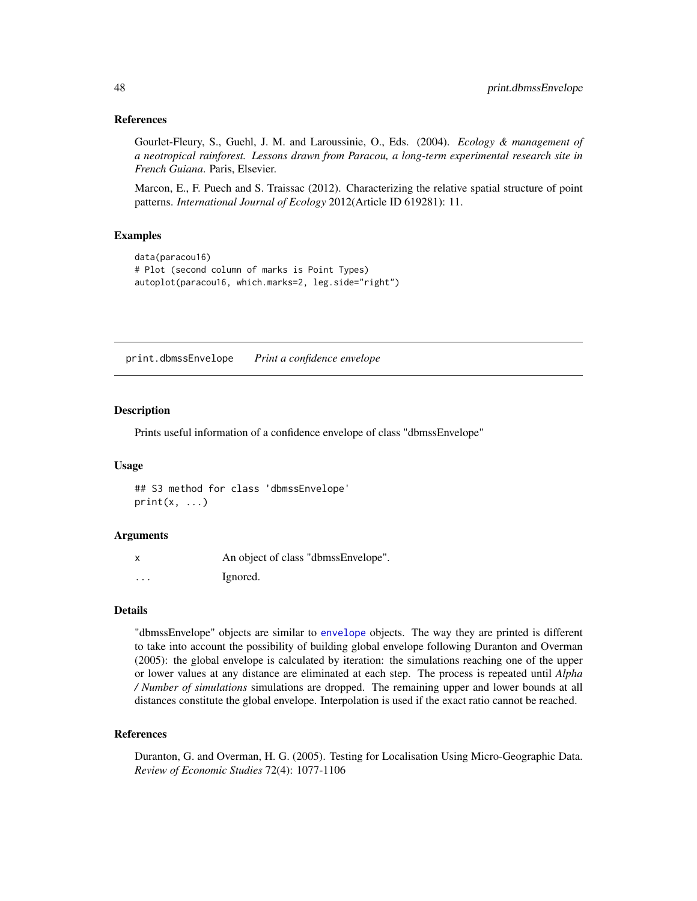### <span id="page-47-0"></span>References

Gourlet-Fleury, S., Guehl, J. M. and Laroussinie, O., Eds. (2004). *Ecology & management of a neotropical rainforest. Lessons drawn from Paracou, a long-term experimental research site in French Guiana*. Paris, Elsevier.

Marcon, E., F. Puech and S. Traissac (2012). Characterizing the relative spatial structure of point patterns. *International Journal of Ecology* 2012(Article ID 619281): 11.

#### Examples

```
data(paracou16)
# Plot (second column of marks is Point Types)
autoplot(paracou16, which.marks=2, leg.side="right")
```
print.dbmssEnvelope *Print a confidence envelope*

#### Description

Prints useful information of a confidence envelope of class "dbmssEnvelope"

#### Usage

## S3 method for class 'dbmssEnvelope'  $print(x, \ldots)$ 

#### Arguments

|          | An object of class "dbmssEnvelope". |
|----------|-------------------------------------|
| $\cdots$ | Ignored.                            |

## Details

"dbmssEnvelope" objects are similar to [envelope](#page-0-0) objects. The way they are printed is different to take into account the possibility of building global envelope following Duranton and Overman (2005): the global envelope is calculated by iteration: the simulations reaching one of the upper or lower values at any distance are eliminated at each step. The process is repeated until *Alpha / Number of simulations* simulations are dropped. The remaining upper and lower bounds at all distances constitute the global envelope. Interpolation is used if the exact ratio cannot be reached.

#### References

Duranton, G. and Overman, H. G. (2005). Testing for Localisation Using Micro-Geographic Data. *Review of Economic Studies* 72(4): 1077-1106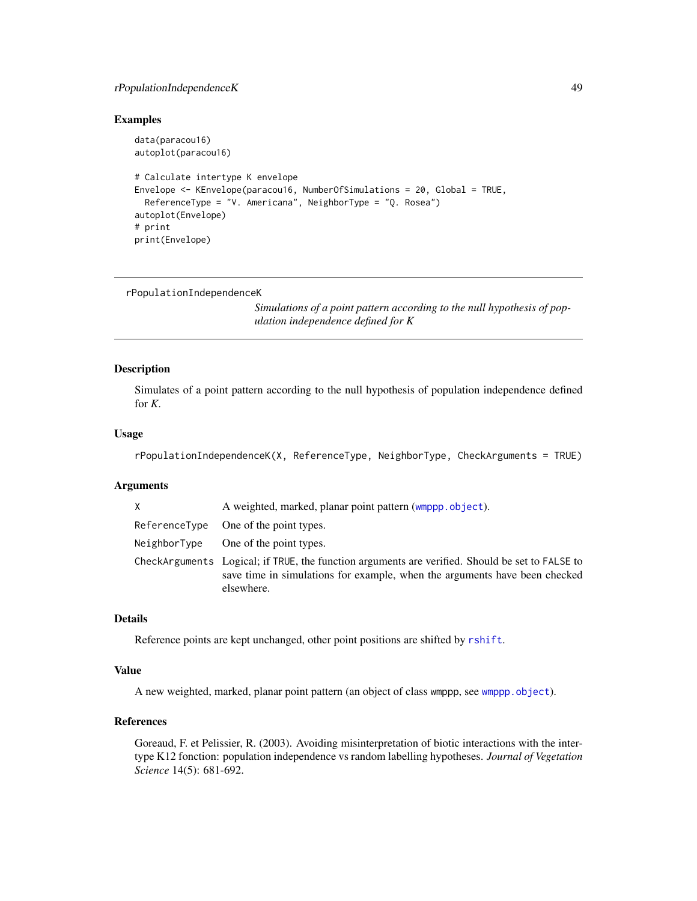## <span id="page-48-0"></span>rPopulationIndependenceK 49

#### Examples

```
data(paracou16)
autoplot(paracou16)
# Calculate intertype K envelope
Envelope <- KEnvelope(paracou16, NumberOfSimulations = 20, Global = TRUE,
 ReferenceType = "V. Americana", NeighborType = "Q. Rosea")
autoplot(Envelope)
# print
print(Envelope)
```
<span id="page-48-1"></span>rPopulationIndependenceK

*Simulations of a point pattern according to the null hypothesis of population independence defined for K*

## Description

Simulates of a point pattern according to the null hypothesis of population independence defined for *K*.

#### Usage

```
rPopulationIndependenceK(X, ReferenceType, NeighborType, CheckArguments = TRUE)
```
### Arguments

| X | A weighted, marked, planar point pattern (wmppp.object).                                                                                                                                    |
|---|---------------------------------------------------------------------------------------------------------------------------------------------------------------------------------------------|
|   | ReferenceType One of the point types.                                                                                                                                                       |
|   | $NeighbourType$ One of the point types.                                                                                                                                                     |
|   | CheckArguments Logical; if TRUE, the function arguments are verified. Should be set to FALSE to<br>save time in simulations for example, when the arguments have been checked<br>elsewhere. |

## Details

Reference points are kept unchanged, other point positions are shifted by [rshift](#page-0-0).

## Value

A new weighted, marked, planar point pattern (an object of class wmppp, see [wmppp.object](#page-58-1)).

## References

Goreaud, F. et Pelissier, R. (2003). Avoiding misinterpretation of biotic interactions with the intertype K12 fonction: population independence vs random labelling hypotheses. *Journal of Vegetation Science* 14(5): 681-692.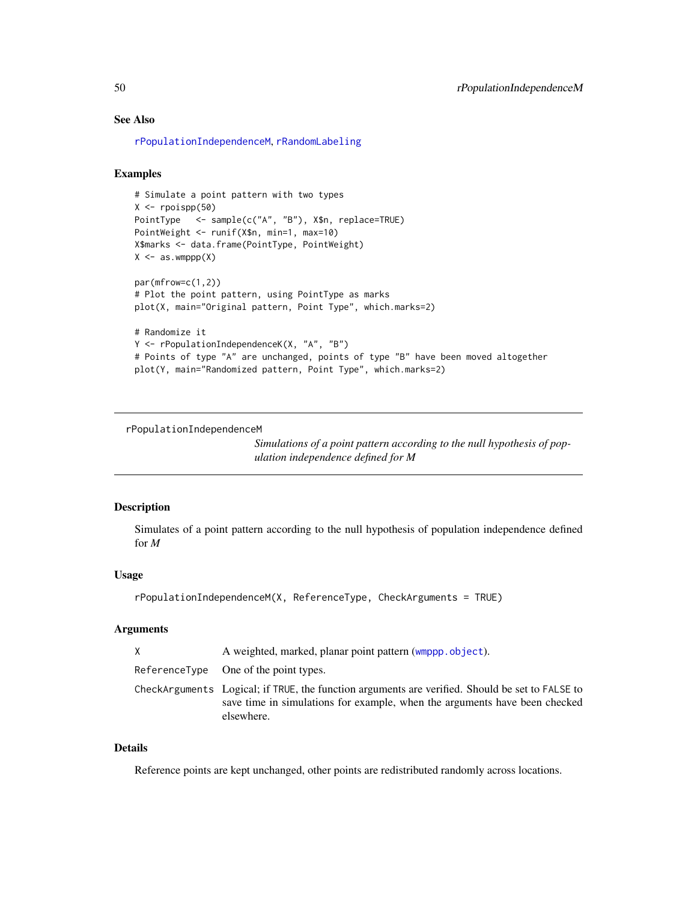## <span id="page-49-0"></span>See Also

[rPopulationIndependenceM](#page-49-1), [rRandomLabeling](#page-50-1)

#### Examples

```
# Simulate a point pattern with two types
X \leftarrow \text{projspp}(50)PointType <- sample(c("A", "B"), X$n, replace=TRUE)
PointWeight <- runif(X$n, min=1, max=10)
X$marks <- data.frame(PointType, PointWeight)
X \leftarrow as. wmppp(X)par(mfrow=c(1,2))
# Plot the point pattern, using PointType as marks
plot(X, main="Original pattern, Point Type", which.marks=2)
# Randomize it
Y <- rPopulationIndependenceK(X, "A", "B")
# Points of type "A" are unchanged, points of type "B" have been moved altogether
plot(Y, main="Randomized pattern, Point Type", which.marks=2)
```
<span id="page-49-1"></span>rPopulationIndependenceM

*Simulations of a point pattern according to the null hypothesis of population independence defined for M*

## Description

Simulates of a point pattern according to the null hypothesis of population independence defined for *M*

## Usage

```
rPopulationIndependenceM(X, ReferenceType, CheckArguments = TRUE)
```
## Arguments

| X | A weighted, marked, planar point pattern (wmppp.object).                                                                                                                                    |
|---|---------------------------------------------------------------------------------------------------------------------------------------------------------------------------------------------|
|   | ReferenceType One of the point types.                                                                                                                                                       |
|   | CheckArguments Logical; if TRUE, the function arguments are verified. Should be set to FALSE to<br>save time in simulations for example, when the arguments have been checked<br>elsewhere. |

#### Details

Reference points are kept unchanged, other points are redistributed randomly across locations.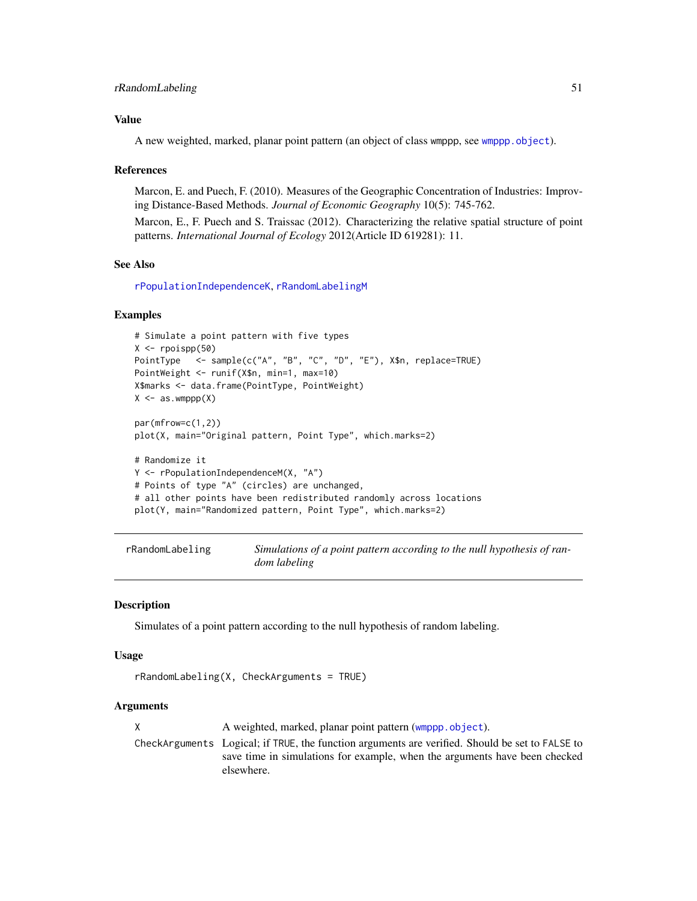## <span id="page-50-0"></span>Value

A new weighted, marked, planar point pattern (an object of class wmppp, see [wmppp.object](#page-58-1)).

#### References

Marcon, E. and Puech, F. (2010). Measures of the Geographic Concentration of Industries: Improving Distance-Based Methods. *Journal of Economic Geography* 10(5): 745-762.

Marcon, E., F. Puech and S. Traissac (2012). Characterizing the relative spatial structure of point patterns. *International Journal of Ecology* 2012(Article ID 619281): 11.

#### See Also

[rPopulationIndependenceK](#page-48-1), [rRandomLabelingM](#page-51-1)

#### Examples

```
# Simulate a point pattern with five types
X \leftarrow \text{roispp}(50)PointType <- sample(c("A", "B", "C", "D", "E"), X$n, replace=TRUE)
PointWeight <- runif(X$n, min=1, max=10)
X$marks <- data.frame(PointType, PointWeight)
X \leq -a s. wmppp(X)par(mfrow=c(1,2))
plot(X, main="Original pattern, Point Type", which.marks=2)
# Randomize it
Y <- rPopulationIndependenceM(X, "A")
# Points of type "A" (circles) are unchanged,
# all other points have been redistributed randomly across locations
plot(Y, main="Randomized pattern, Point Type", which.marks=2)
```
<span id="page-50-1"></span>

| rRandomLabeling | Simulations of a point pattern according to the null hypothesis of ran- |
|-----------------|-------------------------------------------------------------------------|
|                 | dom labeling                                                            |

## Description

Simulates of a point pattern according to the null hypothesis of random labeling.

## Usage

```
rRandomLabeling(X, CheckArguments = TRUE)
```
## Arguments

X A weighted, marked, planar point pattern ([wmppp.object](#page-58-1)). CheckArguments Logical; if TRUE, the function arguments are verified. Should be set to FALSE to save time in simulations for example, when the arguments have been checked elsewhere.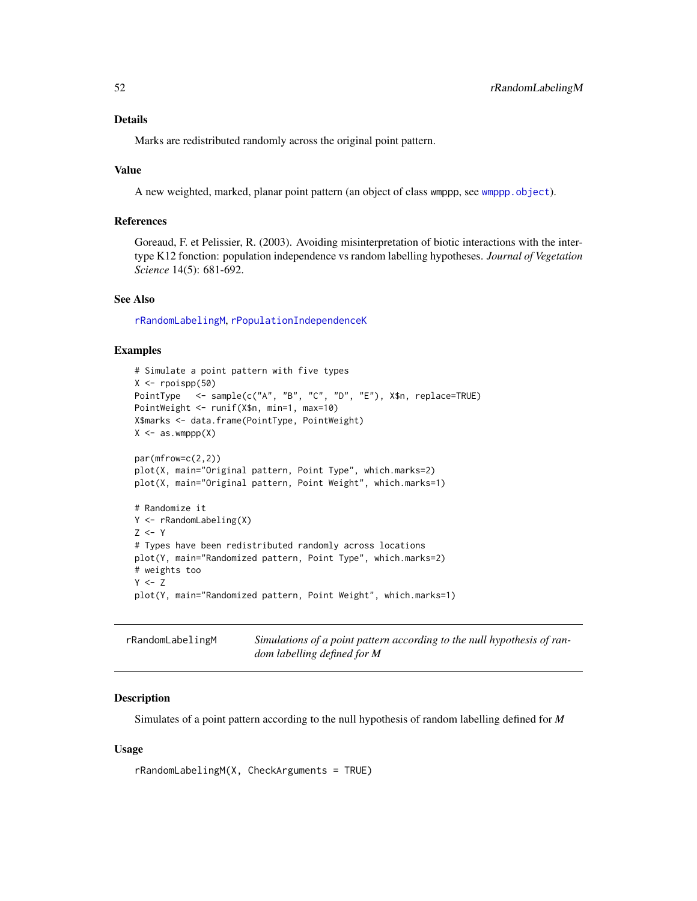#### <span id="page-51-0"></span>Details

Marks are redistributed randomly across the original point pattern.

## Value

A new weighted, marked, planar point pattern (an object of class wmppp, see [wmppp.object](#page-58-1)).

#### References

Goreaud, F. et Pelissier, R. (2003). Avoiding misinterpretation of biotic interactions with the intertype K12 fonction: population independence vs random labelling hypotheses. *Journal of Vegetation Science* 14(5): 681-692.

## See Also

[rRandomLabelingM](#page-51-1), [rPopulationIndependenceK](#page-48-1)

#### Examples

```
# Simulate a point pattern with five types
X \leftarrow \text{roispp}(50)PointType <- sample(c("A", "B", "C", "D", "E"), X$n, replace=TRUE)
PointWeight <- runif(X$n, min=1, max=10)
X$marks <- data.frame(PointType, PointWeight)
X \leftarrow as. wmppp(X)par(mfrow=c(2,2))
plot(X, main="Original pattern, Point Type", which.marks=2)
plot(X, main="Original pattern, Point Weight", which.marks=1)
# Randomize it
Y <- rRandomLabeling(X)
Z < - Y# Types have been redistributed randomly across locations
plot(Y, main="Randomized pattern, Point Type", which.marks=2)
# weights too
Y < -Zplot(Y, main="Randomized pattern, Point Weight", which.marks=1)
```
<span id="page-51-1"></span>

| rRandomLabelingM | Simulations of a point pattern according to the null hypothesis of ran- |
|------------------|-------------------------------------------------------------------------|
|                  | dom labelling defined for M                                             |

## Description

Simulates of a point pattern according to the null hypothesis of random labelling defined for *M*

#### Usage

rRandomLabelingM(X, CheckArguments = TRUE)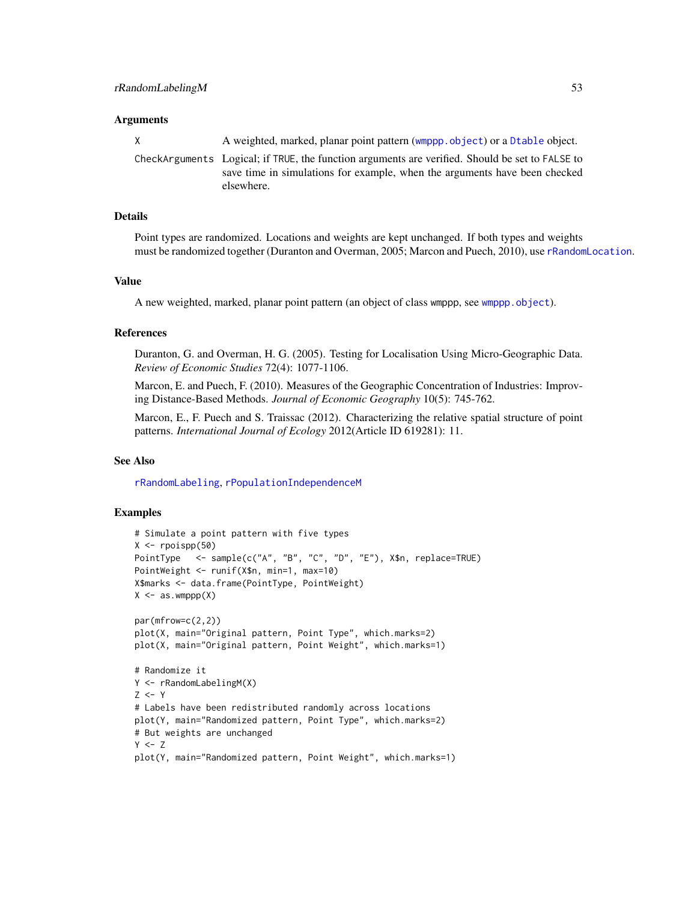### <span id="page-52-0"></span>**Arguments**

| X | A weighted, marked, planar point pattern (wmppp.object) or a Dtable object.                     |  |
|---|-------------------------------------------------------------------------------------------------|--|
|   | CheckArguments Logical; if TRUE, the function arguments are verified. Should be set to FALSE to |  |
|   | save time in simulations for example, when the arguments have been checked                      |  |
|   | elsewhere.                                                                                      |  |

#### Details

Point types are randomized. Locations and weights are kept unchanged. If both types and weights must be randomized together (Duranton and Overman, 2005; Marcon and Puech, 2010), use [rRandomLocation](#page-53-1).

#### Value

A new weighted, marked, planar point pattern (an object of class wmppp, see [wmppp.object](#page-58-1)).

#### References

Duranton, G. and Overman, H. G. (2005). Testing for Localisation Using Micro-Geographic Data. *Review of Economic Studies* 72(4): 1077-1106.

Marcon, E. and Puech, F. (2010). Measures of the Geographic Concentration of Industries: Improving Distance-Based Methods. *Journal of Economic Geography* 10(5): 745-762.

Marcon, E., F. Puech and S. Traissac (2012). Characterizing the relative spatial structure of point patterns. *International Journal of Ecology* 2012(Article ID 619281): 11.

#### See Also

[rRandomLabeling](#page-50-1), [rPopulationIndependenceM](#page-49-1)

## Examples

```
# Simulate a point pattern with five types
X \leftarrow \text{roispp}(50)PointType <- sample(c("A", "B", "C", "D", "E"), X$n, replace=TRUE)
PointWeight <- runif(X$n, min=1, max=10)
X$marks <- data.frame(PointType, PointWeight)
X \leftarrow as. wmppp(X)par(mfrow=c(2,2))
plot(X, main="Original pattern, Point Type", which.marks=2)
plot(X, main="Original pattern, Point Weight", which.marks=1)
# Randomize it
Y <- rRandomLabelingM(X)
Z < -Y# Labels have been redistributed randomly across locations
plot(Y, main="Randomized pattern, Point Type", which.marks=2)
# But weights are unchanged
Y < -Zplot(Y, main="Randomized pattern, Point Weight", which.marks=1)
```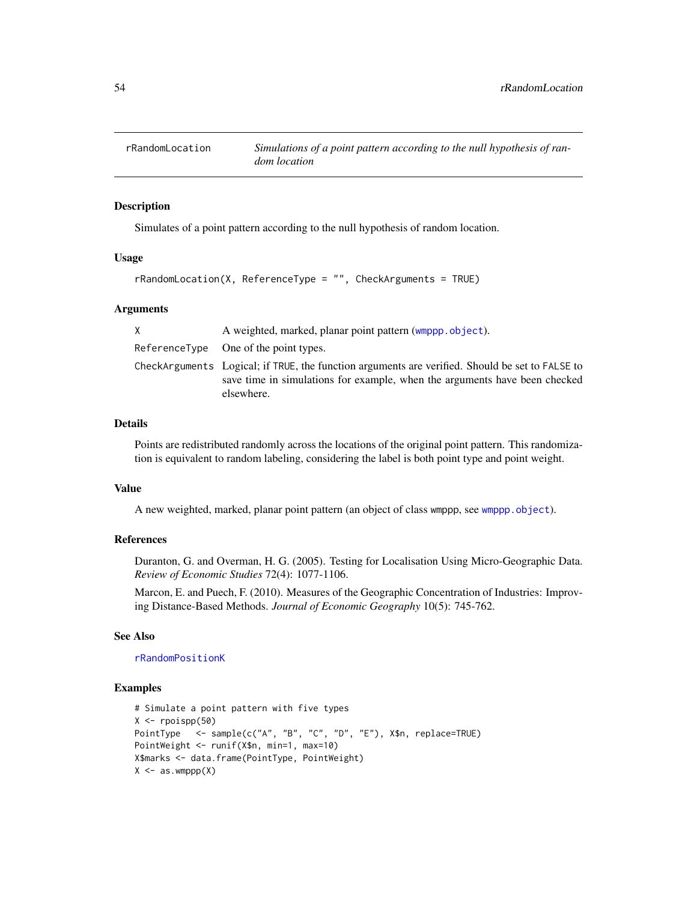<span id="page-53-1"></span><span id="page-53-0"></span>

## Description

Simulates of a point pattern according to the null hypothesis of random location.

#### Usage

```
rRandomLocation(X, ReferenceType = "", CheckArguments = TRUE)
```
### Arguments

| A weighted, marked, planar point pattern (wmppp.object).                                                                                                                                    |
|---------------------------------------------------------------------------------------------------------------------------------------------------------------------------------------------|
| $ReferenceType$ One of the point types.                                                                                                                                                     |
| CheckArguments Logical; if TRUE, the function arguments are verified. Should be set to FALSE to<br>save time in simulations for example, when the arguments have been checked<br>elsewhere. |

#### Details

Points are redistributed randomly across the locations of the original point pattern. This randomization is equivalent to random labeling, considering the label is both point type and point weight.

## Value

A new weighted, marked, planar point pattern (an object of class wmppp, see [wmppp.object](#page-58-1)).

#### References

Duranton, G. and Overman, H. G. (2005). Testing for Localisation Using Micro-Geographic Data. *Review of Economic Studies* 72(4): 1077-1106.

Marcon, E. and Puech, F. (2010). Measures of the Geographic Concentration of Industries: Improving Distance-Based Methods. *Journal of Economic Geography* 10(5): 745-762.

## See Also

[rRandomPositionK](#page-54-1)

#### Examples

```
# Simulate a point pattern with five types
X \leftarrow \text{roispp}(50)PointType <- sample(c("A", "B", "C", "D", "E"), X$n, replace=TRUE)
PointWeight <- runif(X$n, min=1, max=10)
X$marks <- data.frame(PointType, PointWeight)
X \leftarrow as. wmppp(X)
```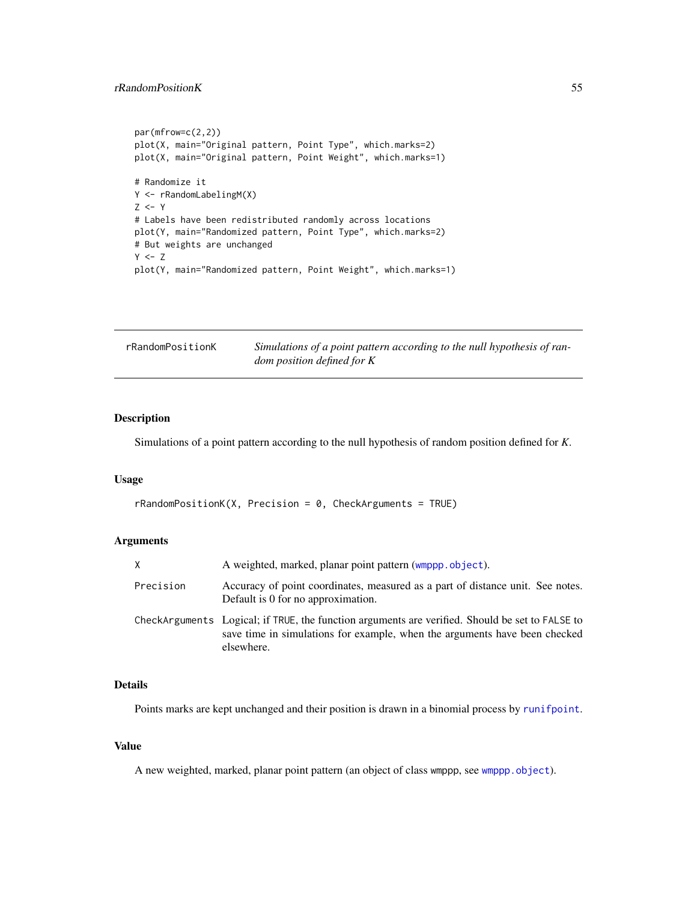## <span id="page-54-0"></span>rRandomPositionK 55

```
par(mfrow=c(2,2))
plot(X, main="Original pattern, Point Type", which.marks=2)
plot(X, main="Original pattern, Point Weight", which.marks=1)
# Randomize it
Y <- rRandomLabelingM(X)
Z \leftarrow Y# Labels have been redistributed randomly across locations
plot(Y, main="Randomized pattern, Point Type", which.marks=2)
# But weights are unchanged
Y < -Zplot(Y, main="Randomized pattern, Point Weight", which.marks=1)
```
<span id="page-54-1"></span>

| rRandomPositionK | Simulations of a point pattern according to the null hypothesis of ran- |
|------------------|-------------------------------------------------------------------------|
|                  | <i>dom position defined for K</i>                                       |

## Description

Simulations of a point pattern according to the null hypothesis of random position defined for *K*.

#### Usage

```
rRandomPositionK(X, Precision = 0, CheckArguments = TRUE)
```
### Arguments

| X.        | A weighted, marked, planar point pattern (wmppp.object).                                                                                                                                    |
|-----------|---------------------------------------------------------------------------------------------------------------------------------------------------------------------------------------------|
| Precision | Accuracy of point coordinates, measured as a part of distance unit. See notes.<br>Default is 0 for no approximation.                                                                        |
|           | CheckArguments Logical; if TRUE, the function arguments are verified. Should be set to FALSE to<br>save time in simulations for example, when the arguments have been checked<br>elsewhere. |

## Details

Points marks are kept unchanged and their position is drawn in a binomial process by [runifpoint](#page-0-0).

## Value

A new weighted, marked, planar point pattern (an object of class wmppp, see [wmppp.object](#page-58-1)).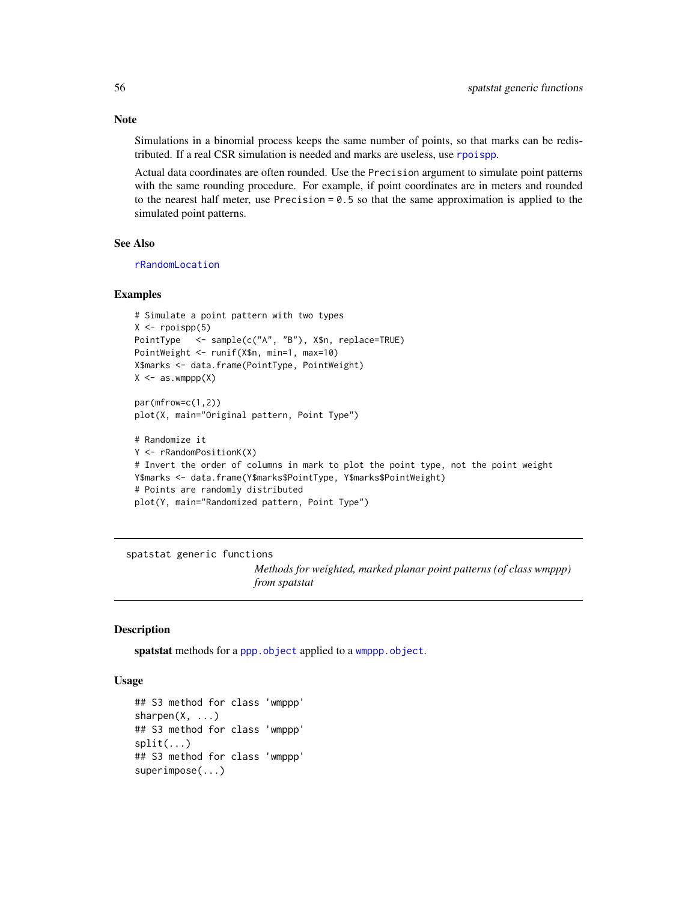Note

Simulations in a binomial process keeps the same number of points, so that marks can be redistributed. If a real CSR simulation is needed and marks are useless, use [rpoispp](#page-0-0).

Actual data coordinates are often rounded. Use the Precision argument to simulate point patterns with the same rounding procedure. For example, if point coordinates are in meters and rounded to the nearest half meter, use Precision  $= 0.5$  so that the same approximation is applied to the simulated point patterns.

## See Also

[rRandomLocation](#page-53-1)

#### Examples

```
# Simulate a point pattern with two types
X \leftarrow \text{proispp}(5)PointType <- sample(c("A", "B"), X$n, replace=TRUE)
PointWeight <- runif(X$n, min=1, max=10)
X$marks <- data.frame(PointType, PointWeight)
X \leftarrow as. wmppp(X)par(mfrow=c(1,2))
```

```
plot(X, main="Original pattern, Point Type")
```

```
# Randomize it
Y <- rRandomPositionK(X)
# Invert the order of columns in mark to plot the point type, not the point weight
Y$marks <- data.frame(Y$marks$PointType, Y$marks$PointWeight)
# Points are randomly distributed
plot(Y, main="Randomized pattern, Point Type")
```
spatstat generic functions

*Methods for weighted, marked planar point patterns (of class wmppp) from spatstat*

## Description

spatstat methods for a [ppp.object](#page-0-0) applied to a [wmppp.object](#page-58-1).

#### Usage

```
## S3 method for class 'wmppp'
sharpen(X, \ldots)## S3 method for class 'wmppp'
split(...)
## S3 method for class 'wmppp'
superimpose(...)
```
<span id="page-55-0"></span>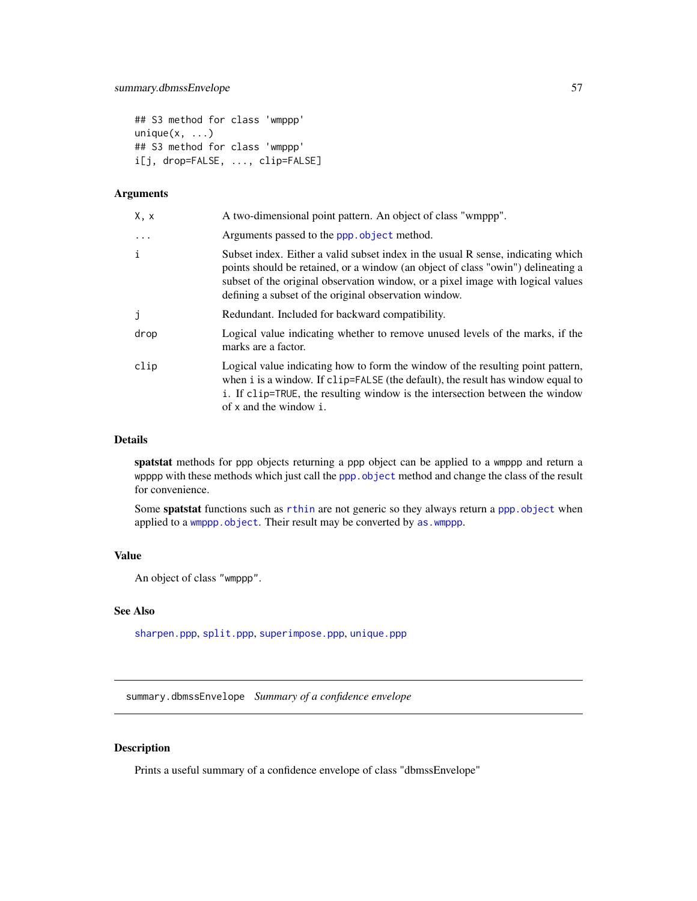```
## S3 method for class 'wmppp'
unique(x, \ldots)## S3 method for class 'wmppp'
i[j, drop=FALSE, ..., clip=FALSE]
```
## Arguments

| X, x     | A two-dimensional point pattern. An object of class "wmppp".                                                                                                                                                                                                                                                     |
|----------|------------------------------------------------------------------------------------------------------------------------------------------------------------------------------------------------------------------------------------------------------------------------------------------------------------------|
| $\ddots$ | Arguments passed to the ppp. object method.                                                                                                                                                                                                                                                                      |
| i        | Subset index. Either a valid subset index in the usual R sense, indicating which<br>points should be retained, or a window (an object of class "owin") delineating a<br>subset of the original observation window, or a pixel image with logical values<br>defining a subset of the original observation window. |
| j        | Redundant. Included for backward compatibility.                                                                                                                                                                                                                                                                  |
| drop     | Logical value indicating whether to remove unused levels of the marks, if the<br>marks are a factor.                                                                                                                                                                                                             |
| clip     | Logical value indicating how to form the window of the resulting point pattern,<br>when i is a window. If clip=FALSE (the default), the result has window equal to<br>i. If clip=TRUE, the resulting window is the intersection between the window<br>of x and the window i.                                     |

## Details

spatstat methods for ppp objects returning a ppp object can be applied to a wmppp and return a wpppp with these methods which just call the [ppp.object](#page-0-0) method and change the class of the result for convenience.

Some spatstat functions such as [rthin](#page-0-0) are not generic so they always return a [ppp.object](#page-0-0) when applied to a [wmppp.object](#page-58-1). Their result may be converted by as. wmppp.

#### Value

An object of class "wmppp".

## See Also

[sharpen.ppp](#page-0-0), [split.ppp](#page-0-0), [superimpose.ppp](#page-0-0), [unique.ppp](#page-0-0)

<span id="page-56-1"></span>summary.dbmssEnvelope *Summary of a confidence envelope*

## Description

Prints a useful summary of a confidence envelope of class "dbmssEnvelope"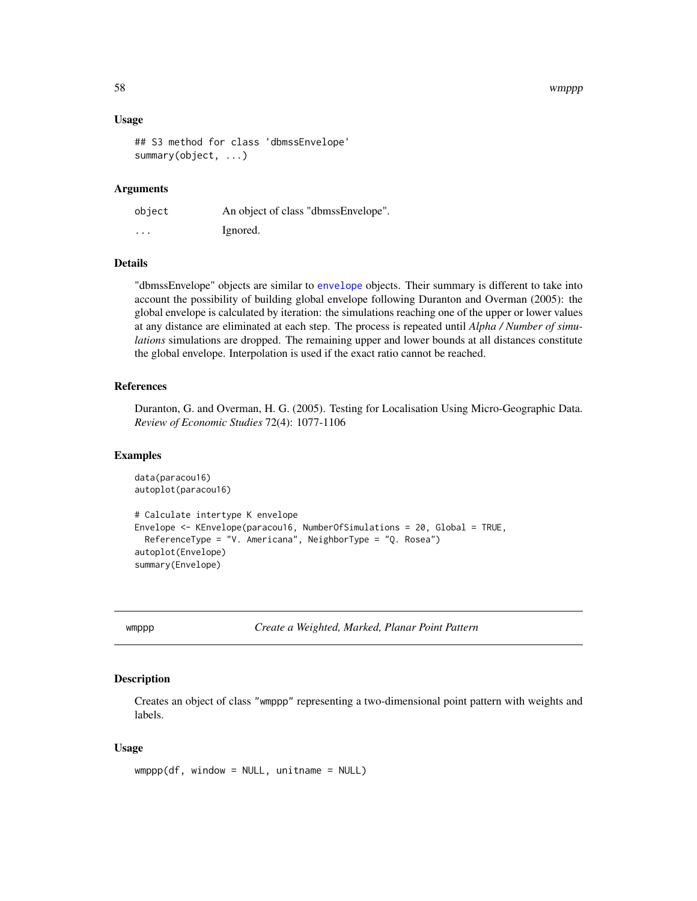#### <span id="page-57-0"></span>58 wmppp

#### Usage

```
## S3 method for class 'dbmssEnvelope'
summary(object, ...)
```
#### Arguments

| object                  | An object of class "dbmssEnvelope". |
|-------------------------|-------------------------------------|
| $\cdot$ $\cdot$ $\cdot$ | Ignored.                            |

## Details

"dbmssEnvelope" objects are similar to [envelope](#page-0-0) objects. Their summary is different to take into account the possibility of building global envelope following Duranton and Overman (2005): the global envelope is calculated by iteration: the simulations reaching one of the upper or lower values at any distance are eliminated at each step. The process is repeated until *Alpha / Number of simulations* simulations are dropped. The remaining upper and lower bounds at all distances constitute the global envelope. Interpolation is used if the exact ratio cannot be reached.

#### References

Duranton, G. and Overman, H. G. (2005). Testing for Localisation Using Micro-Geographic Data. *Review of Economic Studies* 72(4): 1077-1106

#### Examples

```
data(paracou16)
autoplot(paracou16)
# Calculate intertype K envelope
Envelope <- KEnvelope(paracou16, NumberOfSimulations = 20, Global = TRUE,
 ReferenceType = "V. Americana", NeighborType = "Q. Rosea")
autoplot(Envelope)
summary(Envelope)
```
<span id="page-57-1"></span>wmppp *Create a Weighted, Marked, Planar Point Pattern*

#### Description

Creates an object of class "wmppp" representing a two-dimensional point pattern with weights and labels.

#### Usage

```
wmppp(df, window = NULL, uniform = NULL)
```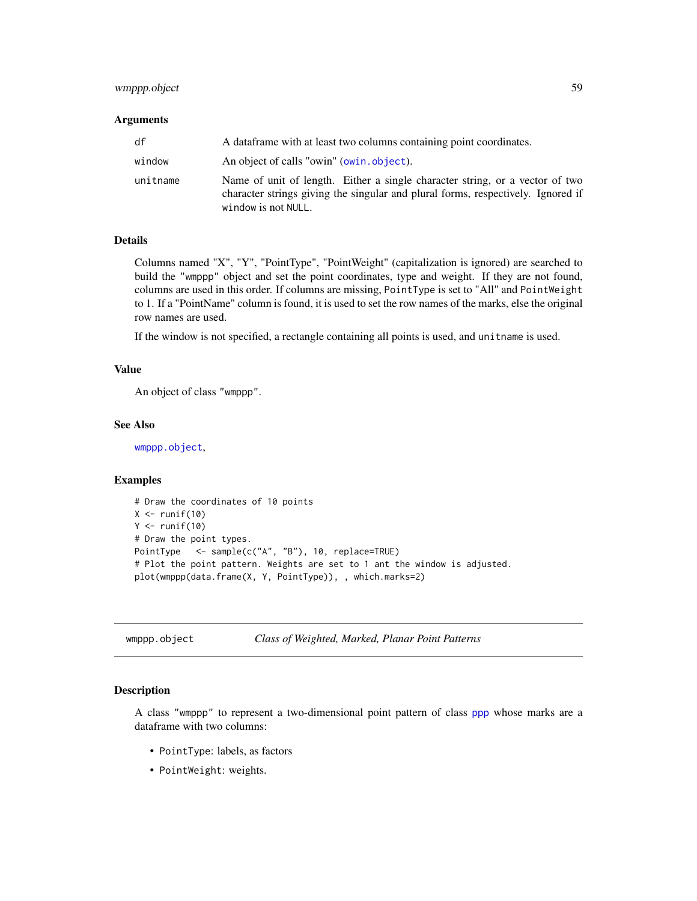## <span id="page-58-0"></span>wmppp.object 59

#### **Arguments**

| df       | A dataframe with at least two columns containing point coordinates.                                                                                                                     |
|----------|-----------------------------------------------------------------------------------------------------------------------------------------------------------------------------------------|
| window   | An object of calls "owin" (owin.object).                                                                                                                                                |
| unitname | Name of unit of length. Either a single character string, or a vector of two<br>character strings giving the singular and plural forms, respectively. Ignored if<br>window is not NULL. |

#### Details

Columns named "X", "Y", "PointType", "PointWeight" (capitalization is ignored) are searched to build the "wmppp" object and set the point coordinates, type and weight. If they are not found, columns are used in this order. If columns are missing, PointType is set to "All" and PointWeight to 1. If a "PointName" column is found, it is used to set the row names of the marks, else the original row names are used.

If the window is not specified, a rectangle containing all points is used, and unitname is used.

## Value

An object of class "wmppp".

## See Also

[wmppp.object](#page-58-1),

#### Examples

```
# Draw the coordinates of 10 points
X \leftarrow runif(10)Y \leftarrow runif(10)# Draw the point types.
PointType <- sample(c("A", "B"), 10, replace=TRUE)
# Plot the point pattern. Weights are set to 1 ant the window is adjusted.
plot(wmppp(data.frame(X, Y, PointType)), , which.marks=2)
```
<span id="page-58-1"></span>wmppp.object *Class of Weighted, Marked, Planar Point Patterns*

#### Description

A class "wmppp" to represent a two-dimensional point pattern of class [ppp](#page-0-0) whose marks are a dataframe with two columns:

- PointType: labels, as factors
- PointWeight: weights.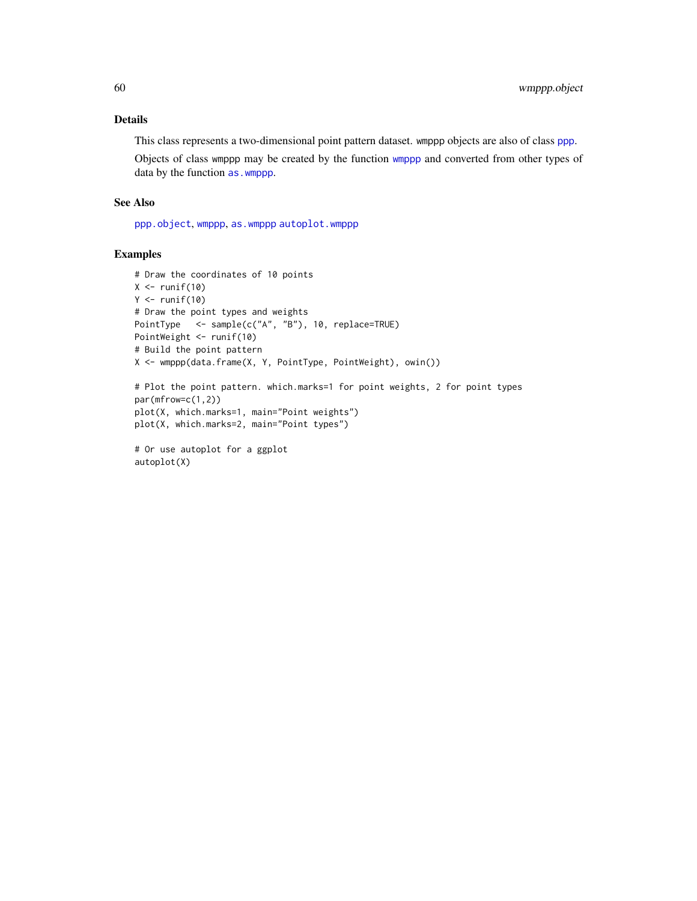## <span id="page-59-0"></span>Details

This class represents a two-dimensional point pattern dataset. wmppp objects are also of class [ppp](#page-0-0).

Objects of class wmppp may be created by the function [wmppp](#page-57-1) and converted from other types of data by the function [as.wmppp](#page-3-1).

## See Also

[ppp.object](#page-0-0), [wmppp](#page-57-1), [as.wmppp](#page-3-1) [autoplot.wmppp](#page-4-2)

## Examples

```
# Draw the coordinates of 10 points
X \leftarrow runif(10)Y \leftarrow runif(10)# Draw the point types and weights
PointType <- sample(c("A", "B"), 10, replace=TRUE)
PointWeight <- runif(10)
# Build the point pattern
X <- wmppp(data.frame(X, Y, PointType, PointWeight), owin())
# Plot the point pattern. which.marks=1 for point weights, 2 for point types
```
par(mfrow=c(1,2)) plot(X, which.marks=1, main="Point weights") plot(X, which.marks=2, main="Point types")

```
# Or use autoplot for a ggplot
autoplot(X)
```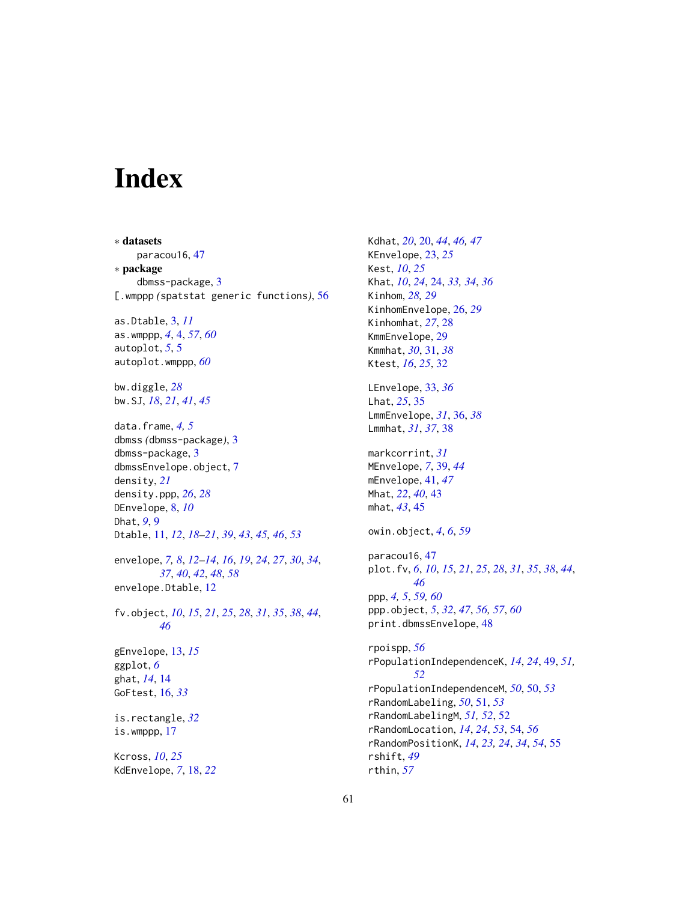# <span id="page-60-0"></span>Index

∗ datasets paracou16, [47](#page-46-0) ∗ package dbmss-package, [3](#page-2-0) [.wmppp *(*spatstat generic functions*)*, [56](#page-55-0)

as.Dtable, [3,](#page-2-0) *[11](#page-10-0)* as.wmppp, *[4](#page-3-0)*, [4,](#page-3-0) *[57](#page-56-0)*, *[60](#page-59-0)* autoplot, *[5](#page-4-0)*, [5](#page-4-0) autoplot.wmppp, *[60](#page-59-0)*

bw.diggle, *[28](#page-27-0)* bw.SJ, *[18](#page-17-0)*, *[21](#page-20-0)*, *[41](#page-40-0)*, *[45](#page-44-0)*

data.frame, *[4,](#page-3-0) [5](#page-4-0)* dbmss *(*dbmss-package*)*, [3](#page-2-0) dbmss-package, [3](#page-2-0) dbmssEnvelope.object, [7](#page-6-0) density, *[21](#page-20-0)* density.ppp, *[26](#page-25-0)*, *[28](#page-27-0)* DEnvelope, [8,](#page-7-0) *[10](#page-9-0)* Dhat, *[9](#page-8-0)*, [9](#page-8-0) Dtable, [11,](#page-10-0) *[12](#page-11-0)*, *[18](#page-17-0)[–21](#page-20-0)*, *[39](#page-38-0)*, *[43](#page-42-0)*, *[45,](#page-44-0) [46](#page-45-0)*, *[53](#page-52-0)*

envelope, *[7,](#page-6-0) [8](#page-7-0)*, *[12](#page-11-0)[–14](#page-13-0)*, *[16](#page-15-0)*, *[19](#page-18-0)*, *[24](#page-23-0)*, *[27](#page-26-0)*, *[30](#page-29-0)*, *[34](#page-33-0)*, *[37](#page-36-0)*, *[40](#page-39-0)*, *[42](#page-41-0)*, *[48](#page-47-0)*, *[58](#page-57-0)* envelope.Dtable, [12](#page-11-0)

fv.object, *[10](#page-9-0)*, *[15](#page-14-0)*, *[21](#page-20-0)*, *[25](#page-24-0)*, *[28](#page-27-0)*, *[31](#page-30-0)*, *[35](#page-34-0)*, *[38](#page-37-0)*, *[44](#page-43-0)*, *[46](#page-45-0)* gEnvelope, [13,](#page-12-0) *[15](#page-14-0)* ggplot, *[6](#page-5-0)* ghat, *[14](#page-13-0)*, [14](#page-13-0) GoFtest, [16,](#page-15-0) *[33](#page-32-0)*

is.rectangle, *[32](#page-31-0)* is.wmppp, [17](#page-16-0)

Kcross, *[10](#page-9-0)*, *[25](#page-24-0)* KdEnvelope, *[7](#page-6-0)*, [18,](#page-17-0) *[22](#page-21-0)* Kdhat, *[20](#page-19-0)*, [20,](#page-19-0) *[44](#page-43-0)*, *[46,](#page-45-0) [47](#page-46-0)* KEnvelope, [23,](#page-22-0) *[25](#page-24-0)* Kest, *[10](#page-9-0)*, *[25](#page-24-0)* Khat, *[10](#page-9-0)*, *[24](#page-23-0)*, [24,](#page-23-0) *[33,](#page-32-0) [34](#page-33-0)*, *[36](#page-35-0)* Kinhom, *[28,](#page-27-0) [29](#page-28-0)* KinhomEnvelope, [26,](#page-25-0) *[29](#page-28-0)* Kinhomhat, *[27](#page-26-0)*, [28](#page-27-0) KmmEnvelope, [29](#page-28-0) Kmmhat, *[30](#page-29-0)*, [31,](#page-30-0) *[38](#page-37-0)* Ktest, *[16](#page-15-0)*, *[25](#page-24-0)*, [32](#page-31-0) LEnvelope, [33,](#page-32-0) *[36](#page-35-0)* Lhat, *[25](#page-24-0)*, [35](#page-34-0) LmmEnvelope, *[31](#page-30-0)*, [36,](#page-35-0) *[38](#page-37-0)* Lmmhat, *[31](#page-30-0)*, *[37](#page-36-0)*, [38](#page-37-0) markcorrint, *[31](#page-30-0)* MEnvelope, *[7](#page-6-0)*, [39,](#page-38-0) *[44](#page-43-0)* mEnvelope, [41,](#page-40-0) *[47](#page-46-0)* Mhat, *[22](#page-21-0)*, *[40](#page-39-0)*, [43](#page-42-0) mhat, *[43](#page-42-0)*, [45](#page-44-0) owin.object, *[4](#page-3-0)*, *[6](#page-5-0)*, *[59](#page-58-0)* paracou16, [47](#page-46-0) plot.fv, *[6](#page-5-0)*, *[10](#page-9-0)*, *[15](#page-14-0)*, *[21](#page-20-0)*, *[25](#page-24-0)*, *[28](#page-27-0)*, *[31](#page-30-0)*, *[35](#page-34-0)*, *[38](#page-37-0)*, *[44](#page-43-0)*, *[46](#page-45-0)* ppp, *[4,](#page-3-0) [5](#page-4-0)*, *[59,](#page-58-0) [60](#page-59-0)* ppp.object, *[5](#page-4-0)*, *[32](#page-31-0)*, *[47](#page-46-0)*, *[56,](#page-55-0) [57](#page-56-0)*, *[60](#page-59-0)* print.dbmssEnvelope, [48](#page-47-0) rpoispp, *[56](#page-55-0)* rPopulationIndependenceK, *[14](#page-13-0)*, *[24](#page-23-0)*, [49,](#page-48-0) *[51,](#page-50-0) [52](#page-51-0)* rPopulationIndependenceM, *[50](#page-49-0)*, [50,](#page-49-0) *[53](#page-52-0)* rRandomLabeling, *[50](#page-49-0)*, [51,](#page-50-0) *[53](#page-52-0)* rRandomLabelingM, *[51,](#page-50-0) [52](#page-51-0)*, [52](#page-51-0) rRandomLocation, *[14](#page-13-0)*, *[24](#page-23-0)*, *[53](#page-52-0)*, [54,](#page-53-0) *[56](#page-55-0)* rRandomPositionK, *[14](#page-13-0)*, *[23,](#page-22-0) [24](#page-23-0)*, *[34](#page-33-0)*, *[54](#page-53-0)*, [55](#page-54-0) rshift, *[49](#page-48-0)*

rthin, *[57](#page-56-0)*